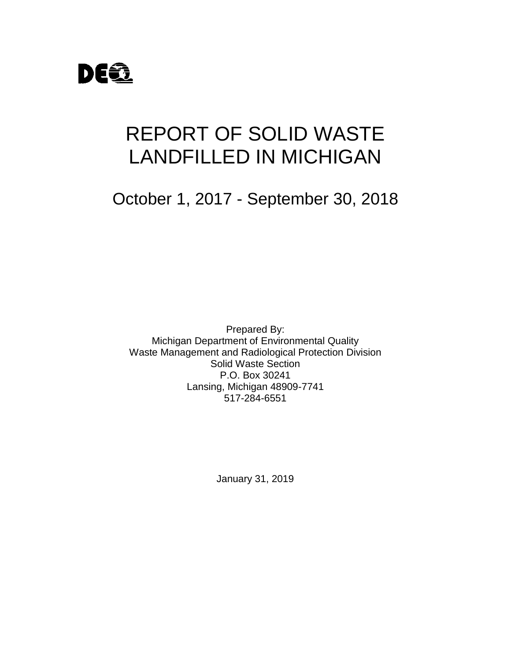

# REPORT OF SOLID WASTE LANDFILLED IN MICHIGAN

October 1, 2017 - September 30, 2018

Prepared By: Michigan Department of Environmental Quality Waste Management and Radiological Protection Division Solid Waste Section P.O. Box 30241 Lansing, Michigan 48909-7741 517-284-6551

January 31, 2019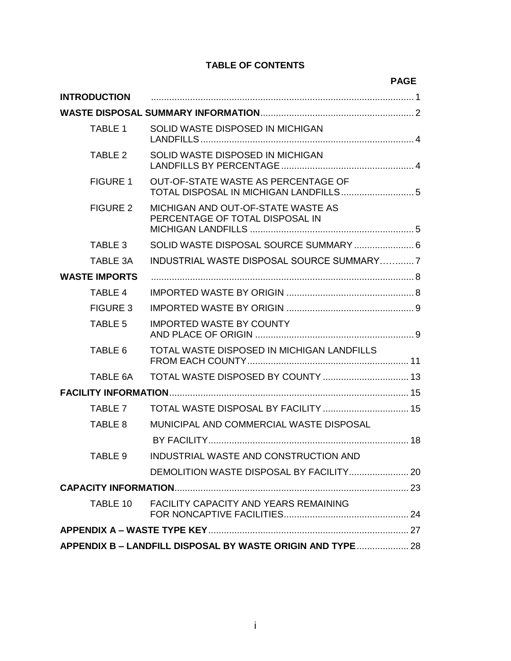#### **TABLE OF CONTENTS**

|                      |                                                                       | <b>PAGE</b> |  |
|----------------------|-----------------------------------------------------------------------|-------------|--|
| <b>INTRODUCTION</b>  |                                                                       |             |  |
|                      |                                                                       |             |  |
| <b>TABLE 1</b>       | SOLID WASTE DISPOSED IN MICHIGAN                                      |             |  |
| TABLE 2              | SOLID WASTE DISPOSED IN MICHIGAN                                      |             |  |
| <b>FIGURE 1</b>      | OUT-OF-STATE WASTE AS PERCENTAGE OF                                   |             |  |
| <b>FIGURE 2</b>      | MICHIGAN AND OUT-OF-STATE WASTE AS<br>PERCENTAGE OF TOTAL DISPOSAL IN |             |  |
| TABLE 3              |                                                                       |             |  |
| TABLE 3A             | INDUSTRIAL WASTE DISPOSAL SOURCE SUMMARY7                             |             |  |
| <b>WASTE IMPORTS</b> |                                                                       |             |  |
| <b>TABLE 4</b>       |                                                                       |             |  |
| <b>FIGURE 3</b>      |                                                                       |             |  |
| <b>TABLE 5</b>       | <b>IMPORTED WASTE BY COUNTY</b>                                       |             |  |
| TABLE 6              | TOTAL WASTE DISPOSED IN MICHIGAN LANDFILLS                            |             |  |
| TABLE 6A             |                                                                       |             |  |
|                      |                                                                       |             |  |
| TABLE 7              | TOTAL WASTE DISPOSAL BY FACILITY  15                                  |             |  |
| TABLE 8              | MUNICIPAL AND COMMERCIAL WASTE DISPOSAL                               |             |  |
|                      |                                                                       |             |  |
| TABLE 9              | INDUSTRIAL WASTE AND CONSTRUCTION AND                                 |             |  |
|                      |                                                                       |             |  |
|                      |                                                                       |             |  |
| TABLE 10             | <b>FACILITY CAPACITY AND YEARS REMAINING</b>                          |             |  |
|                      |                                                                       |             |  |
|                      | APPENDIX B - LANDFILL DISPOSAL BY WASTE ORIGIN AND TYPE  28           |             |  |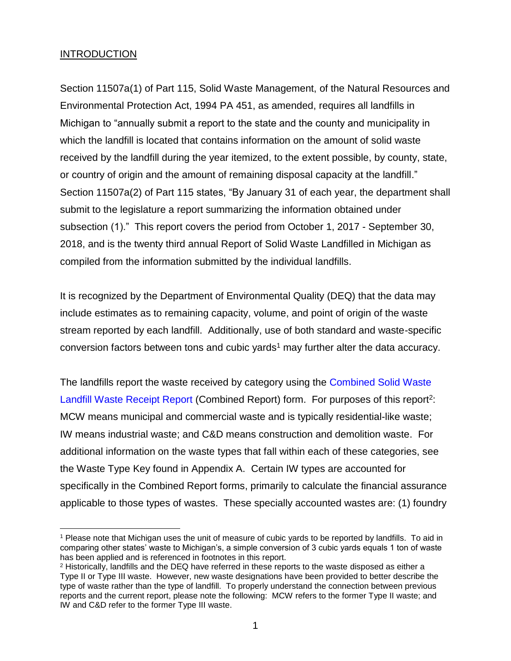#### **INTRODUCTION**

Section 11507a(1) of Part 115, Solid Waste Management, of the Natural Resources and Environmental Protection Act, 1994 PA 451, as amended, requires all landfills in Michigan to "annually submit a report to the state and the county and municipality in which the landfill is located that contains information on the amount of solid waste received by the landfill during the year itemized, to the extent possible, by county, state, or country of origin and the amount of remaining disposal capacity at the landfill." Section 11507a(2) of Part 115 states, "By January 31 of each year, the department shall submit to the legislature a report summarizing the information obtained under subsection (1)." This report covers the period from October 1, 2017 - September 30, 2018, and is the twenty third annual Report of Solid Waste Landfilled in Michigan as compiled from the information submitted by the individual landfills.

It is recognized by the Department of Environmental Quality (DEQ) that the data may include estimates as to remaining capacity, volume, and point of origin of the waste stream reported by each landfill. Additionally, use of both standard and waste-specific conversion factors between tons and cubic yards<sup>1</sup> may further alter the data accuracy.

The landfills report the waste received by category using the [Combined Solid Waste](http://www.michigan.gov/documents/deq/deq-whmd-swp-SolidWasteLandfillWasteReceiptReportEQP5500_300601_7.xls)  [Landfill Waste Receipt Report](http://www.michigan.gov/documents/deq/deq-whmd-swp-SolidWasteLandfillWasteReceiptReportEQP5500_300601_7.xls) (Combined Report) form. For purposes of this report<sup>2</sup>: MCW means municipal and commercial waste and is typically residential-like waste; IW means industrial waste; and C&D means construction and demolition waste. For additional information on the waste types that fall within each of these categories, see the Waste Type Key found in Appendix A. Certain IW types are accounted for specifically in the Combined Report forms, primarily to calculate the financial assurance applicable to those types of wastes. These specially accounted wastes are: (1) foundry

 $\overline{a}$ <sup>1</sup> Please note that Michigan uses the unit of measure of cubic yards to be reported by landfills. To aid in comparing other states' waste to Michigan's, a simple conversion of 3 cubic yards equals 1 ton of waste has been applied and is referenced in footnotes in this report.

<sup>2</sup> Historically, landfills and the DEQ have referred in these reports to the waste disposed as either a Type II or Type III waste. However, new waste designations have been provided to better describe the type of waste rather than the type of landfill. To properly understand the connection between previous reports and the current report, please note the following: MCW refers to the former Type II waste; and IW and C&D refer to the former Type III waste.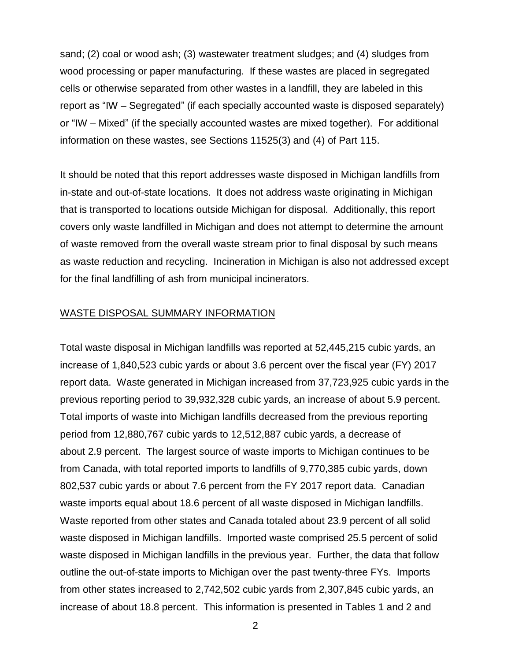sand; (2) coal or wood ash; (3) wastewater treatment sludges; and (4) sludges from wood processing or paper manufacturing. If these wastes are placed in segregated cells or otherwise separated from other wastes in a landfill, they are labeled in this report as "IW – Segregated" (if each specially accounted waste is disposed separately) or "IW – Mixed" (if the specially accounted wastes are mixed together). For additional information on these wastes, see Sections 11525(3) and (4) of Part 115.

It should be noted that this report addresses waste disposed in Michigan landfills from in-state and out-of-state locations. It does not address waste originating in Michigan that is transported to locations outside Michigan for disposal. Additionally, this report covers only waste landfilled in Michigan and does not attempt to determine the amount of waste removed from the overall waste stream prior to final disposal by such means as waste reduction and recycling. Incineration in Michigan is also not addressed except for the final landfilling of ash from municipal incinerators.

#### WASTE DISPOSAL SUMMARY INFORMATION

Total waste disposal in Michigan landfills was reported at 52,445,215 cubic yards, an increase of 1,840,523 cubic yards or about 3.6 percent over the fiscal year (FY) 2017 report data. Waste generated in Michigan increased from 37,723,925 cubic yards in the previous reporting period to 39,932,328 cubic yards, an increase of about 5.9 percent. Total imports of waste into Michigan landfills decreased from the previous reporting period from 12,880,767 cubic yards to 12,512,887 cubic yards, a decrease of about 2.9 percent. The largest source of waste imports to Michigan continues to be from Canada, with total reported imports to landfills of 9,770,385 cubic yards, down 802,537 cubic yards or about 7.6 percent from the FY 2017 report data. Canadian waste imports equal about 18.6 percent of all waste disposed in Michigan landfills. Waste reported from other states and Canada totaled about 23.9 percent of all solid waste disposed in Michigan landfills. Imported waste comprised 25.5 percent of solid waste disposed in Michigan landfills in the previous year. Further, the data that follow outline the out-of-state imports to Michigan over the past twenty-three FYs. Imports from other states increased to 2,742,502 cubic yards from 2,307,845 cubic yards, an increase of about 18.8 percent. This information is presented in Tables 1 and 2 and

2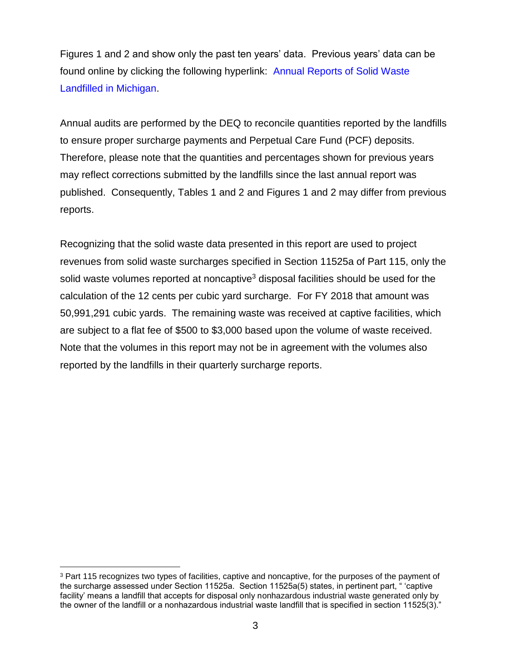Figures 1 and 2 and show only the past ten years' data. Previous years' data can be found online by clicking the following hyperlink: [Annual Reports of Solid Waste](http://www.michigan.gov/deq/0,1607,7-135-3312_4123-47581--,00.html)  [Landfilled in Michigan.](http://www.michigan.gov/deq/0,1607,7-135-3312_4123-47581--,00.html)

Annual audits are performed by the DEQ to reconcile quantities reported by the landfills to ensure proper surcharge payments and Perpetual Care Fund (PCF) deposits. Therefore, please note that the quantities and percentages shown for previous years may reflect corrections submitted by the landfills since the last annual report was published. Consequently, Tables 1 and 2 and Figures 1 and 2 may differ from previous reports.

Recognizing that the solid waste data presented in this report are used to project revenues from solid waste surcharges specified in Section 11525a of Part 115, only the solid waste volumes reported at noncaptive<sup>3</sup> disposal facilities should be used for the calculation of the 12 cents per cubic yard surcharge. For FY 2018 that amount was 50,991,291 cubic yards. The remaining waste was received at captive facilities, which are subject to a flat fee of \$500 to \$3,000 based upon the volume of waste received. Note that the volumes in this report may not be in agreement with the volumes also reported by the landfills in their quarterly surcharge reports.

 $\overline{a}$ <sup>3</sup> Part 115 recognizes two types of facilities, captive and noncaptive, for the purposes of the payment of the surcharge assessed under Section 11525a. Section 11525a(5) states, in pertinent part, " 'captive facility' means a landfill that accepts for disposal only nonhazardous industrial waste generated only by the owner of the landfill or a nonhazardous industrial waste landfill that is specified in section 11525(3)."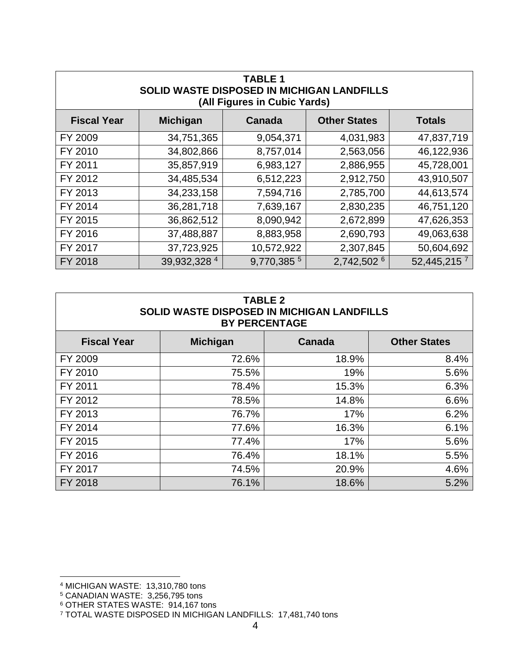| <b>TABLE 1</b><br>SOLID WASTE DISPOSED IN MICHIGAN LANDFILLS<br>(All Figures in Cubic Yards) |                 |               |                     |                           |
|----------------------------------------------------------------------------------------------|-----------------|---------------|---------------------|---------------------------|
| <b>Fiscal Year</b>                                                                           | <b>Michigan</b> | Canada        | <b>Other States</b> | <b>Totals</b>             |
| FY 2009                                                                                      | 34,751,365      | 9,054,371     | 4,031,983           | 47,837,719                |
| FY 2010                                                                                      | 34,802,866      | 8,757,014     | 2,563,056           | 46,122,936                |
| FY 2011                                                                                      | 35,857,919      | 6,983,127     | 2,886,955           | 45,728,001                |
| FY 2012                                                                                      | 34,485,534      | 6,512,223     | 2,912,750           | 43,910,507                |
| FY 2013                                                                                      | 34,233,158      | 7,594,716     | 2,785,700           | 44,613,574                |
| FY 2014                                                                                      | 36,281,718      | 7,639,167     | 2,830,235           | 46,751,120                |
| FY 2015                                                                                      | 36,862,512      | 8,090,942     | 2,672,899           | 47,626,353                |
| FY 2016                                                                                      | 37,488,887      | 8,883,958     | 2,690,793           | 49,063,638                |
| FY 2017                                                                                      | 37,723,925      | 10,572,922    | 2,307,845           | 50,604,692                |
| FY 2018                                                                                      | 39,932,328 4    | 9,770,385 $5$ | 2,742,502 6         | $52,445,215$ <sup>7</sup> |

| <b>TABLE 2</b><br>SOLID WASTE DISPOSED IN MICHIGAN LANDFILLS<br><b>BY PERCENTAGE</b> |                 |        |                     |  |
|--------------------------------------------------------------------------------------|-----------------|--------|---------------------|--|
| <b>Fiscal Year</b>                                                                   | <b>Michigan</b> | Canada | <b>Other States</b> |  |
| FY 2009                                                                              | 72.6%           | 18.9%  | 8.4%                |  |
| FY 2010                                                                              | 75.5%           | 19%    | 5.6%                |  |
| FY 2011                                                                              | 78.4%           | 15.3%  | 6.3%                |  |
| FY 2012                                                                              | 78.5%           | 14.8%  | 6.6%                |  |
| FY 2013                                                                              | 76.7%           | 17%    | 6.2%                |  |
| FY 2014                                                                              | 77.6%           | 16.3%  | 6.1%                |  |
| FY 2015                                                                              | 77.4%           | 17%    | 5.6%                |  |
| FY 2016                                                                              | 76.4%           | 18.1%  | 5.5%                |  |
| FY 2017                                                                              | 74.5%           | 20.9%  | 4.6%                |  |
| FY 2018                                                                              | 76.1%           | 18.6%  | 5.2%                |  |

 $\overline{a}$ 

<sup>4</sup> MICHIGAN WASTE: 13,310,780 tons

<sup>5</sup> CANADIAN WASTE: 3,256,795 tons

<sup>6</sup> OTHER STATES WASTE: 914,167 tons

<sup>7</sup> TOTAL WASTE DISPOSED IN MICHIGAN LANDFILLS: 17,481,740 tons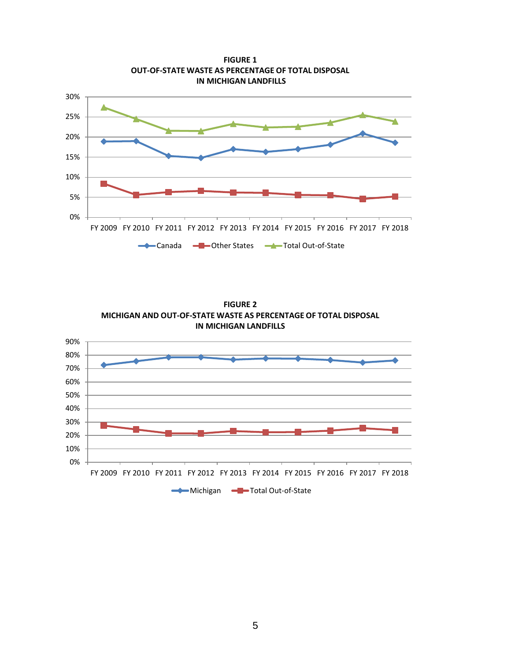

**FIGURE 2 MICHIGAN AND OUT-OF-STATE WASTE AS PERCENTAGE OF TOTAL DISPOSAL IN MICHIGAN LANDFILLS**

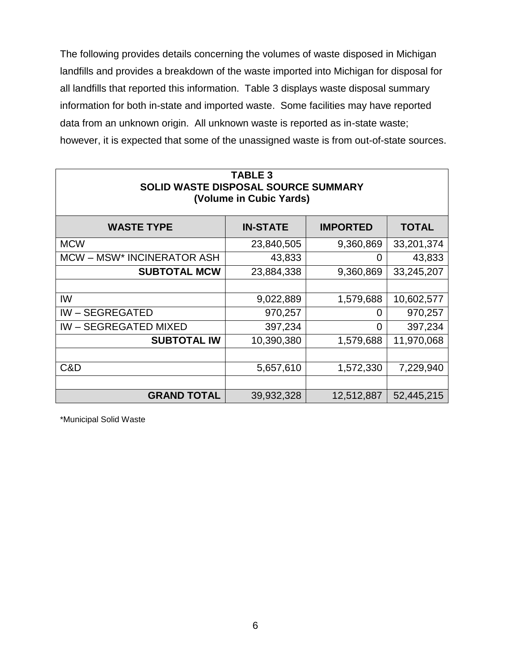The following provides details concerning the volumes of waste disposed in Michigan landfills and provides a breakdown of the waste imported into Michigan for disposal for all landfills that reported this information. Table 3 displays waste disposal summary information for both in-state and imported waste. Some facilities may have reported data from an unknown origin. All unknown waste is reported as in-state waste; however, it is expected that some of the unassigned waste is from out-of-state sources.

| <b>TABLE 3</b><br>SOLID WASTE DISPOSAL SOURCE SUMMARY<br>(Volume in Cubic Yards) |                 |                 |              |  |  |
|----------------------------------------------------------------------------------|-----------------|-----------------|--------------|--|--|
| <b>WASTE TYPE</b>                                                                | <b>IN-STATE</b> | <b>IMPORTED</b> | <b>TOTAL</b> |  |  |
| <b>MCW</b>                                                                       | 23,840,505      | 9,360,869       | 33,201,374   |  |  |
| MCW-MSW* INCINERATOR ASH                                                         | 43,833          | 0               | 43,833       |  |  |
| <b>SUBTOTAL MCW</b>                                                              | 23,884,338      | 9,360,869       | 33,245,207   |  |  |
|                                                                                  |                 |                 |              |  |  |
| IW                                                                               | 9,022,889       | 1,579,688       | 10,602,577   |  |  |
| <b>IW-SEGREGATED</b>                                                             | 970,257         | O               | 970,257      |  |  |
| <b>IW-SEGREGATED MIXED</b>                                                       | 397,234         | 0               | 397,234      |  |  |
| <b>SUBTOTAL IW</b>                                                               | 10,390,380      | 1,579,688       | 11,970,068   |  |  |
|                                                                                  |                 |                 |              |  |  |
| C&D                                                                              | 5,657,610       | 1,572,330       | 7,229,940    |  |  |
|                                                                                  |                 |                 |              |  |  |
| <b>GRAND TOTAL</b>                                                               | 39,932,328      | 12,512,887      | 52,445,215   |  |  |

\*Municipal Solid Waste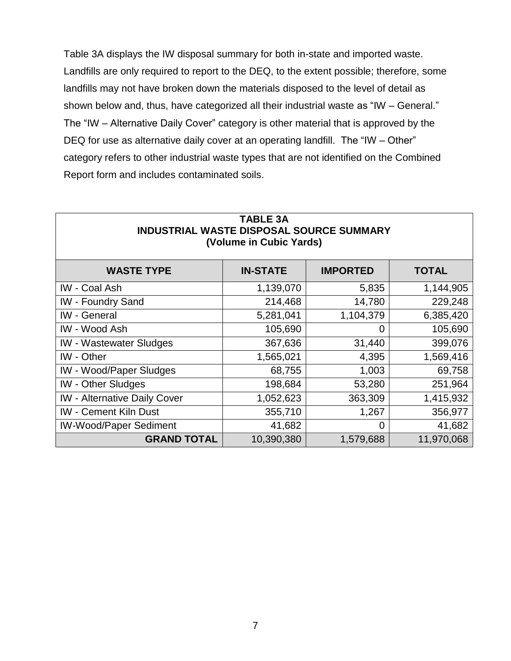Table 3A displays the IW disposal summary for both in-state and imported waste. Landfills are only required to report to the DEQ, to the extent possible; therefore, some landfills may not have broken down the materials disposed to the level of detail as shown below and, thus, have categorized all their industrial waste as "IW – General." The "IW – Alternative Daily Cover" category is other material that is approved by the DEQ for use as alternative daily cover at an operating landfill. The "IW – Other" category refers to other industrial waste types that are not identified on the Combined Report form and includes contaminated soils.

| <b>INDUSTRIAL WASTE DISPOSAL SOURCE SUMMARY</b><br>(Volume in Cubic Yards) |                 |                 |              |  |
|----------------------------------------------------------------------------|-----------------|-----------------|--------------|--|
| <b>WASTE TYPE</b>                                                          | <b>IN-STATE</b> | <b>IMPORTED</b> | <b>TOTAL</b> |  |
| <b>IW</b> - Coal Ash                                                       | 1,139,070       | 5,835           | 1,144,905    |  |
| <b>IW - Foundry Sand</b>                                                   | 214,468         | 14,780          | 229,248      |  |
| <b>IW</b> - General                                                        | 5,281,041       | 1,104,379       | 6,385,420    |  |
| <b>IW</b> - Wood Ash                                                       | 105,690         | 0               | 105,690      |  |
| <b>IW</b> - Wastewater Sludges                                             | 367,636         | 31,440          | 399,076      |  |
| <b>IW</b> - Other                                                          | 1,565,021       | 4,395           | 1,569,416    |  |
| <b>IW</b> - Wood/Paper Sludges                                             | 68,755          | 1,003           | 69,758       |  |
| <b>IW - Other Sludges</b>                                                  | 198,684         | 53,280          | 251,964      |  |
| <b>IW</b> - Alternative Daily Cover                                        | 1,052,623       | 363,309         | 1,415,932    |  |
| <b>IW</b> - Cement Kiln Dust                                               | 355,710         | 1,267           | 356,977      |  |
| <b>IW-Wood/Paper Sediment</b>                                              | 41,682          | 0               | 41,682       |  |
| <b>GRAND TOTAL</b><br>11,970,068<br>10,390,380<br>1,579,688                |                 |                 |              |  |

# **TABLE 3A**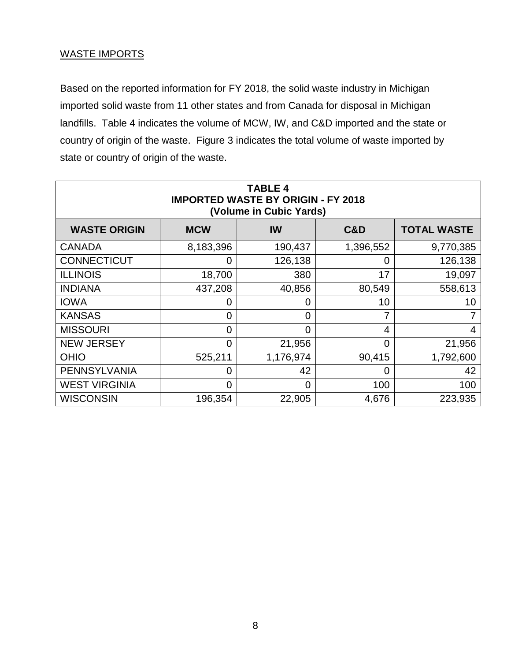#### WASTE IMPORTS

Based on the reported information for FY 2018, the solid waste industry in Michigan imported solid waste from 11 other states and from Canada for disposal in Michigan landfills. Table 4 indicates the volume of MCW, IW, and C&D imported and the state or country of origin of the waste. Figure 3 indicates the total volume of waste imported by state or country of origin of the waste.

| <b>TABLE 4</b><br><b>IMPORTED WASTE BY ORIGIN - FY 2018</b><br>(Volume in Cubic Yards) |                |                |                |                    |
|----------------------------------------------------------------------------------------|----------------|----------------|----------------|--------------------|
| <b>WASTE ORIGIN</b>                                                                    | <b>MCW</b>     | IW             | C&D            | <b>TOTAL WASTE</b> |
| <b>CANADA</b>                                                                          | 8,183,396      | 190,437        | 1,396,552      | 9,770,385          |
| <b>CONNECTICUT</b>                                                                     | 0              | 126,138        | 0              | 126,138            |
| <b>ILLINOIS</b>                                                                        | 18,700         | 380            | 17             | 19,097             |
| <b>INDIANA</b>                                                                         | 437,208        | 40,856         | 80,549         | 558,613            |
| <b>IOWA</b>                                                                            | 0              | $\overline{0}$ | 10             | 10 <sup>°</sup>    |
| <b>KANSAS</b>                                                                          | 0              | $\overline{0}$ | 7              |                    |
| <b>MISSOURI</b>                                                                        | 0              | $\overline{0}$ | 4              | 4                  |
| <b>NEW JERSEY</b>                                                                      | $\overline{0}$ | 21,956         | $\overline{0}$ | 21,956             |
| <b>OHIO</b>                                                                            | 525,211        | 1,176,974      | 90,415         | 1,792,600          |
| <b>PENNSYLVANIA</b>                                                                    | 0              | 42             | 0              | 42                 |
| <b>WEST VIRGINIA</b>                                                                   | 0              | $\overline{0}$ | 100            | 100                |
| <b>WISCONSIN</b>                                                                       | 196,354        | 22,905         | 4,676          | 223,935            |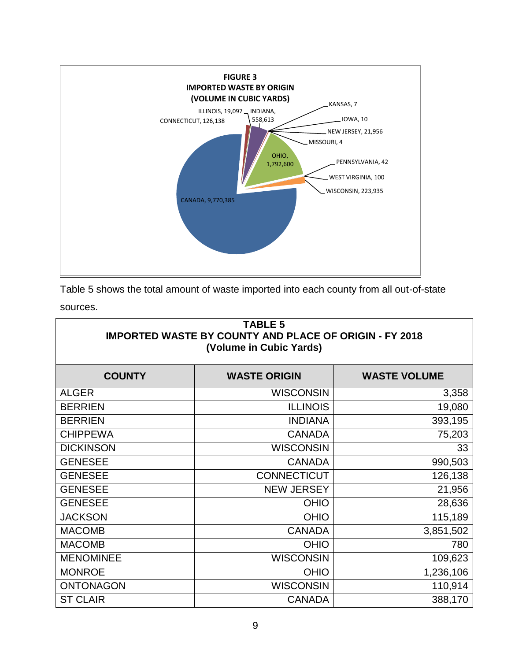

Table 5 shows the total amount of waste imported into each county from all out-of-state sources.

| <b>TABLE 5</b><br><b>IMPORTED WASTE BY COUNTY AND PLACE OF ORIGIN - FY 2018</b><br>(Volume in Cubic Yards) |                     |                     |  |
|------------------------------------------------------------------------------------------------------------|---------------------|---------------------|--|
| <b>COUNTY</b>                                                                                              | <b>WASTE ORIGIN</b> | <b>WASTE VOLUME</b> |  |
| <b>ALGER</b>                                                                                               | <b>WISCONSIN</b>    | 3,358               |  |
| <b>BERRIEN</b>                                                                                             | <b>ILLINOIS</b>     | 19,080              |  |
| <b>BERRIEN</b>                                                                                             | <b>INDIANA</b>      | 393,195             |  |
| <b>CHIPPEWA</b>                                                                                            | <b>CANADA</b>       | 75,203              |  |
| <b>DICKINSON</b>                                                                                           | <b>WISCONSIN</b>    | 33                  |  |
| <b>GENESEE</b>                                                                                             | <b>CANADA</b>       | 990,503             |  |
| <b>GENESEE</b>                                                                                             | <b>CONNECTICUT</b>  | 126,138             |  |
| <b>GENESEE</b>                                                                                             | <b>NEW JERSEY</b>   | 21,956              |  |
| <b>GENESEE</b>                                                                                             | <b>OHIO</b>         | 28,636              |  |
| <b>JACKSON</b>                                                                                             | <b>OHIO</b>         | 115,189             |  |
| <b>MACOMB</b>                                                                                              | <b>CANADA</b>       | 3,851,502           |  |
| <b>MACOMB</b>                                                                                              | <b>OHIO</b>         | 780                 |  |
| <b>MENOMINEE</b>                                                                                           | <b>WISCONSIN</b>    | 109,623             |  |
| <b>MONROE</b>                                                                                              | <b>OHIO</b>         | 1,236,106           |  |
| <b>ONTONAGON</b>                                                                                           | <b>WISCONSIN</b>    | 110,914             |  |
| <b>ST CLAIR</b>                                                                                            | <b>CANADA</b>       | 388,170             |  |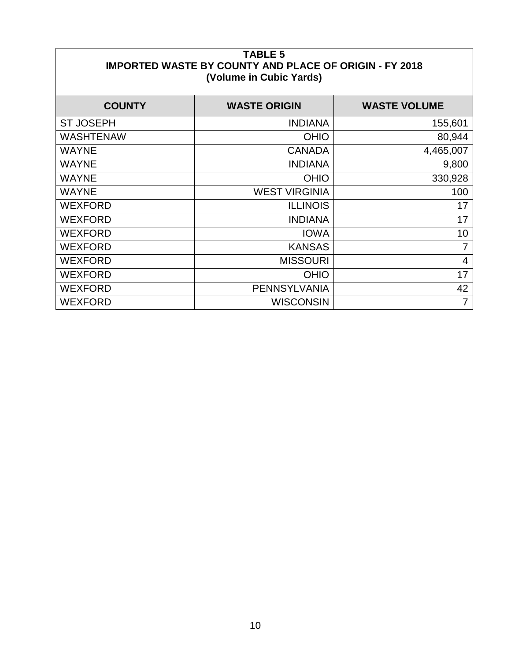| <b>TABLE 5</b><br><b>IMPORTED WASTE BY COUNTY AND PLACE OF ORIGIN - FY 2018</b><br>(Volume in Cubic Yards) |                      |                     |  |
|------------------------------------------------------------------------------------------------------------|----------------------|---------------------|--|
| <b>COUNTY</b>                                                                                              | <b>WASTE ORIGIN</b>  | <b>WASTE VOLUME</b> |  |
| <b>ST JOSEPH</b>                                                                                           | <b>INDIANA</b>       | 155,601             |  |
| <b>WASHTENAW</b>                                                                                           | <b>OHIO</b>          | 80,944              |  |
| <b>WAYNE</b>                                                                                               | <b>CANADA</b>        | 4,465,007           |  |
| <b>WAYNE</b>                                                                                               | <b>INDIANA</b>       | 9,800               |  |
| <b>WAYNE</b>                                                                                               | <b>OHIO</b>          | 330,928             |  |
| <b>WAYNE</b>                                                                                               | <b>WEST VIRGINIA</b> | 100                 |  |
| <b>WEXFORD</b>                                                                                             | <b>ILLINOIS</b>      | 17                  |  |
| <b>WEXFORD</b>                                                                                             | <b>INDIANA</b>       | 17                  |  |
| <b>WEXFORD</b>                                                                                             | <b>IOWA</b>          | 10                  |  |
| <b>WEXFORD</b>                                                                                             | <b>KANSAS</b>        | 7                   |  |
| <b>WEXFORD</b>                                                                                             | <b>MISSOURI</b>      | 4                   |  |
| <b>WEXFORD</b>                                                                                             | <b>OHIO</b>          | 17                  |  |
| <b>WEXFORD</b>                                                                                             | PENNSYLVANIA         | 42                  |  |
| <b>WEXFORD</b>                                                                                             | <b>WISCONSIN</b>     | 7                   |  |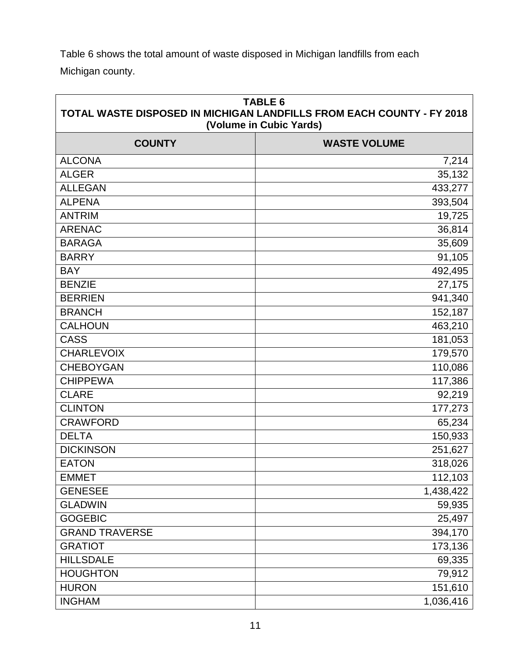Table 6 shows the total amount of waste disposed in Michigan landfills from each Michigan county.

| <b>TABLE 6</b><br>TOTAL WASTE DISPOSED IN MICHIGAN LANDFILLS FROM EACH COUNTY - FY 2018<br>(Volume in Cubic Yards) |                     |  |
|--------------------------------------------------------------------------------------------------------------------|---------------------|--|
| <b>COUNTY</b>                                                                                                      | <b>WASTE VOLUME</b> |  |
| <b>ALCONA</b>                                                                                                      | 7,214               |  |
| <b>ALGER</b>                                                                                                       | 35,132              |  |
| <b>ALLEGAN</b>                                                                                                     | 433,277             |  |
| <b>ALPENA</b>                                                                                                      | 393,504             |  |
| <b>ANTRIM</b>                                                                                                      | 19,725              |  |
| <b>ARENAC</b>                                                                                                      | 36,814              |  |
| <b>BARAGA</b>                                                                                                      | 35,609              |  |
| <b>BARRY</b>                                                                                                       | 91,105              |  |
| <b>BAY</b>                                                                                                         | 492,495             |  |
| <b>BENZIE</b>                                                                                                      | 27,175              |  |
| <b>BERRIEN</b>                                                                                                     | 941,340             |  |
| <b>BRANCH</b>                                                                                                      | 152, 187            |  |
| <b>CALHOUN</b>                                                                                                     | 463,210             |  |
| <b>CASS</b>                                                                                                        | 181,053             |  |
| <b>CHARLEVOIX</b>                                                                                                  | 179,570             |  |
| <b>CHEBOYGAN</b>                                                                                                   | 110,086             |  |
| <b>CHIPPEWA</b>                                                                                                    | 117,386             |  |
| <b>CLARE</b>                                                                                                       | 92,219              |  |
| <b>CLINTON</b>                                                                                                     | 177,273             |  |
| <b>CRAWFORD</b>                                                                                                    | 65,234              |  |
| <b>DELTA</b>                                                                                                       | 150,933             |  |
| <b>DICKINSON</b>                                                                                                   | 251,627             |  |
| <b>EATON</b>                                                                                                       | 318,026             |  |
| <b>EMMET</b>                                                                                                       | 112,103             |  |
| <b>GENESEE</b>                                                                                                     | 1,438,422           |  |
| <b>GLADWIN</b>                                                                                                     | 59,935              |  |
| <b>GOGEBIC</b>                                                                                                     | 25,497              |  |
| <b>GRAND TRAVERSE</b>                                                                                              | 394,170             |  |
| <b>GRATIOT</b>                                                                                                     | 173,136             |  |
| <b>HILLSDALE</b>                                                                                                   | 69,335              |  |
| <b>HOUGHTON</b>                                                                                                    | 79,912              |  |
| <b>HURON</b>                                                                                                       | 151,610             |  |
| <b>INGHAM</b>                                                                                                      | 1,036,416           |  |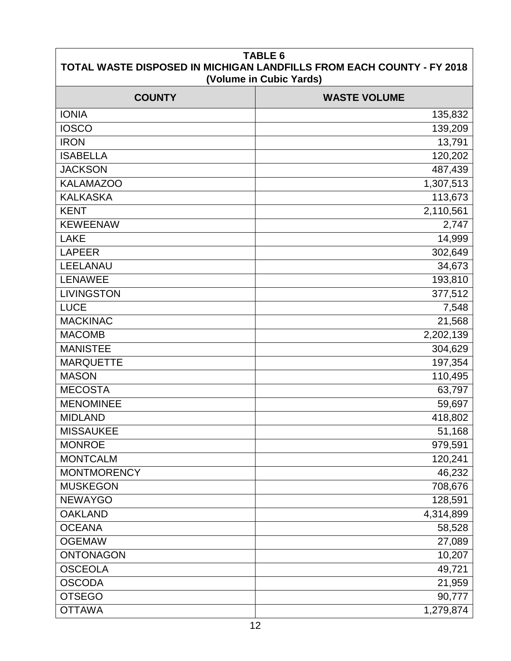| <b>TABLE 6</b><br>TOTAL WASTE DISPOSED IN MICHIGAN LANDFILLS FROM EACH COUNTY - FY 2018<br>(Volume in Cubic Yards) |                     |  |  |
|--------------------------------------------------------------------------------------------------------------------|---------------------|--|--|
| <b>COUNTY</b>                                                                                                      | <b>WASTE VOLUME</b> |  |  |
| <b>IONIA</b>                                                                                                       | 135,832             |  |  |
| <b>IOSCO</b>                                                                                                       | 139,209             |  |  |
| <b>IRON</b>                                                                                                        | 13,791              |  |  |
| <b>ISABELLA</b>                                                                                                    | 120,202             |  |  |
| <b>JACKSON</b>                                                                                                     | 487,439             |  |  |
| <b>KALAMAZOO</b>                                                                                                   | 1,307,513           |  |  |
| <b>KALKASKA</b>                                                                                                    | 113,673             |  |  |
| <b>KENT</b>                                                                                                        | 2,110,561           |  |  |
| <b>KEWEENAW</b>                                                                                                    | 2,747               |  |  |
| <b>LAKE</b>                                                                                                        | 14,999              |  |  |
| <b>LAPEER</b>                                                                                                      | 302,649             |  |  |
| LEELANAU                                                                                                           | 34,673              |  |  |
| <b>LENAWEE</b>                                                                                                     | 193,810             |  |  |
| <b>LIVINGSTON</b>                                                                                                  | 377,512             |  |  |
| <b>LUCE</b>                                                                                                        | 7,548               |  |  |
| <b>MACKINAC</b>                                                                                                    | 21,568              |  |  |
| <b>MACOMB</b>                                                                                                      | 2,202,139           |  |  |
| <b>MANISTEE</b>                                                                                                    | 304,629             |  |  |
| <b>MARQUETTE</b>                                                                                                   | 197,354             |  |  |
| <b>MASON</b>                                                                                                       | 110,495             |  |  |
| <b>MECOSTA</b>                                                                                                     | 63,797              |  |  |
| <b>MENOMINEE</b>                                                                                                   | 59,697              |  |  |
| <b>MIDLAND</b>                                                                                                     | 418,802             |  |  |
| <b>MISSAUKEE</b>                                                                                                   | 51,168              |  |  |
| <b>MONROE</b>                                                                                                      | 979,591             |  |  |
| <b>MONTCALM</b>                                                                                                    | 120,241             |  |  |
| <b>MONTMORENCY</b>                                                                                                 | 46,232              |  |  |
| <b>MUSKEGON</b>                                                                                                    | 708,676             |  |  |
| <b>NEWAYGO</b>                                                                                                     | 128,591             |  |  |
| <b>OAKLAND</b>                                                                                                     | 4,314,899           |  |  |
| <b>OCEANA</b>                                                                                                      | 58,528              |  |  |
| <b>OGEMAW</b>                                                                                                      | 27,089              |  |  |
| <b>ONTONAGON</b>                                                                                                   | 10,207              |  |  |
| <b>OSCEOLA</b>                                                                                                     | 49,721              |  |  |
| <b>OSCODA</b>                                                                                                      | 21,959              |  |  |
| <b>OTSEGO</b>                                                                                                      | 90,777              |  |  |
| <b>OTTAWA</b>                                                                                                      | 1,279,874           |  |  |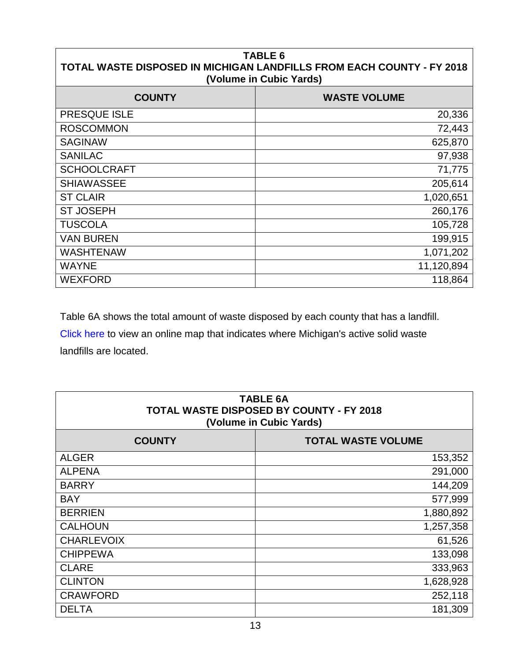#### **TABLE 6 TOTAL WASTE DISPOSED IN MICHIGAN LANDFILLS FROM EACH COUNTY - FY 2018 (Volume in Cubic Yards)**

| <b>COUNTY</b>      | <b>WASTE VOLUME</b> |
|--------------------|---------------------|
| PRESQUE ISLE       | 20,336              |
| <b>ROSCOMMON</b>   | 72,443              |
| <b>SAGINAW</b>     | 625,870             |
| <b>SANILAC</b>     | 97,938              |
| <b>SCHOOLCRAFT</b> | 71,775              |
| <b>SHIAWASSEE</b>  | 205,614             |
| <b>ST CLAIR</b>    | 1,020,651           |
| <b>ST JOSEPH</b>   | 260,176             |
| <b>TUSCOLA</b>     | 105,728             |
| <b>VAN BUREN</b>   | 199,915             |
| <b>WASHTENAW</b>   | 1,071,202           |
| <b>WAYNE</b>       | 11,120,894          |
| <b>WEXFORD</b>     | 118,864             |

Table 6A shows the total amount of waste disposed by each county that has a landfill.

[Click here](http://www.michigan.gov/documents/deq/deq-whmd-swp-Landfill-map_247566_7.pdf) to view an online map that indicates where Michigan's active solid waste landfills are located.

| <b>TABLE 6A</b><br><b>TOTAL WASTE DISPOSED BY COUNTY - FY 2018</b><br>(Volume in Cubic Yards) |                           |  |
|-----------------------------------------------------------------------------------------------|---------------------------|--|
| <b>COUNTY</b>                                                                                 | <b>TOTAL WASTE VOLUME</b> |  |
| <b>ALGER</b>                                                                                  | 153,352                   |  |
| <b>ALPENA</b>                                                                                 | 291,000                   |  |
| <b>BARRY</b>                                                                                  | 144,209                   |  |
| <b>BAY</b>                                                                                    | 577,999                   |  |
| <b>BERRIEN</b>                                                                                | 1,880,892                 |  |
| <b>CALHOUN</b>                                                                                | 1,257,358                 |  |
| <b>CHARLEVOIX</b>                                                                             | 61,526                    |  |
| <b>CHIPPEWA</b>                                                                               | 133,098                   |  |
| <b>CLARE</b>                                                                                  | 333,963                   |  |
| <b>CLINTON</b>                                                                                | 1,628,928                 |  |
| <b>CRAWFORD</b>                                                                               | 252,118                   |  |
| <b>DELTA</b>                                                                                  | 181,309                   |  |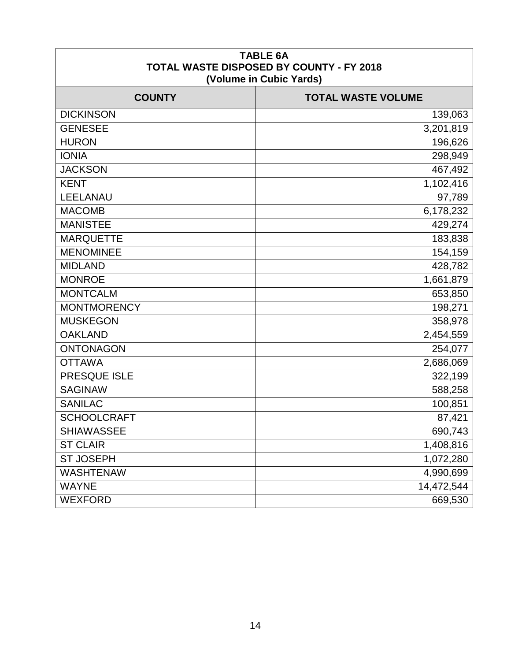| <b>TABLE 6A</b><br><b>TOTAL WASTE DISPOSED BY COUNTY - FY 2018</b><br>(Volume in Cubic Yards) |                           |  |  |
|-----------------------------------------------------------------------------------------------|---------------------------|--|--|
| <b>COUNTY</b>                                                                                 | <b>TOTAL WASTE VOLUME</b> |  |  |
| <b>DICKINSON</b>                                                                              | 139,063                   |  |  |
| <b>GENESEE</b>                                                                                | 3,201,819                 |  |  |
| <b>HURON</b>                                                                                  | 196,626                   |  |  |
| <b>IONIA</b>                                                                                  | 298,949                   |  |  |
| <b>JACKSON</b>                                                                                | 467,492                   |  |  |
| <b>KENT</b>                                                                                   | 1,102,416                 |  |  |
| LEELANAU                                                                                      | 97,789                    |  |  |
| <b>MACOMB</b>                                                                                 | 6,178,232                 |  |  |
| <b>MANISTEE</b>                                                                               | 429,274                   |  |  |
| <b>MARQUETTE</b>                                                                              | 183,838                   |  |  |
| <b>MENOMINEE</b>                                                                              | 154,159                   |  |  |
| <b>MIDLAND</b>                                                                                | 428,782                   |  |  |
| <b>MONROE</b>                                                                                 | 1,661,879                 |  |  |
| <b>MONTCALM</b>                                                                               | 653,850                   |  |  |
| <b>MONTMORENCY</b>                                                                            | 198,271                   |  |  |
| <b>MUSKEGON</b>                                                                               | 358,978                   |  |  |
| <b>OAKLAND</b>                                                                                | 2,454,559                 |  |  |
| <b>ONTONAGON</b>                                                                              | 254,077                   |  |  |
| <b>OTTAWA</b>                                                                                 | 2,686,069                 |  |  |
| PRESQUE ISLE                                                                                  | 322,199                   |  |  |
| <b>SAGINAW</b>                                                                                | 588,258                   |  |  |
| <b>SANILAC</b>                                                                                | 100,851                   |  |  |
| <b>SCHOOLCRAFT</b>                                                                            | 87,421                    |  |  |
| <b>SHIAWASSEE</b>                                                                             | 690,743                   |  |  |
| <b>ST CLAIR</b>                                                                               | 1,408,816                 |  |  |
| <b>ST JOSEPH</b>                                                                              | 1,072,280                 |  |  |
| <b>WASHTENAW</b>                                                                              | 4,990,699                 |  |  |
| <b>WAYNE</b>                                                                                  | 14,472,544                |  |  |
| <b>WEXFORD</b>                                                                                | 669,530                   |  |  |

 $\mathbf{I}$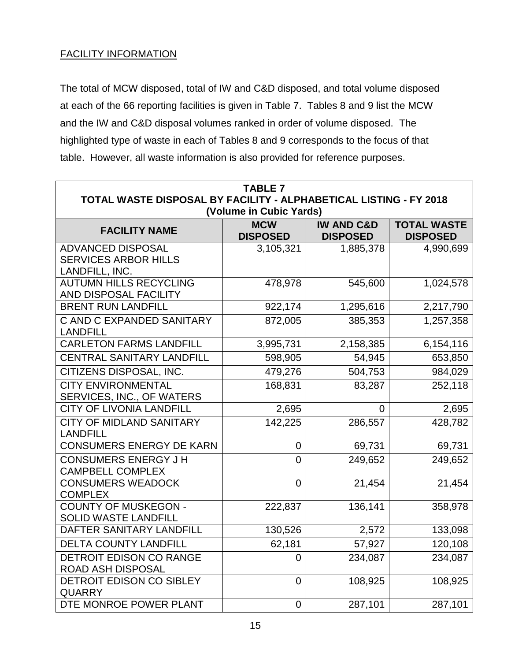#### FACILITY INFORMATION

The total of MCW disposed, total of IW and C&D disposed, and total volume disposed at each of the 66 reporting facilities is given in Table 7. Tables 8 and 9 list the MCW and the IW and C&D disposal volumes ranked in order of volume disposed. The highlighted type of waste in each of Tables 8 and 9 corresponds to the focus of that table. However, all waste information is also provided for reference purposes.

| <b>TABLE 7</b><br>TOTAL WASTE DISPOSAL BY FACILITY - ALPHABETICAL LISTING - FY 2018                                                        |                         |           |           |  |  |  |
|--------------------------------------------------------------------------------------------------------------------------------------------|-------------------------|-----------|-----------|--|--|--|
|                                                                                                                                            | (Volume in Cubic Yards) |           |           |  |  |  |
| <b>TOTAL WASTE</b><br><b>MCW</b><br><b>IW AND C&amp;D</b><br><b>FACILITY NAME</b><br><b>DISPOSED</b><br><b>DISPOSED</b><br><b>DISPOSED</b> |                         |           |           |  |  |  |
| <b>ADVANCED DISPOSAL</b><br><b>SERVICES ARBOR HILLS</b><br>LANDFILL, INC.                                                                  | 3,105,321               | 1,885,378 | 4,990,699 |  |  |  |
| <b>AUTUMN HILLS RECYCLING</b><br>AND DISPOSAL FACILITY                                                                                     | 478,978                 | 545,600   | 1,024,578 |  |  |  |
| <b>BRENT RUN LANDFILL</b>                                                                                                                  | 922,174                 | 1,295,616 | 2,217,790 |  |  |  |
| C AND C EXPANDED SANITARY<br><b>LANDFILL</b>                                                                                               | 872,005                 | 385,353   | 1,257,358 |  |  |  |
| <b>CARLETON FARMS LANDFILL</b>                                                                                                             | 3,995,731               | 2,158,385 | 6,154,116 |  |  |  |
| <b>CENTRAL SANITARY LANDFILL</b>                                                                                                           | 598,905                 | 54,945    | 653,850   |  |  |  |
| CITIZENS DISPOSAL, INC.                                                                                                                    | 479,276                 | 504,753   | 984,029   |  |  |  |
| <b>CITY ENVIRONMENTAL</b><br>SERVICES, INC., OF WATERS                                                                                     | 168,831                 | 83,287    | 252,118   |  |  |  |
| <b>CITY OF LIVONIA LANDFILL</b>                                                                                                            | 2,695                   | 0         | 2,695     |  |  |  |
| <b>CITY OF MIDLAND SANITARY</b><br><b>LANDFILL</b>                                                                                         | 142,225                 | 286,557   | 428,782   |  |  |  |
| CONSUMERS ENERGY DE KARN                                                                                                                   | $\overline{0}$          | 69,731    | 69,731    |  |  |  |
| <b>CONSUMERS ENERGY J H</b><br><b>CAMPBELL COMPLEX</b>                                                                                     | $\overline{0}$          | 249,652   | 249,652   |  |  |  |
| <b>CONSUMERS WEADOCK</b><br><b>COMPLEX</b>                                                                                                 | $\mathbf 0$             | 21,454    | 21,454    |  |  |  |
| <b>COUNTY OF MUSKEGON -</b><br><b>SOLID WASTE LANDFILL</b>                                                                                 | 222,837                 | 136,141   | 358,978   |  |  |  |
| DAFTER SANITARY LANDFILL                                                                                                                   | 130,526                 | 2,572     | 133,098   |  |  |  |
| <b>DELTA COUNTY LANDFILL</b>                                                                                                               | 62,181                  | 57,927    | 120,108   |  |  |  |
| <b>DETROIT EDISON CO RANGE</b><br>ROAD ASH DISPOSAL                                                                                        | 0                       | 234,087   | 234,087   |  |  |  |
| DETROIT EDISON CO SIBLEY<br><b>QUARRY</b>                                                                                                  | $\overline{0}$          | 108,925   | 108,925   |  |  |  |
| DTE MONROE POWER PLANT                                                                                                                     | $\mathbf 0$             | 287,101   | 287,101   |  |  |  |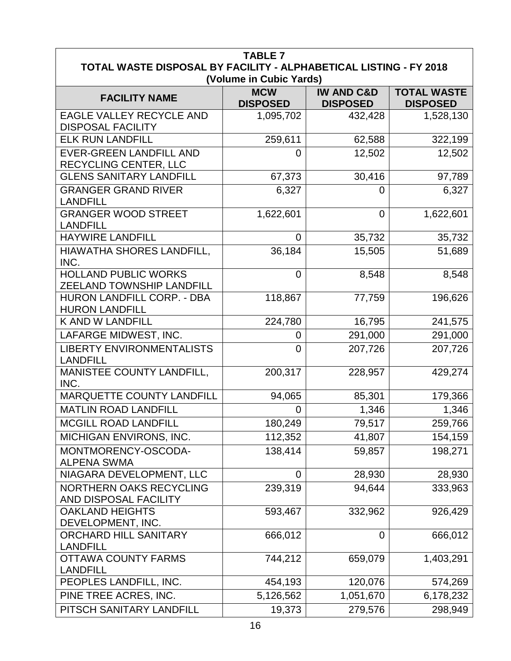| <b>TABLE 7</b>                                                    |                               |                                          |                                       |  |
|-------------------------------------------------------------------|-------------------------------|------------------------------------------|---------------------------------------|--|
| TOTAL WASTE DISPOSAL BY FACILITY - ALPHABETICAL LISTING - FY 2018 |                               |                                          |                                       |  |
|                                                                   | (Volume in Cubic Yards)       |                                          |                                       |  |
| <b>FACILITY NAME</b>                                              | <b>MCW</b><br><b>DISPOSED</b> | <b>IW AND C&amp;D</b><br><b>DISPOSED</b> | <b>TOTAL WASTE</b><br><b>DISPOSED</b> |  |
| EAGLE VALLEY RECYCLE AND                                          | 1,095,702                     | 432,428                                  | 1,528,130                             |  |
| <b>DISPOSAL FACILITY</b>                                          |                               |                                          |                                       |  |
| <b>ELK RUN LANDFILL</b>                                           | 259,611                       | 62,588                                   | 322,199                               |  |
| <b>EVER-GREEN LANDFILL AND</b>                                    | 0                             | 12,502                                   | 12,502                                |  |
| RECYCLING CENTER, LLC                                             |                               |                                          |                                       |  |
| <b>GLENS SANITARY LANDFILL</b>                                    | 67,373                        | 30,416                                   | 97,789                                |  |
| <b>GRANGER GRAND RIVER</b><br><b>LANDFILL</b>                     | 6,327                         | 0                                        | 6,327                                 |  |
| <b>GRANGER WOOD STREET</b><br><b>LANDFILL</b>                     | 1,622,601                     | 0                                        | 1,622,601                             |  |
| <b>HAYWIRE LANDFILL</b>                                           | 0                             | 35,732                                   | 35,732                                |  |
| HIAWATHA SHORES LANDFILL,<br>INC.                                 | 36,184                        | 15,505                                   | 51,689                                |  |
| <b>HOLLAND PUBLIC WORKS</b><br>ZEELAND TOWNSHIP LANDFILL          | $\overline{0}$                | 8,548                                    | 8,548                                 |  |
| HURON LANDFILL CORP. - DBA<br><b>HURON LANDFILL</b>               | 118,867                       | 77,759                                   | 196,626                               |  |
| K AND W LANDFILL                                                  | 224,780                       | 16,795                                   | 241,575                               |  |
| LAFARGE MIDWEST, INC.                                             | 0                             | 291,000                                  | 291,000                               |  |
| <b>LIBERTY ENVIRONMENTALISTS</b><br><b>LANDFILL</b>               | 0                             | 207,726                                  | 207,726                               |  |
| MANISTEE COUNTY LANDFILL,<br>INC.                                 | 200,317                       | 228,957                                  | 429,274                               |  |
| <b>MARQUETTE COUNTY LANDFILL</b>                                  | 94,065                        | 85,301                                   | 179,366                               |  |
| <b>MATLIN ROAD LANDFILL</b>                                       | 0                             | 1,346                                    | 1,346                                 |  |
| MCGILL ROAD LANDFILL                                              | 180,249                       | 79,517                                   | 259,766                               |  |
| <b>MICHIGAN ENVIRONS, INC.</b>                                    | 112,352                       | 41,807                                   | 154,159                               |  |
| MONTMORENCY-OSCODA-<br><b>ALPENA SWMA</b>                         | 138,414                       | 59,857                                   | 198,271                               |  |
| NIAGARA DEVELOPMENT, LLC                                          | 0                             | 28,930                                   | 28,930                                |  |
| <b>NORTHERN OAKS RECYCLING</b><br>AND DISPOSAL FACILITY           | 239,319                       | 94,644                                   | 333,963                               |  |
| <b>OAKLAND HEIGHTS</b><br>DEVELOPMENT, INC.                       | 593,467                       | 332,962                                  | 926,429                               |  |
| ORCHARD HILL SANITARY<br><b>LANDFILL</b>                          | 666,012                       | $\overline{0}$                           | 666,012                               |  |
| <b>OTTAWA COUNTY FARMS</b><br><b>LANDFILL</b>                     | 744,212                       | 659,079                                  | 1,403,291                             |  |
| PEOPLES LANDFILL, INC.                                            | 454,193                       | 120,076                                  | 574,269                               |  |
| PINE TREE ACRES, INC.                                             | 5,126,562                     | 1,051,670                                | 6,178,232                             |  |
| PITSCH SANITARY LANDFILL                                          | 19,373                        | 279,576                                  | 298,949                               |  |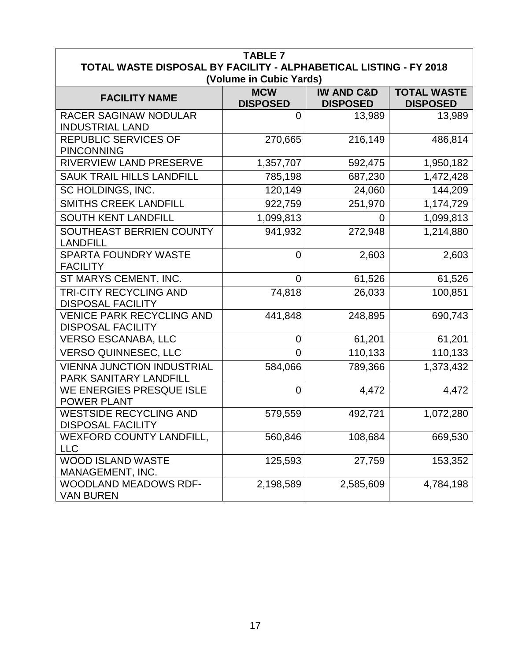|                                                                   | <b>TABLE 7</b>                        |                       |                    |
|-------------------------------------------------------------------|---------------------------------------|-----------------------|--------------------|
| TOTAL WASTE DISPOSAL BY FACILITY - ALPHABETICAL LISTING - FY 2018 |                                       |                       |                    |
|                                                                   | (Volume in Cubic Yards)<br><b>MCW</b> | <b>IW AND C&amp;D</b> | <b>TOTAL WASTE</b> |
| <b>FACILITY NAME</b>                                              | <b>DISPOSED</b>                       | <b>DISPOSED</b>       | <b>DISPOSED</b>    |
| RACER SAGINAW NODULAR                                             | 0                                     | 13,989                | 13,989             |
| <b>INDUSTRIAL LAND</b>                                            |                                       |                       |                    |
| REPUBLIC SERVICES OF<br><b>PINCONNING</b>                         | 270,665                               | 216,149               | 486,814            |
| <b>RIVERVIEW LAND PRESERVE</b>                                    | 1,357,707                             | 592,475               | 1,950,182          |
| <b>SAUK TRAIL HILLS LANDFILL</b>                                  | 785,198                               | 687,230               | 1,472,428          |
| SC HOLDINGS, INC.                                                 | 120,149                               | 24,060                | 144,209            |
| <b>SMITHS CREEK LANDFILL</b>                                      | 922,759                               | 251,970               | 1,174,729          |
| <b>SOUTH KENT LANDFILL</b>                                        | 1,099,813                             | 0                     | 1,099,813          |
| SOUTHEAST BERRIEN COUNTY                                          | 941,932                               | 272,948               | 1,214,880          |
| <b>LANDFILL</b>                                                   |                                       |                       |                    |
| <b>SPARTA FOUNDRY WASTE</b>                                       | $\overline{0}$                        | 2,603                 | 2,603              |
| <b>FACILITY</b>                                                   |                                       |                       |                    |
| ST MARYS CEMENT, INC.                                             | $\overline{0}$                        | 61,526                | 61,526             |
| TRI-CITY RECYCLING AND                                            | 74,818                                | 26,033                | 100,851            |
| <b>DISPOSAL FACILITY</b>                                          |                                       |                       |                    |
| <b>VENICE PARK RECYCLING AND</b><br><b>DISPOSAL FACILITY</b>      | 441,848                               | 248,895               | 690,743            |
| <b>VERSO ESCANABA, LLC</b>                                        | $\overline{0}$                        | 61,201                | 61,201             |
| <b>VERSO QUINNESEC, LLC</b>                                       | 0                                     | 110,133               | 110,133            |
| <b>VIENNA JUNCTION INDUSTRIAL</b>                                 | 584,066                               | 789,366               | 1,373,432          |
| PARK SANITARY LANDFILL                                            |                                       |                       |                    |
| WE ENERGIES PRESQUE ISLE<br><b>POWER PLANT</b>                    | $\overline{0}$                        | 4,472                 | 4,472              |
| <b>WESTSIDE RECYCLING AND</b>                                     | 579,559                               | 492,721               | 1,072,280          |
| <b>DISPOSAL FACILITY</b>                                          |                                       |                       |                    |
| <b>WEXFORD COUNTY LANDFILL,</b>                                   | 560,846                               | 108,684               | 669,530            |
| <b>LLC</b>                                                        |                                       |                       |                    |
| <b>WOOD ISLAND WASTE</b><br>MANAGEMENT, INC.                      | 125,593                               | 27,759                | 153,352            |
| WOODLAND MEADOWS RDF-                                             | 2,198,589                             | 2,585,609             | 4,784,198          |
| <b>VAN BUREN</b>                                                  |                                       |                       |                    |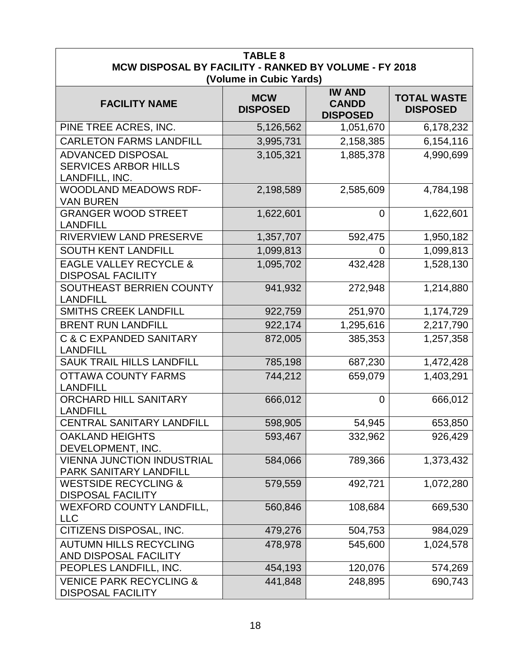| <b>TABLE 8</b><br>MCW DISPOSAL BY FACILITY - RANKED BY VOLUME - FY 2018<br>(Volume in Cubic Yards) |                               |                                                  |                                       |  |
|----------------------------------------------------------------------------------------------------|-------------------------------|--------------------------------------------------|---------------------------------------|--|
| <b>FACILITY NAME</b>                                                                               | <b>MCW</b><br><b>DISPOSED</b> | <b>IW AND</b><br><b>CANDD</b><br><b>DISPOSED</b> | <b>TOTAL WASTE</b><br><b>DISPOSED</b> |  |
| PINE TREE ACRES, INC.                                                                              | 5,126,562                     | 1,051,670                                        | 6,178,232                             |  |
| <b>CARLETON FARMS LANDFILL</b>                                                                     | 3,995,731                     | 2,158,385                                        | 6,154,116                             |  |
| <b>ADVANCED DISPOSAL</b><br><b>SERVICES ARBOR HILLS</b><br>LANDFILL, INC.                          | 3,105,321                     | 1,885,378                                        | 4,990,699                             |  |
| <b>WOODLAND MEADOWS RDF-</b><br><b>VAN BUREN</b>                                                   | 2,198,589                     | 2,585,609                                        | 4,784,198                             |  |
| <b>GRANGER WOOD STREET</b><br><b>LANDFILL</b>                                                      | 1,622,601                     | $\overline{0}$                                   | 1,622,601                             |  |
| RIVERVIEW LAND PRESERVE                                                                            | 1,357,707                     | 592,475                                          | 1,950,182                             |  |
| <b>SOUTH KENT LANDFILL</b>                                                                         | 1,099,813                     | 0                                                | 1,099,813                             |  |
| <b>EAGLE VALLEY RECYCLE &amp;</b><br><b>DISPOSAL FACILITY</b>                                      | 1,095,702                     | 432,428                                          | 1,528,130                             |  |
| SOUTHEAST BERRIEN COUNTY<br><b>LANDFILL</b>                                                        | 941,932                       | 272,948                                          | 1,214,880                             |  |
| <b>SMITHS CREEK LANDFILL</b>                                                                       | 922,759                       | 251,970                                          | 1,174,729                             |  |
| <b>BRENT RUN LANDFILL</b>                                                                          | 922,174                       | 1,295,616                                        | 2,217,790                             |  |
| <b>C &amp; C EXPANDED SANITARY</b><br><b>LANDFILL</b>                                              | 872,005                       | 385,353                                          | 1,257,358                             |  |
| <b>SAUK TRAIL HILLS LANDFILL</b>                                                                   | 785,198                       | 687,230                                          | 1,472,428                             |  |
| <b>OTTAWA COUNTY FARMS</b><br><b>LANDFILL</b>                                                      | 744,212                       | 659,079                                          | 1,403,291                             |  |
| <b>ORCHARD HILL SANITARY</b><br><b>LANDFILL</b>                                                    | 666,012                       | $\overline{0}$                                   | 666,012                               |  |
| CENTRAL SANITARY LANDFILL                                                                          | 598,905                       | 54,945                                           | 653,850                               |  |
| <b>OAKLAND HEIGHTS</b><br>DEVELOPMENT, INC.                                                        | 593,467                       | 332,962                                          | 926,429                               |  |
| <b>VIENNA JUNCTION INDUSTRIAL</b><br>PARK SANITARY LANDFILL                                        | 584,066                       | 789,366                                          | 1,373,432                             |  |
| <b>WESTSIDE RECYCLING &amp;</b><br><b>DISPOSAL FACILITY</b>                                        | 579,559                       | 492,721                                          | 1,072,280                             |  |
| <b>WEXFORD COUNTY LANDFILL,</b><br><b>LLC</b>                                                      | 560,846                       | 108,684                                          | 669,530                               |  |
| CITIZENS DISPOSAL, INC.                                                                            | 479,276                       | 504,753                                          | 984,029                               |  |
| <b>AUTUMN HILLS RECYCLING</b><br>AND DISPOSAL FACILITY                                             | 478,978                       | 545,600                                          | 1,024,578                             |  |
| PEOPLES LANDFILL, INC.                                                                             | 454,193                       | 120,076                                          | 574,269                               |  |
| <b>VENICE PARK RECYCLING &amp;</b><br><b>DISPOSAL FACILITY</b>                                     | 441,848                       | 248,895                                          | 690,743                               |  |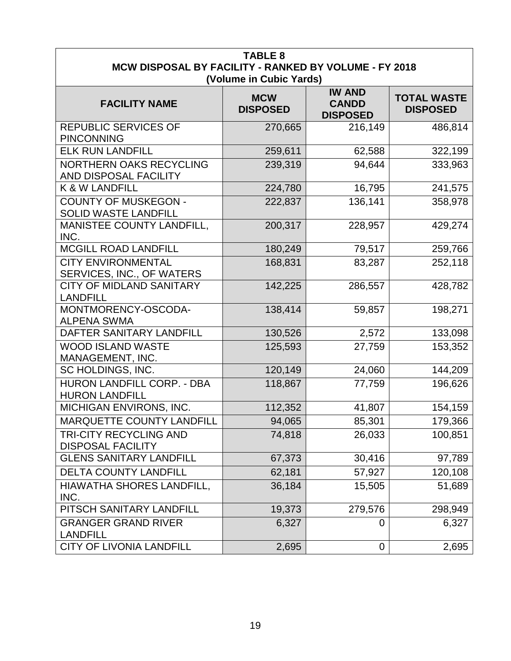| <b>TABLE 8</b><br>MCW DISPOSAL BY FACILITY - RANKED BY VOLUME - FY 2018                                                                                                       |         |         |         |  |  |  |  |
|-------------------------------------------------------------------------------------------------------------------------------------------------------------------------------|---------|---------|---------|--|--|--|--|
| (Volume in Cubic Yards)<br><b>IW AND</b><br><b>TOTAL WASTE</b><br><b>MCW</b><br><b>CANDD</b><br><b>FACILITY NAME</b><br><b>DISPOSED</b><br><b>DISPOSED</b><br><b>DISPOSED</b> |         |         |         |  |  |  |  |
| <b>REPUBLIC SERVICES OF</b><br><b>PINCONNING</b>                                                                                                                              | 270,665 | 216,149 | 486,814 |  |  |  |  |
| <b>ELK RUN LANDFILL</b>                                                                                                                                                       | 259,611 | 62,588  | 322,199 |  |  |  |  |
| <b>NORTHERN OAKS RECYCLING</b><br>AND DISPOSAL FACILITY                                                                                                                       | 239,319 | 94,644  | 333,963 |  |  |  |  |
| K & W LANDFILL                                                                                                                                                                | 224,780 | 16,795  | 241,575 |  |  |  |  |
| <b>COUNTY OF MUSKEGON -</b><br><b>SOLID WASTE LANDFILL</b>                                                                                                                    | 222,837 | 136,141 | 358,978 |  |  |  |  |
| <b>MANISTEE COUNTY LANDFILL,</b><br>INC.                                                                                                                                      | 200,317 | 228,957 | 429,274 |  |  |  |  |
| <b>MCGILL ROAD LANDFILL</b>                                                                                                                                                   | 180,249 | 79,517  | 259,766 |  |  |  |  |
| <b>CITY ENVIRONMENTAL</b><br>SERVICES, INC., OF WATERS                                                                                                                        | 168,831 | 83,287  | 252,118 |  |  |  |  |
| <b>CITY OF MIDLAND SANITARY</b><br><b>LANDFILL</b>                                                                                                                            | 142,225 | 286,557 | 428,782 |  |  |  |  |
| MONTMORENCY-OSCODA-<br><b>ALPENA SWMA</b>                                                                                                                                     | 138,414 | 59,857  | 198,271 |  |  |  |  |
| DAFTER SANITARY LANDFILL                                                                                                                                                      | 130,526 | 2,572   | 133,098 |  |  |  |  |
| <b>WOOD ISLAND WASTE</b><br>MANAGEMENT, INC.                                                                                                                                  | 125,593 | 27,759  | 153,352 |  |  |  |  |
| SC HOLDINGS, INC.                                                                                                                                                             | 120,149 | 24,060  | 144,209 |  |  |  |  |
| HURON LANDFILL CORP. - DBA<br><b>HURON LANDFILL</b>                                                                                                                           | 118,867 | 77,759  | 196,626 |  |  |  |  |
| MICHIGAN ENVIRONS, INC.                                                                                                                                                       | 112,352 | 41,807  | 154,159 |  |  |  |  |
| <b>MARQUETTE COUNTY LANDFILI</b>                                                                                                                                              | 94,065  | 85,301  | 179,366 |  |  |  |  |
| <b>TRI-CITY RECYCLING AND</b><br><b>DISPOSAL FACILITY</b>                                                                                                                     | 74,818  | 26,033  | 100,851 |  |  |  |  |
| <b>GLENS SANITARY LANDFILL</b>                                                                                                                                                | 67,373  | 30,416  | 97,789  |  |  |  |  |
| <b>DELTA COUNTY LANDFILL</b>                                                                                                                                                  | 62,181  | 57,927  | 120,108 |  |  |  |  |
| HIAWATHA SHORES LANDFILL,<br>INC.                                                                                                                                             | 36,184  | 15,505  | 51,689  |  |  |  |  |
| PITSCH SANITARY LANDFILL                                                                                                                                                      | 19,373  | 279,576 | 298,949 |  |  |  |  |
| <b>GRANGER GRAND RIVER</b><br><b>LANDFILL</b>                                                                                                                                 | 6,327   | 0       | 6,327   |  |  |  |  |
| <b>CITY OF LIVONIA LANDFILL</b>                                                                                                                                               | 2,695   | 0       | 2,695   |  |  |  |  |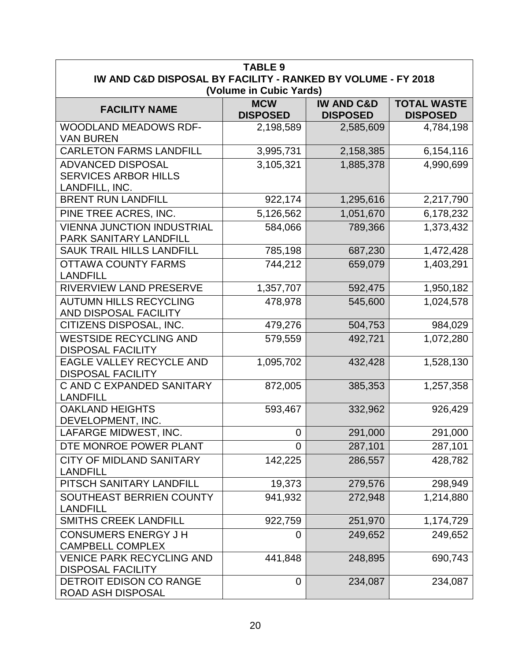| <b>TABLE 9</b>                                               |                         |                       |                    |
|--------------------------------------------------------------|-------------------------|-----------------------|--------------------|
| IW AND C&D DISPOSAL BY FACILITY - RANKED BY VOLUME - FY 2018 | (Volume in Cubic Yards) |                       |                    |
|                                                              | <b>MCW</b>              | <b>IW AND C&amp;D</b> | <b>TOTAL WASTE</b> |
| <b>FACILITY NAME</b>                                         | <b>DISPOSED</b>         | <b>DISPOSED</b>       | <b>DISPOSED</b>    |
| <b>WOODLAND MEADOWS RDF-</b>                                 | 2,198,589               | 2,585,609             | 4,784,198          |
| <b>VAN BUREN</b>                                             |                         |                       |                    |
| <b>CARLETON FARMS LANDFILL</b>                               | 3,995,731               | 2,158,385             | 6,154,116          |
| <b>ADVANCED DISPOSAL</b>                                     | 3,105,321               | 1,885,378             | 4,990,699          |
| <b>SERVICES ARBOR HILLS</b><br>LANDFILL, INC.                |                         |                       |                    |
| <b>BRENT RUN LANDFILL</b>                                    | 922,174                 | 1,295,616             | 2,217,790          |
| PINE TREE ACRES, INC.                                        | 5,126,562               | 1,051,670             | 6,178,232          |
| <b>VIENNA JUNCTION INDUSTRIAL</b>                            | 584,066                 | 789,366               | 1,373,432          |
| PARK SANITARY LANDFILL                                       |                         |                       |                    |
| <b>SAUK TRAIL HILLS LANDFILL</b>                             | 785,198                 | 687,230               | 1,472,428          |
| <b>OTTAWA COUNTY FARMS</b>                                   | 744,212                 | 659,079               | 1,403,291          |
| <b>LANDFILL</b>                                              |                         |                       |                    |
| <b>RIVERVIEW LAND PRESERVE</b>                               | 1,357,707               | 592,475               | 1,950,182          |
| <b>AUTUMN HILLS RECYCLING</b>                                | 478,978                 | 545,600               | 1,024,578          |
| AND DISPOSAL FACILITY                                        |                         |                       |                    |
| CITIZENS DISPOSAL, INC.                                      | 479,276                 | 504,753               | 984,029            |
| <b>WESTSIDE RECYCLING AND</b><br><b>DISPOSAL FACILITY</b>    | 579,559                 | 492,721               | 1,072,280          |
| <b>EAGLE VALLEY RECYCLE AND</b><br><b>DISPOSAL FACILITY</b>  | 1,095,702               | 432,428               | 1,528,130          |
| C AND C EXPANDED SANITARY                                    | 872,005                 | 385,353               | 1,257,358          |
| <b>LANDFILL</b>                                              |                         |                       |                    |
| <b>OAKLAND HEIGHTS</b><br>DEVELOPMENT, INC.                  | 593,467                 | 332,962               | 926,429            |
| LAFARGE MIDWEST, INC.                                        | $\Omega$                | 291,000               | 291,000            |
| DTE MONROE POWER PLANT                                       | $\overline{0}$          | 287,101               | 287,101            |
| <b>CITY OF MIDLAND SANITARY</b><br><b>LANDFILL</b>           | 142,225                 | 286,557               | 428,782            |
| PITSCH SANITARY LANDFILL                                     | 19,373                  | 279,576               | 298,949            |
| SOUTHEAST BERRIEN COUNTY                                     | 941,932                 | 272,948               | 1,214,880          |
| <b>LANDFILL</b>                                              |                         |                       |                    |
| <b>SMITHS CREEK LANDFILL</b>                                 | 922,759                 | 251,970               | 1,174,729          |
| <b>CONSUMERS ENERGY J H</b><br><b>CAMPBELL COMPLEX</b>       | 0                       | 249,652               | 249,652            |
| <b>VENICE PARK RECYCLING AND</b><br><b>DISPOSAL FACILITY</b> | 441,848                 | 248,895               | 690,743            |
| DETROIT EDISON CO RANGE<br>ROAD ASH DISPOSAL                 | $\overline{0}$          | 234,087               | 234,087            |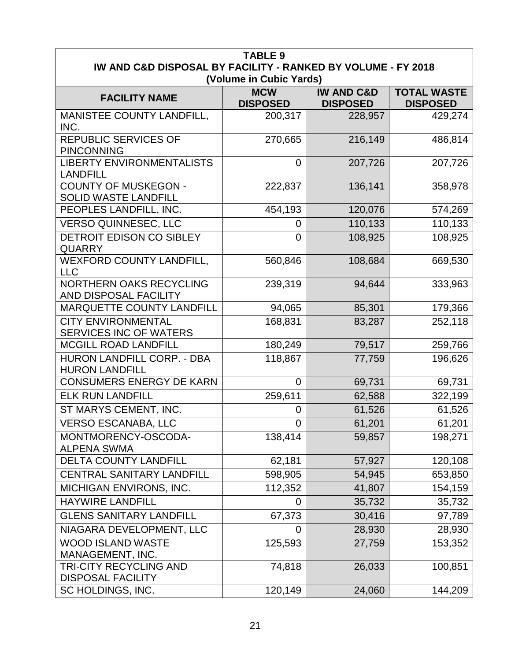| <b>TABLE 9</b><br>IW AND C&D DISPOSAL BY FACILITY - RANKED BY VOLUME - FY 2018 |                               |                                          |                                       |  |
|--------------------------------------------------------------------------------|-------------------------------|------------------------------------------|---------------------------------------|--|
|                                                                                | (Volume in Cubic Yards)       |                                          |                                       |  |
| <b>FACILITY NAME</b>                                                           | <b>MCW</b><br><b>DISPOSED</b> | <b>IW AND C&amp;D</b><br><b>DISPOSED</b> | <b>TOTAL WASTE</b><br><b>DISPOSED</b> |  |
| MANISTEE COUNTY LANDFILL,<br>INC.                                              | 200,317                       | 228,957                                  | 429,274                               |  |
| <b>REPUBLIC SERVICES OF</b><br><b>PINCONNING</b>                               | 270,665                       | 216,149                                  | 486,814                               |  |
| <b>LIBERTY ENVIRONMENTALISTS</b><br><b>LANDFILL</b>                            | $\overline{0}$                | 207,726                                  | 207,726                               |  |
| <b>COUNTY OF MUSKEGON -</b><br><b>SOLID WASTE LANDFILL</b>                     | 222,837                       | 136,141                                  | 358,978                               |  |
| PEOPLES LANDFILL, INC.                                                         | 454,193                       | 120,076                                  | 574,269                               |  |
| <b>VERSO QUINNESEC, LLC</b>                                                    | 0                             | 110,133                                  | 110,133                               |  |
| DETROIT EDISON CO SIBLEY<br><b>QUARRY</b>                                      | $\overline{0}$                | 108,925                                  | 108,925                               |  |
| <b>WEXFORD COUNTY LANDFILL,</b><br><b>LLC</b>                                  | 560,846                       | 108,684                                  | 669,530                               |  |
| <b>NORTHERN OAKS RECYCLING</b><br>AND DISPOSAL FACILITY                        | 239,319                       | 94,644                                   | 333,963                               |  |
| MARQUETTE COUNTY LANDFILL                                                      | 94,065                        | 85,301                                   | 179,366                               |  |
| <b>CITY ENVIRONMENTAL</b><br><b>SERVICES INC OF WATERS</b>                     | 168,831                       | 83,287                                   | 252,118                               |  |
| <b>MCGILL ROAD LANDFILL</b>                                                    | 180,249                       | 79,517                                   | 259,766                               |  |
| HURON LANDFILL CORP. - DBA<br><b>HURON LANDFILL</b>                            | 118,867                       | 77,759                                   | 196,626                               |  |
| <b>CONSUMERS ENERGY DE KARN</b>                                                | $\overline{0}$                | 69,731                                   | 69,731                                |  |
| <b>ELK RUN LANDFILL</b>                                                        | 259,611                       | 62,588                                   | 322,199                               |  |
| ST MARYS CEMENT, INC.                                                          | 0                             | 61,526                                   | 61,526                                |  |
| <b>VERSO ESCANABA, LLC</b>                                                     | $\pmb{0}$                     | 61,201                                   | 61,201                                |  |
| MONTMORENCY-OSCODA-<br><b>ALPENA SWMA</b>                                      | 138,414                       | 59,857                                   | 198,271                               |  |
| <b>DELTA COUNTY LANDFILL</b>                                                   | 62,181                        | 57,927                                   | 120,108                               |  |
| <b>CENTRAL SANITARY LANDFILL</b>                                               | 598,905                       | 54,945                                   | 653,850                               |  |
| MICHIGAN ENVIRONS, INC.                                                        | 112,352                       | 41,807                                   | 154,159                               |  |
| <b>HAYWIRE LANDFILL</b>                                                        | 0                             | 35,732                                   | 35,732                                |  |
| <b>GLENS SANITARY LANDFILL</b>                                                 | 67,373                        | 30,416                                   | 97,789                                |  |
| NIAGARA DEVELOPMENT, LLC                                                       | 0                             | 28,930                                   | 28,930                                |  |
| <b>WOOD ISLAND WASTE</b><br>MANAGEMENT, INC.                                   | 125,593                       | 27,759                                   | 153,352                               |  |
| TRI-CITY RECYCLING AND<br><b>DISPOSAL FACILITY</b>                             | 74,818                        | 26,033                                   | 100,851                               |  |
| SC HOLDINGS, INC.                                                              | 120,149                       | 24,060                                   | 144,209                               |  |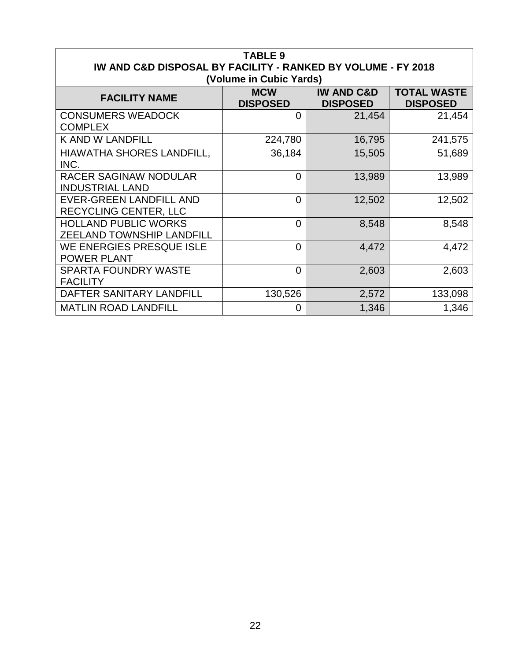| <b>TABLE 9</b><br>IW AND C&D DISPOSAL BY FACILITY - RANKED BY VOLUME - FY 2018<br>(Volume in Cubic Yards) |                               |                                          |                                       |  |
|-----------------------------------------------------------------------------------------------------------|-------------------------------|------------------------------------------|---------------------------------------|--|
| <b>FACILITY NAME</b>                                                                                      | <b>MCW</b><br><b>DISPOSED</b> | <b>IW AND C&amp;D</b><br><b>DISPOSED</b> | <b>TOTAL WASTE</b><br><b>DISPOSED</b> |  |
| <b>CONSUMERS WEADOCK</b><br><b>COMPLEX</b>                                                                | 0                             | 21,454                                   | 21,454                                |  |
| <b>K AND W LANDFILL</b>                                                                                   | 224,780                       | 16,795                                   | 241,575                               |  |
| <b>HIAWATHA SHORES LANDFILL,</b><br>INC.                                                                  | 36,184                        | 15,505                                   | 51,689                                |  |
| <b>RACER SAGINAW NODULAR</b><br><b>INDUSTRIAL LAND</b>                                                    | $\overline{0}$                | 13,989                                   | 13,989                                |  |
| <b>EVER-GREEN LANDFILL AND</b><br><b>RECYCLING CENTER, LLC</b>                                            | $\Omega$                      | 12,502                                   | 12,502                                |  |
| <b>HOLLAND PUBLIC WORKS</b><br><b>ZEELAND TOWNSHIP LANDFILL</b>                                           | $\overline{0}$                | 8,548                                    | 8,548                                 |  |
| WE ENERGIES PRESQUE ISLE<br><b>POWER PLANT</b>                                                            | $\overline{0}$                | 4,472                                    | 4,472                                 |  |
| <b>SPARTA FOUNDRY WASTE</b><br><b>FACILITY</b>                                                            | $\Omega$                      | 2,603                                    | 2,603                                 |  |
| DAFTER SANITARY LANDFILL                                                                                  | 130,526                       | 2,572                                    | 133,098                               |  |
| <b>MATLIN ROAD LANDFILL</b>                                                                               | $\Omega$                      | 1,346                                    | 1,346                                 |  |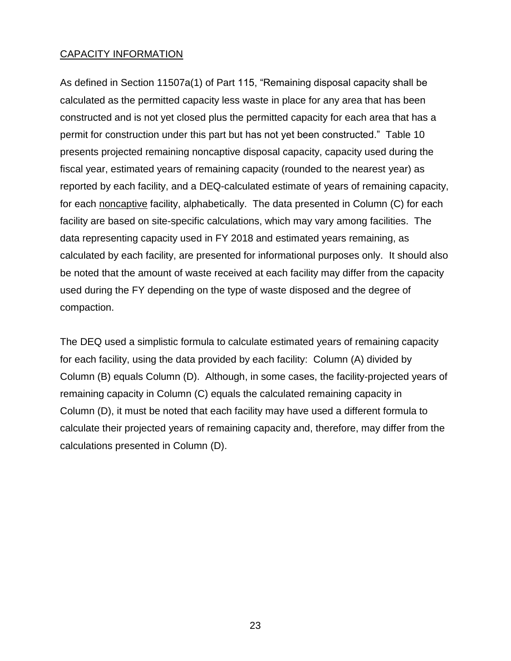#### CAPACITY INFORMATION

As defined in Section 11507a(1) of Part 115, "Remaining disposal capacity shall be calculated as the permitted capacity less waste in place for any area that has been constructed and is not yet closed plus the permitted capacity for each area that has a permit for construction under this part but has not yet been constructed." Table 10 presents projected remaining noncaptive disposal capacity, capacity used during the fiscal year, estimated years of remaining capacity (rounded to the nearest year) as reported by each facility, and a DEQ-calculated estimate of years of remaining capacity, for each noncaptive facility, alphabetically. The data presented in Column (C) for each facility are based on site-specific calculations, which may vary among facilities. The data representing capacity used in FY 2018 and estimated years remaining, as calculated by each facility, are presented for informational purposes only. It should also be noted that the amount of waste received at each facility may differ from the capacity used during the FY depending on the type of waste disposed and the degree of compaction.

The DEQ used a simplistic formula to calculate estimated years of remaining capacity for each facility, using the data provided by each facility: Column (A) divided by Column (B) equals Column (D). Although, in some cases, the facility-projected years of remaining capacity in Column (C) equals the calculated remaining capacity in Column (D), it must be noted that each facility may have used a different formula to calculate their projected years of remaining capacity and, therefore, may differ from the calculations presented in Column (D).

23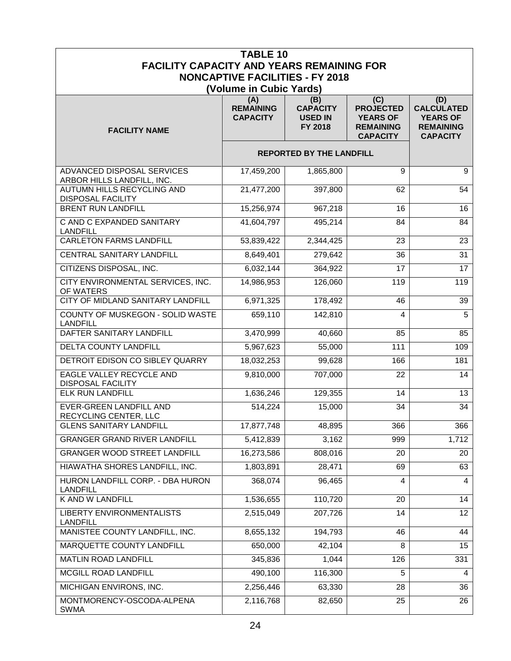|                                                          | <b>TABLE 10</b>                            |                                                     |                                                                                   |                                                                                    |
|----------------------------------------------------------|--------------------------------------------|-----------------------------------------------------|-----------------------------------------------------------------------------------|------------------------------------------------------------------------------------|
| <b>FACILITY CAPACITY AND YEARS REMAINING FOR</b>         |                                            |                                                     |                                                                                   |                                                                                    |
|                                                          | <b>NONCAPTIVE FACILITIES - FY 2018</b>     |                                                     |                                                                                   |                                                                                    |
|                                                          | (Volume in Cubic Yards)                    |                                                     |                                                                                   |                                                                                    |
| <b>FACILITY NAME</b>                                     | (A)<br><b>REMAINING</b><br><b>CAPACITY</b> | (B)<br><b>CAPACITY</b><br><b>USED IN</b><br>FY 2018 | (C)<br><b>PROJECTED</b><br><b>YEARS OF</b><br><b>REMAINING</b><br><b>CAPACITY</b> | (D)<br><b>CALCULATED</b><br><b>YEARS OF</b><br><b>REMAINING</b><br><b>CAPACITY</b> |
|                                                          | <b>REPORTED BY THE LANDFILL</b>            |                                                     |                                                                                   |                                                                                    |
| ADVANCED DISPOSAL SERVICES<br>ARBOR HILLS LANDFILL, INC. | 17,459,200                                 | 1,865,800                                           | 9                                                                                 | 9                                                                                  |
| AUTUMN HILLS RECYCLING AND<br><b>DISPOSAL FACILITY</b>   | 21,477,200                                 | 397,800                                             | 62                                                                                | 54                                                                                 |
| <b>BRENT RUN LANDFILL</b>                                | 15,256,974                                 | 967,218                                             | 16                                                                                | 16                                                                                 |
| C AND C EXPANDED SANITARY<br><b>LANDFILL</b>             | 41,604,797                                 | 495,214                                             | 84                                                                                | 84                                                                                 |
| <b>CARLETON FARMS LANDFILL</b>                           | 53,839,422                                 | 2,344,425                                           | 23                                                                                | 23                                                                                 |
| <b>CENTRAL SANITARY LANDFILL</b>                         | 8,649,401                                  | 279,642                                             | 36                                                                                | 31                                                                                 |
| CITIZENS DISPOSAL, INC.                                  | 6,032,144                                  | 364,922                                             | 17                                                                                | 17                                                                                 |
| CITY ENVIRONMENTAL SERVICES, INC.<br>OF WATERS           | 14,986,953                                 | 126,060                                             | 119                                                                               | 119                                                                                |
| <b>CITY OF MIDLAND SANITARY LANDFILL</b>                 | 6,971,325                                  | 178,492                                             | 46                                                                                | 39                                                                                 |
| COUNTY OF MUSKEGON - SOLID WASTE<br><b>LANDFILL</b>      | 659,110                                    | 142,810                                             | 4                                                                                 | $\overline{5}$                                                                     |
| DAFTER SANITARY LANDFILL                                 | 3,470,999                                  | 40,660                                              | 85                                                                                | 85                                                                                 |
| DELTA COUNTY LANDFILL                                    | 5,967,623                                  | 55,000                                              | 111                                                                               | 109                                                                                |
| DETROIT EDISON CO SIBLEY QUARRY                          | 18,032,253                                 | 99,628                                              | 166                                                                               | 181                                                                                |
| EAGLE VALLEY RECYCLE AND<br><b>DISPOSAL FACILITY</b>     | 9,810,000                                  | 707,000                                             | 22                                                                                | 14                                                                                 |
| <b>ELK RUN LANDFILL</b>                                  | 1,636,246                                  | 129,355                                             | 14                                                                                | 13                                                                                 |
| <b>EVER-GREEN LANDFILL AND</b><br>RECYCLING CENTER, LLC  | 514,224                                    | 15,000                                              | 34                                                                                | 34                                                                                 |
| <b>GLENS SANITARY LANDFILL</b>                           | 17,877,748                                 | 48,895                                              | 366                                                                               | 366                                                                                |
| <b>GRANGER GRAND RIVER LANDFILL</b>                      | 5,412,839                                  | 3,162                                               | 999                                                                               | 1,712                                                                              |
| <b>GRANGER WOOD STREET LANDFILL</b>                      | 16,273,586                                 | 808,016                                             | 20                                                                                | 20                                                                                 |
| HIAWATHA SHORES LANDFILL, INC.                           | 1,803,891                                  | 28,471                                              | 69                                                                                | 63                                                                                 |
| HURON LANDFILL CORP. - DBA HURON<br><b>LANDFILL</b>      | 368,074                                    | 96,465                                              | 4                                                                                 | 4                                                                                  |
| K AND W LANDFILL                                         | 1,536,655                                  | 110,720                                             | 20                                                                                | 14                                                                                 |
| LIBERTY ENVIRONMENTALISTS<br><b>LANDFILL</b>             | 2,515,049                                  | 207,726                                             | 14                                                                                | 12 <sup>°</sup>                                                                    |
| MANISTEE COUNTY LANDFILL, INC.                           | 8,655,132                                  | 194,793                                             | 46                                                                                | 44                                                                                 |
| MARQUETTE COUNTY LANDFILL                                | 650,000                                    | 42,104                                              | 8                                                                                 | 15                                                                                 |
| MATLIN ROAD LANDFILL                                     | 345,836                                    | 1,044                                               | 126                                                                               | 331                                                                                |
| <b>MCGILL ROAD LANDFILL</b>                              | 490,100                                    | 116,300                                             | 5                                                                                 | 4                                                                                  |
| MICHIGAN ENVIRONS, INC.                                  | 2,256,446                                  | 63,330                                              | 28                                                                                | 36                                                                                 |
| MONTMORENCY-OSCODA-ALPENA<br><b>SWMA</b>                 | 2,116,768                                  | 82,650                                              | 25                                                                                | 26                                                                                 |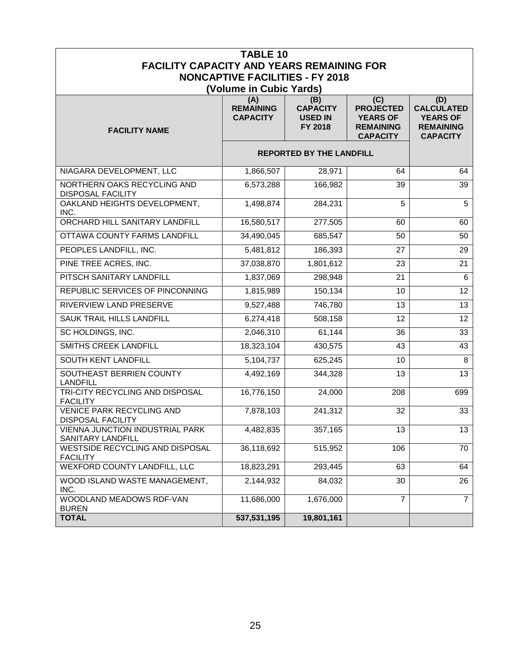| <b>TABLE 10</b>                                              |                                            |                                                     |                                                                                   |                                                                                    |
|--------------------------------------------------------------|--------------------------------------------|-----------------------------------------------------|-----------------------------------------------------------------------------------|------------------------------------------------------------------------------------|
| <b>FACILITY CAPACITY AND YEARS REMAINING FOR</b>             | <b>NONCAPTIVE FACILITIES - FY 2018</b>     |                                                     |                                                                                   |                                                                                    |
|                                                              | (Volume in Cubic Yards)                    |                                                     |                                                                                   |                                                                                    |
| <b>FACILITY NAME</b>                                         | (A)<br><b>REMAINING</b><br><b>CAPACITY</b> | (B)<br><b>CAPACITY</b><br><b>USED IN</b><br>FY 2018 | (C)<br><b>PROJECTED</b><br><b>YEARS OF</b><br><b>REMAINING</b><br><b>CAPACITY</b> | (D)<br><b>CALCULATED</b><br><b>YEARS OF</b><br><b>REMAINING</b><br><b>CAPACITY</b> |
|                                                              |                                            | <b>REPORTED BY THE LANDFILL</b>                     |                                                                                   |                                                                                    |
| NIAGARA DEVELOPMENT, LLC                                     | 1,866,507                                  | 28,971                                              | 64                                                                                | 64                                                                                 |
| NORTHERN OAKS RECYCLING AND<br><b>DISPOSAL FACILITY</b>      | 6,573,288                                  | 166,982                                             | 39                                                                                | 39                                                                                 |
| OAKLAND HEIGHTS DEVELOPMENT,<br>INC.                         | 1,498,874                                  | 284,231                                             | 5                                                                                 | 5                                                                                  |
| ORCHARD HILL SANITARY LANDFILL                               | 16,580,517                                 | 277,505                                             | 60                                                                                | 60                                                                                 |
| OTTAWA COUNTY FARMS LANDFILL                                 | $\overline{34,}490,045$                    | 685,547                                             | 50                                                                                | 50                                                                                 |
| PEOPLES LANDFILL, INC.                                       | 5,481,812                                  | 186,393                                             | 27                                                                                | 29                                                                                 |
| PINE TREE ACRES, INC.                                        | 37,038,870                                 | 1,801,612                                           | 23                                                                                | 21                                                                                 |
| PITSCH SANITARY LANDFILL                                     | 1,837,069                                  | 298,948                                             | 21                                                                                | 6                                                                                  |
| REPUBLIC SERVICES OF PINCONNING                              | 1,815,989                                  | 150,134                                             | 10                                                                                | 12 <sup>2</sup>                                                                    |
| RIVERVIEW LAND PRESERVE                                      | 9,527,488                                  | 746,780                                             | 13                                                                                | 13                                                                                 |
| SAUK TRAIL HILLS LANDFILL                                    | 6,274,418                                  | 508,158                                             | 12                                                                                | 12                                                                                 |
| SC HOLDINGS, INC.                                            | 2,046,310                                  | 61,144                                              | 36                                                                                | 33                                                                                 |
| <b>SMITHS CREEK LANDFILL</b>                                 | 18,323,104                                 | 430,575                                             | 43                                                                                | 43                                                                                 |
| <b>SOUTH KENT LANDFILL</b>                                   | 5,104,737                                  | 625,245                                             | 10                                                                                | 8                                                                                  |
| SOUTHEAST BERRIEN COUNTY<br><b>LANDFILL</b>                  | 4,492,169                                  | 344,328                                             | 13                                                                                | 13                                                                                 |
| TRI-CITY RECYCLING AND DISPOSAL<br><b>FACILITY</b>           | 16,776,150                                 | 24,000                                              | 208                                                                               | 699                                                                                |
| <b>VENICE PARK RECYCLING AND</b><br><b>DISPOSAL FACILITY</b> | 7,878,103                                  | 241,312                                             | 32                                                                                | 33                                                                                 |
| VIENNA JUNCTION INDUSTRIAL PARK<br>SANITARY LANDFILL         | 4,482,835                                  | 357,165                                             | 13                                                                                | 13                                                                                 |
| WESTSIDE RECYCLING AND DISPOSAL<br><b>FACILITY</b>           | 36,118,692                                 | 515,952                                             | 106                                                                               | 70                                                                                 |
| WEXFORD COUNTY LANDFILL, LLC                                 | 18,823,291                                 | 293,445                                             | 63                                                                                | 64                                                                                 |
| WOOD ISLAND WASTE MANAGEMENT,<br>INC.                        | 2,144,932                                  | 84,032                                              | 30                                                                                | 26                                                                                 |
| WOODLAND MEADOWS RDF-VAN<br><b>BUREN</b>                     | 11,686,000                                 | 1,676,000                                           | 7                                                                                 | $7^{\circ}$                                                                        |
| <b>TOTAL</b>                                                 | 537,531,195                                | 19,801,161                                          |                                                                                   |                                                                                    |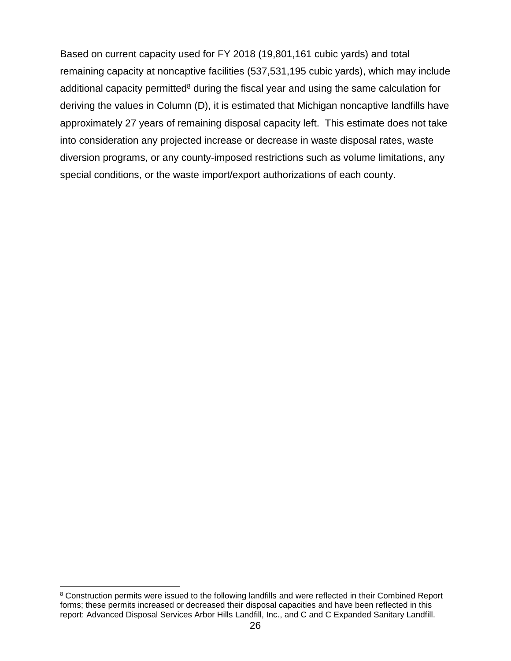Based on current capacity used for FY 2018 (19,801,161 cubic yards) and total remaining capacity at noncaptive facilities (537,531,195 cubic yards), which may include additional capacity permitted $8$  during the fiscal year and using the same calculation for deriving the values in Column (D), it is estimated that Michigan noncaptive landfills have approximately 27 years of remaining disposal capacity left. This estimate does not take into consideration any projected increase or decrease in waste disposal rates, waste diversion programs, or any county-imposed restrictions such as volume limitations, any special conditions, or the waste import/export authorizations of each county.

 $\overline{a}$ <sup>8</sup> Construction permits were issued to the following landfills and were reflected in their Combined Report forms; these permits increased or decreased their disposal capacities and have been reflected in this report: Advanced Disposal Services Arbor Hills Landfill, Inc., and C and C Expanded Sanitary Landfill.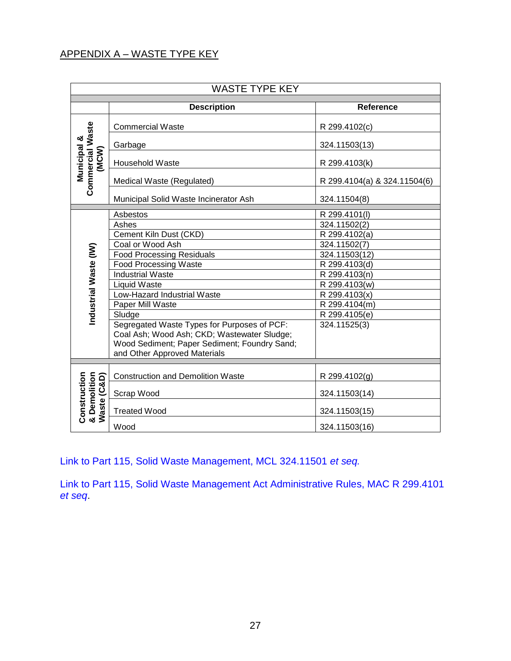#### APPENDIX A – WASTE TYPE KEY

| <b>WASTE TYPE KEY</b>                       |                                              |                              |  |
|---------------------------------------------|----------------------------------------------|------------------------------|--|
|                                             | <b>Description</b>                           | <b>Reference</b>             |  |
|                                             | <b>Commercial Waste</b>                      | R 299.4102(c)                |  |
|                                             | Garbage                                      | 324.11503(13)                |  |
| Municipal &<br>(MCW)                        | Household Waste                              | R 299.4103(k)                |  |
| <b>Commercial Waste</b>                     | Medical Waste (Regulated)                    | R 299.4104(a) & 324.11504(6) |  |
|                                             | Municipal Solid Waste Incinerator Ash        | 324.11504(8)                 |  |
|                                             | Asbestos                                     | R 299.4101(I)                |  |
|                                             | Ashes                                        | 324.11502(2)                 |  |
|                                             | Cement Kiln Dust (CKD)                       | R 299.4102(a)                |  |
|                                             | Coal or Wood Ash                             | 324.11502(7)                 |  |
|                                             | <b>Food Processing Residuals</b>             | 324.11503(12)                |  |
|                                             | <b>Food Processing Waste</b>                 | R 299.4103(d)                |  |
|                                             | <b>Industrial Waste</b>                      | R 299.4103(n)                |  |
|                                             | Liquid Waste                                 | R 299.4103(w)                |  |
| Industrial Waste (IW)                       | Low-Hazard Industrial Waste                  | R 299.4103(x)                |  |
|                                             | Paper Mill Waste                             | R 299.4104(m)                |  |
|                                             | Sludge                                       | R 299.4105(e)                |  |
|                                             | Segregated Waste Types for Purposes of PCF:  | 324.11525(3)                 |  |
|                                             | Coal Ash; Wood Ash; CKD; Wastewater Sludge;  |                              |  |
|                                             | Wood Sediment; Paper Sediment; Foundry Sand; |                              |  |
|                                             | and Other Approved Materials                 |                              |  |
|                                             |                                              |                              |  |
|                                             | <b>Construction and Demolition Waste</b>     | R 299.4102(g)                |  |
| (C&D)                                       | Scrap Wood                                   | 324.11503(14)                |  |
| Construction<br>& Demolition<br>Waste (C&D) | <b>Treated Wood</b>                          | 324.11503(15)                |  |
|                                             | Wood                                         | 324.11503(16)                |  |

[Link to Part 115, Solid Waste Management, MCL 324.11501](http://www.legislature.mi.gov/documents/mcl/pdf/mcl-451-1994-ii-3-115.pdf) *et seq.*

[Link to Part 115, Solid Waste Management Act Administrative Rules, MAC R 299.4101](http://dmbinternet.state.mi.us/DMB/orrdocs/AdminCode/1485_2014-146EQ_AdminCode.pdf)  *[et seq](http://dmbinternet.state.mi.us/DMB/orrdocs/AdminCode/1485_2014-146EQ_AdminCode.pdf)*.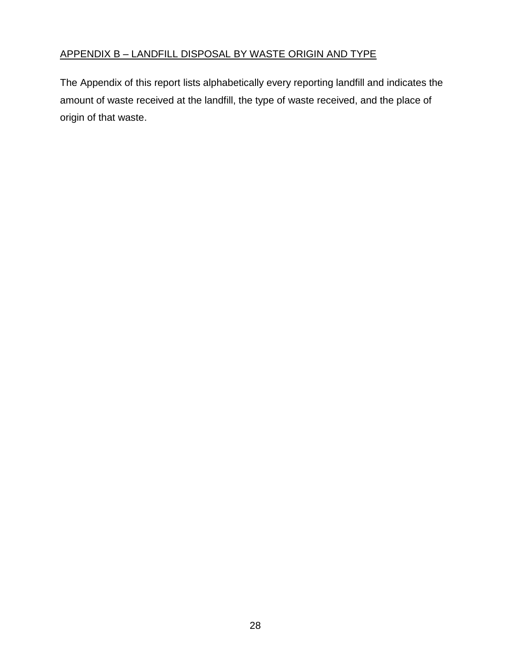The Appendix of this report lists alphabetically every reporting landfill and indicates the amount of waste received at the landfill, the type of waste received, and the place of origin of that waste.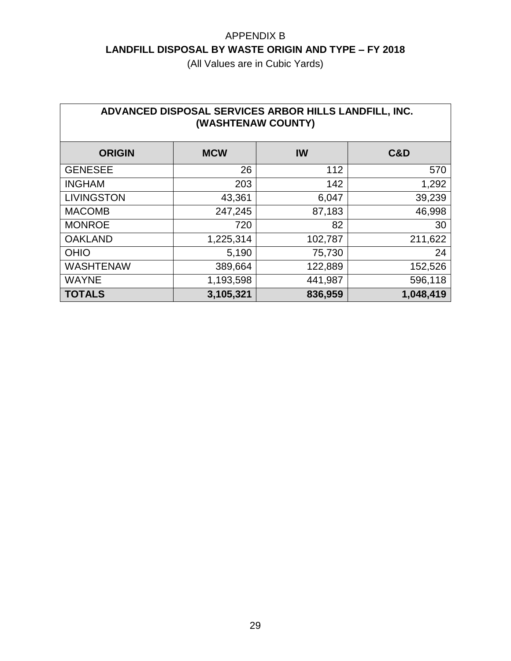| ADVANCED DISPOSAL SERVICES ARBOR HILLS LANDFILL, INC.<br>(WASHTENAW COUNTY) |            |         |           |  |
|-----------------------------------------------------------------------------|------------|---------|-----------|--|
| <b>ORIGIN</b>                                                               | <b>MCW</b> | IW      | C&D       |  |
| <b>GENESEE</b>                                                              | 26         | 112     | 570       |  |
| <b>INGHAM</b>                                                               | 203        | 142     | 1,292     |  |
| <b>LIVINGSTON</b>                                                           | 43,361     | 6,047   | 39,239    |  |
| <b>MACOMB</b>                                                               | 247,245    | 87,183  | 46,998    |  |
| <b>MONROE</b>                                                               | 720        | 82      | 30        |  |
| <b>OAKLAND</b>                                                              | 1,225,314  | 102,787 | 211,622   |  |
| <b>OHIO</b>                                                                 | 5,190      | 75,730  | 24        |  |
| <b>WASHTENAW</b>                                                            | 389,664    | 122,889 | 152,526   |  |
| <b>WAYNE</b>                                                                | 1,193,598  | 441,987 | 596,118   |  |
| <b>TOTALS</b>                                                               | 3,105,321  | 836,959 | 1,048,419 |  |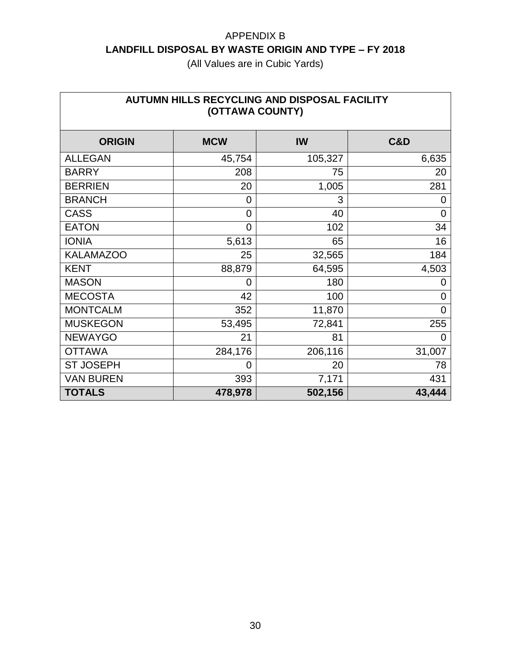| AUTUMN HILLS RECYCLING AND DISPOSAL FACILITY<br>(OTTAWA COUNTY) |                |           |                |  |
|-----------------------------------------------------------------|----------------|-----------|----------------|--|
| <b>ORIGIN</b>                                                   | <b>MCW</b>     | <b>IW</b> | <b>C&amp;D</b> |  |
| <b>ALLEGAN</b>                                                  | 45,754         | 105,327   | 6,635          |  |
| <b>BARRY</b>                                                    | 208            | 75        | 20             |  |
| <b>BERRIEN</b>                                                  | 20             | 1,005     | 281            |  |
| <b>BRANCH</b>                                                   | 0              | 3         | 0              |  |
| <b>CASS</b>                                                     | 0              | 40        | 0              |  |
| <b>EATON</b>                                                    | $\overline{0}$ | 102       | 34             |  |
| <b>IONIA</b>                                                    | 5,613          | 65        | 16             |  |
| <b>KALAMAZOO</b>                                                | 25             | 32,565    | 184            |  |
| <b>KENT</b>                                                     | 88,879         | 64,595    | 4,503          |  |
| <b>MASON</b>                                                    | 0              | 180       | O              |  |
| <b>MECOSTA</b>                                                  | 42             | 100       | 0              |  |
| <b>MONTCALM</b>                                                 | 352            | 11,870    | 0              |  |
| <b>MUSKEGON</b>                                                 | 53,495         | 72,841    | 255            |  |
| <b>NEWAYGO</b>                                                  | 21             | 81        | 0              |  |
| <b>OTTAWA</b>                                                   | 284,176        | 206,116   | 31,007         |  |
| <b>ST JOSEPH</b>                                                | 0              | 20        | 78             |  |
| <b>VAN BUREN</b>                                                | 393            | 7,171     | 431            |  |
| <b>TOTALS</b>                                                   | 478,978        | 502,156   | 43,444         |  |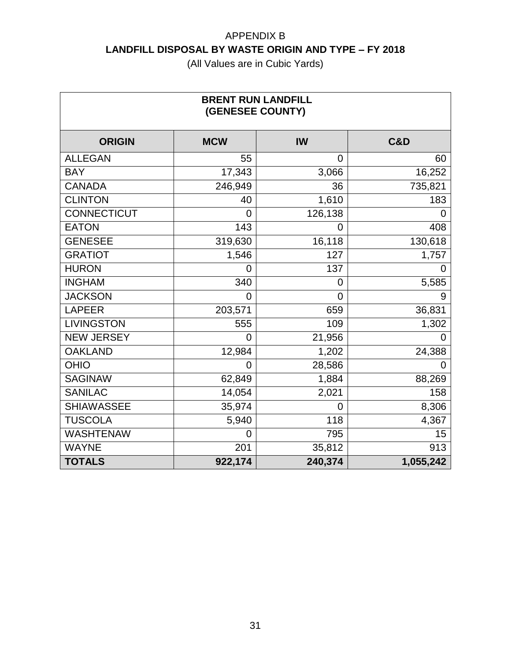| <b>BRENT RUN LANDFILL</b><br>(GENESEE COUNTY) |            |             |                |  |
|-----------------------------------------------|------------|-------------|----------------|--|
| <b>ORIGIN</b>                                 | <b>MCW</b> | IW          | <b>C&amp;D</b> |  |
| <b>ALLEGAN</b>                                | 55         | $\mathbf 0$ | 60             |  |
| <b>BAY</b>                                    | 17,343     | 3,066       | 16,252         |  |
| <b>CANADA</b>                                 | 246,949    | 36          | 735,821        |  |
| <b>CLINTON</b>                                | 40         | 1,610       | 183            |  |
| <b>CONNECTICUT</b>                            | O)         | 126,138     | 0              |  |
| <b>EATON</b>                                  | 143        | 0           | 408            |  |
| <b>GENESEE</b>                                | 319,630    | 16,118      | 130,618        |  |
| <b>GRATIOT</b>                                | 1,546      | 127         | 1,757          |  |
| <b>HURON</b>                                  | O          | 137         | 0              |  |
| <b>INGHAM</b>                                 | 340        | 0           | 5,585          |  |
| <b>JACKSON</b>                                | 0          | 0           | 9              |  |
| <b>LAPEER</b>                                 | 203,571    | 659         | 36,831         |  |
| <b>LIVINGSTON</b>                             | 555        | 109         | 1,302          |  |
| <b>NEW JERSEY</b>                             | 0          | 21,956      |                |  |
| <b>OAKLAND</b>                                | 12,984     | 1,202       | 24,388         |  |
| <b>OHIO</b>                                   | 0          | 28,586      | 0              |  |
| <b>SAGINAW</b>                                | 62,849     | 1,884       | 88,269         |  |
| <b>SANILAC</b>                                | 14,054     | 2,021       | 158            |  |
| <b>SHIAWASSEE</b>                             | 35,974     | $\mathbf 0$ | 8,306          |  |
| <b>TUSCOLA</b>                                | 5,940      | 118         | 4,367          |  |
| <b>WASHTENAW</b>                              | 0          | 795         | 15             |  |
| <b>WAYNE</b>                                  | 201        | 35,812      | 913            |  |
| <b>TOTALS</b>                                 | 922,174    | 240,374     | 1,055,242      |  |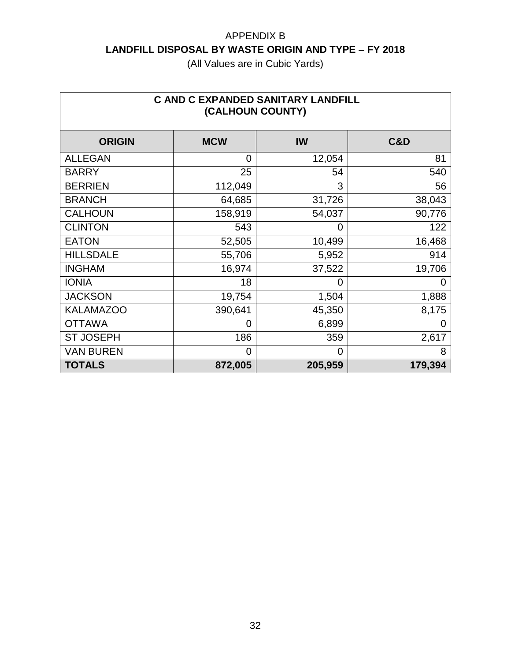| <b>C AND C EXPANDED SANITARY LANDFILL</b><br>(CALHOUN COUNTY) |            |           |                |  |
|---------------------------------------------------------------|------------|-----------|----------------|--|
| <b>ORIGIN</b>                                                 | <b>MCW</b> | <b>IW</b> | <b>C&amp;D</b> |  |
| <b>ALLEGAN</b>                                                | 0          | 12,054    | 81             |  |
| <b>BARRY</b>                                                  | 25         | 54        | 540            |  |
| <b>BERRIEN</b>                                                | 112,049    | 3         | 56             |  |
| <b>BRANCH</b>                                                 | 64,685     | 31,726    | 38,043         |  |
| <b>CALHOUN</b>                                                | 158,919    | 54,037    | 90,776         |  |
| <b>CLINTON</b>                                                | 543        | 0         | 122            |  |
| <b>EATON</b>                                                  | 52,505     | 10,499    | 16,468         |  |
| <b>HILLSDALE</b>                                              | 55,706     | 5,952     | 914            |  |
| <b>INGHAM</b>                                                 | 16,974     | 37,522    | 19,706         |  |
| <b>IONIA</b>                                                  | 18         | 0         | 0              |  |
| <b>JACKSON</b>                                                | 19,754     | 1,504     | 1,888          |  |
| <b>KALAMAZOO</b>                                              | 390,641    | 45,350    | 8,175          |  |
| <b>OTTAWA</b>                                                 | 0          | 6,899     | 0              |  |
| <b>ST JOSEPH</b>                                              | 186        | 359       | 2,617          |  |
| <b>VAN BUREN</b>                                              | 0          | $\Omega$  | 8              |  |
| <b>TOTALS</b>                                                 | 872,005    | 205,959   | 179,394        |  |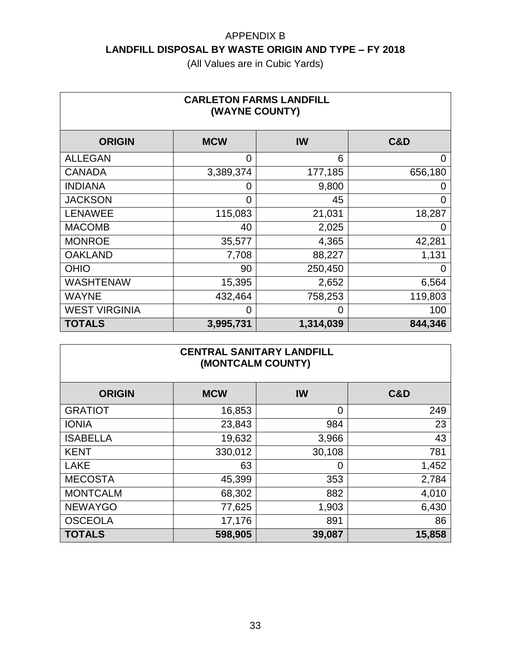| <b>CARLETON FARMS LANDFILL</b><br>(WAYNE COUNTY) |            |           |         |  |
|--------------------------------------------------|------------|-----------|---------|--|
| <b>ORIGIN</b>                                    | <b>MCW</b> | IW        | C&D     |  |
| <b>ALLEGAN</b>                                   | 0          | 6         | 0       |  |
| <b>CANADA</b>                                    | 3,389,374  | 177,185   | 656,180 |  |
| <b>INDIANA</b>                                   | 0          | 9,800     |         |  |
| <b>JACKSON</b>                                   | 0          | 45        | 0       |  |
| <b>LENAWEE</b>                                   | 115,083    | 21,031    | 18,287  |  |
| <b>MACOMB</b>                                    | 40         | 2,025     | O       |  |
| <b>MONROE</b>                                    | 35,577     | 4,365     | 42,281  |  |
| <b>OAKLAND</b>                                   | 7,708      | 88,227    | 1,131   |  |
| <b>OHIO</b>                                      | 90         | 250,450   | 0       |  |
| <b>WASHTENAW</b>                                 | 15,395     | 2,652     | 6,564   |  |
| <b>WAYNE</b>                                     | 432,464    | 758,253   | 119,803 |  |
| <b>WEST VIRGINIA</b>                             | 0          | 0         | 100     |  |
| <b>TOTALS</b>                                    | 3,995,731  | 1,314,039 | 844,346 |  |

| <b>CENTRAL SANITARY LANDFILL</b><br>(MONTCALM COUNTY) |            |        |                |  |
|-------------------------------------------------------|------------|--------|----------------|--|
| <b>ORIGIN</b>                                         | <b>MCW</b> | IW     | <b>C&amp;D</b> |  |
| <b>GRATIOT</b>                                        | 16,853     | 0      | 249            |  |
| <b>IONIA</b>                                          | 23,843     | 984    | 23             |  |
| <b>ISABELLA</b>                                       | 19,632     | 3,966  | 43             |  |
| <b>KENT</b>                                           | 330,012    | 30,108 | 781            |  |
| <b>LAKE</b>                                           | 63         | 0      | 1,452          |  |
| <b>MECOSTA</b>                                        | 45,399     | 353    | 2,784          |  |
| <b>MONTCALM</b>                                       | 68,302     | 882    | 4,010          |  |
| <b>NEWAYGO</b>                                        | 77,625     | 1,903  | 6,430          |  |
| <b>OSCEOLA</b>                                        | 17,176     | 891    | 86             |  |
| <b>TOTALS</b>                                         | 598,905    | 39,087 | 15,858         |  |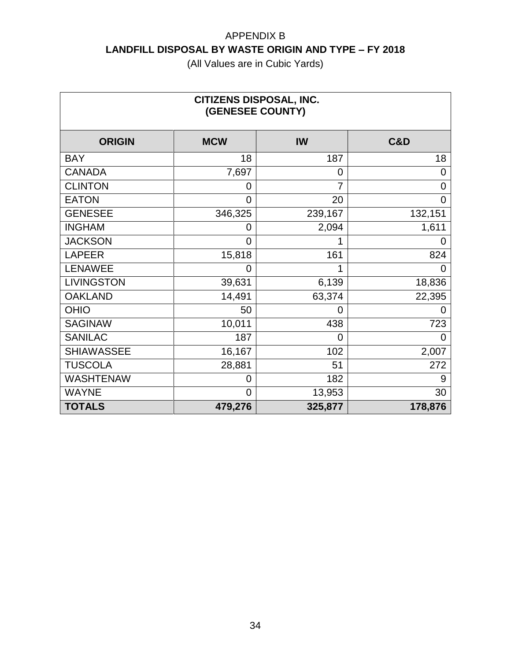| <b>CITIZENS DISPOSAL, INC.</b><br>(GENESEE COUNTY) |                |                |         |  |
|----------------------------------------------------|----------------|----------------|---------|--|
| <b>ORIGIN</b>                                      | <b>MCW</b>     | <b>IW</b>      | C&D     |  |
| <b>BAY</b>                                         | 18             | 187            | 18      |  |
| <b>CANADA</b>                                      | 7,697          | $\overline{0}$ | 0       |  |
| <b>CLINTON</b>                                     | 0              | 7              | 0       |  |
| <b>EATON</b>                                       | 0              | 20             | 0       |  |
| <b>GENESEE</b>                                     | 346,325        | 239,167        | 132,151 |  |
| <b>INGHAM</b>                                      | 0              | 2,094          | 1,611   |  |
| <b>JACKSON</b>                                     | 0              |                | 0       |  |
| <b>LAPEER</b>                                      | 15,818         | 161            | 824     |  |
| <b>LENAWEE</b>                                     | 0              |                | 0       |  |
| <b>LIVINGSTON</b>                                  | 39,631         | 6,139          | 18,836  |  |
| <b>OAKLAND</b>                                     | 14,491         | 63,374         | 22,395  |  |
| <b>OHIO</b>                                        | 50             | 0              |         |  |
| <b>SAGINAW</b>                                     | 10,011         | 438            | 723     |  |
| <b>SANILAC</b>                                     | 187            | 0              | 0       |  |
| <b>SHIAWASSEE</b>                                  | 16,167         | 102            | 2,007   |  |
| <b>TUSCOLA</b>                                     | 28,881         | 51             | 272     |  |
| <b>WASHTENAW</b>                                   | 0              | 182            | 9       |  |
| <b>WAYNE</b>                                       | $\overline{0}$ | 13,953         | 30      |  |
| <b>TOTALS</b>                                      | 479,276        | 325,877        | 178,876 |  |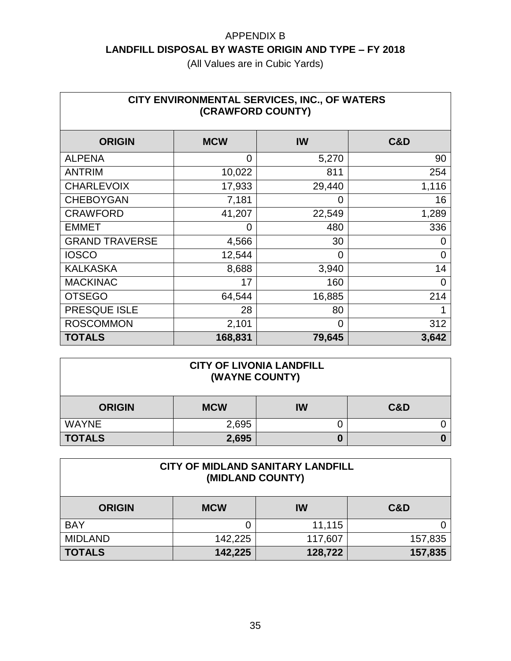| CITY ENVIRONMENTAL SERVICES, INC., OF WATERS<br>(CRAWFORD COUNTY) |                |          |                |  |
|-------------------------------------------------------------------|----------------|----------|----------------|--|
| <b>ORIGIN</b>                                                     | <b>MCW</b>     | IW       | <b>C&amp;D</b> |  |
| <b>ALPENA</b>                                                     | $\overline{0}$ | 5,270    | 90             |  |
| <b>ANTRIM</b>                                                     | 10,022         | 811      | 254            |  |
| <b>CHARLEVOIX</b>                                                 | 17,933         | 29,440   | 1,116          |  |
| <b>CHEBOYGAN</b>                                                  | 7,181          | 0        | 16             |  |
| <b>CRAWFORD</b>                                                   | 41,207         | 22,549   | 1,289          |  |
| <b>EMMET</b>                                                      | 0              | 480      | 336            |  |
| <b>GRAND TRAVERSE</b>                                             | 4,566          | 30       | 0              |  |
| <b>IOSCO</b>                                                      | 12,544         | 0        | 0              |  |
| <b>KALKASKA</b>                                                   | 8,688          | 3,940    | 14             |  |
| <b>MACKINAC</b>                                                   | 17             | 160      | $\overline{0}$ |  |
| <b>OTSEGO</b>                                                     | 64,544         | 16,885   | 214            |  |
| PRESQUE ISLE                                                      | 28             | 80       |                |  |
| <b>ROSCOMMON</b>                                                  | 2,101          | $\Omega$ | 312            |  |
| <b>TOTALS</b>                                                     | 168,831        | 79,645   | 3,642          |  |

| <b>CITY OF LIVONIA LANDFILL</b><br>(WAYNE COUNTY)   |       |   |  |  |
|-----------------------------------------------------|-------|---|--|--|
| <b>C&amp;D</b><br>IW<br><b>MCW</b><br><b>ORIGIN</b> |       |   |  |  |
| <b>WAYNE</b>                                        | 2,695 |   |  |  |
| <b>TOTALS</b>                                       | 2,695 | 0 |  |  |

| <b>CITY OF MIDLAND SANITARY LANDFILL</b><br>(MIDLAND COUNTY) |            |         |         |
|--------------------------------------------------------------|------------|---------|---------|
| <b>ORIGIN</b>                                                | <b>MCW</b> | IW      | C&D     |
| <b>BAY</b>                                                   |            | 11,115  |         |
| <b>MIDLAND</b>                                               | 142,225    | 117,607 | 157,835 |
| <b>TOTALS</b>                                                | 142,225    | 128,722 | 157,835 |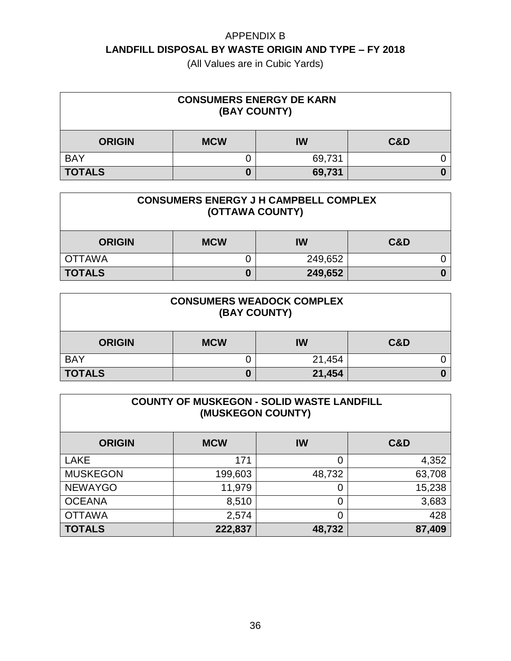| <b>CONSUMERS ENERGY DE KARN</b><br>(BAY COUNTY)     |  |        |  |  |
|-----------------------------------------------------|--|--------|--|--|
| <b>C&amp;D</b><br><b>MCW</b><br>IW<br><b>ORIGIN</b> |  |        |  |  |
| <b>BAY</b>                                          |  | 69,731 |  |  |
| <b>TOTALS</b>                                       |  | 69,731 |  |  |

| <b>CONSUMERS ENERGY J H CAMPBELL COMPLEX</b><br>(OTTAWA COUNTY) |            |         |     |
|-----------------------------------------------------------------|------------|---------|-----|
| <b>ORIGIN</b>                                                   | <b>MCW</b> | IW      | C&D |
| <b>OTTAWA</b>                                                   |            | 249,652 |     |
| <b>TOTALS</b>                                                   |            | 249,652 |     |

| <b>CONSUMERS WEADOCK COMPLEX</b><br>(BAY COUNTY)    |   |        |  |
|-----------------------------------------------------|---|--------|--|
| <b>C&amp;D</b><br><b>MCW</b><br>IW<br><b>ORIGIN</b> |   |        |  |
| <b>BAY</b>                                          |   | 21,454 |  |
| <b>TOTALS</b>                                       | 0 | 21,454 |  |

| <b>COUNTY OF MUSKEGON - SOLID WASTE LANDFILL</b><br>(MUSKEGON COUNTY) |            |        |                |  |
|-----------------------------------------------------------------------|------------|--------|----------------|--|
| <b>ORIGIN</b>                                                         | <b>MCW</b> | IW     | <b>C&amp;D</b> |  |
| <b>LAKE</b>                                                           | 171        | 0      | 4,352          |  |
| <b>MUSKEGON</b>                                                       | 199,603    | 48,732 | 63,708         |  |
| <b>NEWAYGO</b>                                                        | 11,979     | 0      | 15,238         |  |
| <b>OCEANA</b>                                                         | 8,510      | 0      | 3,683          |  |
| <b>OTTAWA</b><br>428<br>2,574<br>0                                    |            |        |                |  |
| <b>TOTALS</b>                                                         | 222,837    | 48,732 | 87,409         |  |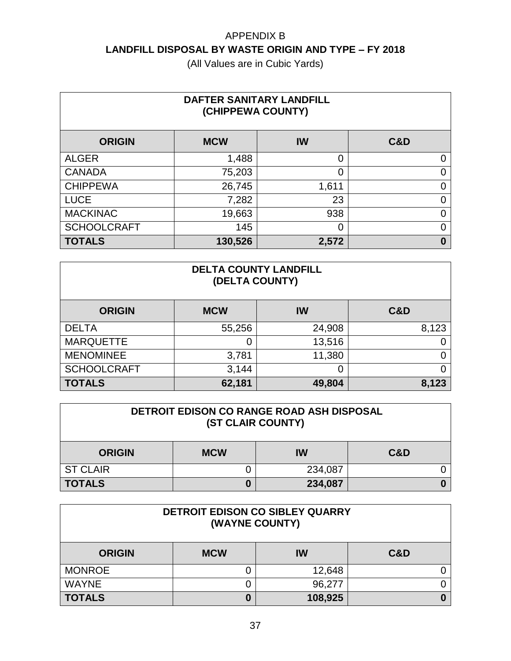| DAFTER SANITARY LANDFILL<br>(CHIPPEWA COUNTY) |            |       |     |  |
|-----------------------------------------------|------------|-------|-----|--|
| <b>ORIGIN</b>                                 | <b>MCW</b> | IW    | C&D |  |
| <b>ALGER</b>                                  | 1,488      | 0     | 0   |  |
| <b>CANADA</b>                                 | 75,203     | 0     | O   |  |
| <b>CHIPPEWA</b>                               | 26,745     | 1,611 | 0   |  |
| <b>LUCE</b>                                   | 7,282      | 23    | ი   |  |
| <b>MACKINAC</b>                               | 19,663     | 938   | ი   |  |
| <b>SCHOOLCRAFT</b>                            | 145        | 0     | ი   |  |
| <b>TOTALS</b>                                 | 130,526    | 2,572 | 0   |  |

| <b>DELTA COUNTY LANDFILL</b><br>(DELTA COUNTY) |            |        |       |  |
|------------------------------------------------|------------|--------|-------|--|
| <b>ORIGIN</b>                                  | <b>MCW</b> | IW     | C&D   |  |
| <b>DELTA</b>                                   | 55,256     | 24,908 | 8,123 |  |
| <b>MARQUETTE</b>                               | 0          | 13,516 |       |  |
| <b>MENOMINEE</b>                               | 3,781      | 11,380 |       |  |
| <b>SCHOOLCRAFT</b>                             | 3,144      |        |       |  |
| <b>TOTALS</b>                                  | 62,181     | 49,804 | 8,123 |  |

| <b>DETROIT EDISON CO RANGE ROAD ASH DISPOSAL</b><br>(ST CLAIR COUNTY) |            |         |     |  |  |
|-----------------------------------------------------------------------|------------|---------|-----|--|--|
| <b>ORIGIN</b>                                                         | <b>MCW</b> | IW      | C&D |  |  |
| <b>ST CLAIR</b>                                                       |            | 234,087 |     |  |  |
| <b>TOTALS</b>                                                         | 234,087    |         |     |  |  |

| DETROIT EDISON CO SIBLEY QUARRY<br>(WAYNE COUNTY) |              |        |     |  |  |
|---------------------------------------------------|--------------|--------|-----|--|--|
| <b>ORIGIN</b>                                     | <b>MCW</b>   | IW     | C&D |  |  |
| <b>MONROE</b>                                     |              | 12,648 |     |  |  |
| <b>WAYNE</b>                                      | IJ           | 96,277 |     |  |  |
| <b>TOTALS</b>                                     | 108,925<br>0 |        |     |  |  |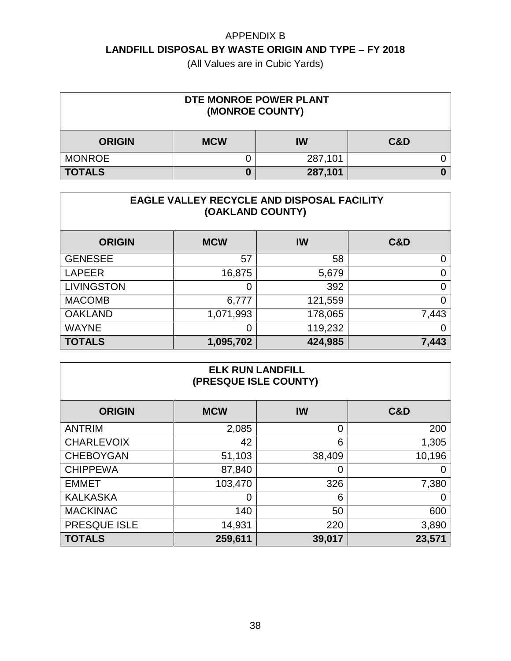(All Values are in Cubic Yards)

| DTE MONROE POWER PLANT<br>(MONROE COUNTY) |            |         |                |
|-------------------------------------------|------------|---------|----------------|
| <b>ORIGIN</b>                             | <b>MCW</b> | IW      | <b>C&amp;D</b> |
| <b>MONROE</b>                             |            | 287,101 |                |
| <b>TOTALS</b>                             | 0          | 287,101 |                |

| <b>EAGLE VALLEY RECYCLE AND DISPOSAL FACILITY</b><br>(OAKLAND COUNTY) |                |         |       |  |
|-----------------------------------------------------------------------|----------------|---------|-------|--|
| <b>ORIGIN</b>                                                         | <b>MCW</b>     | IW      | C&D   |  |
| <b>GENESEE</b>                                                        | 57             | 58      | 0     |  |
| <b>LAPEER</b>                                                         | 16,875         | 5,679   | 0     |  |
| <b>LIVINGSTON</b>                                                     | $\overline{0}$ | 392     | 0     |  |
| <b>MACOMB</b>                                                         | 6,777          | 121,559 | 0     |  |
| <b>OAKLAND</b>                                                        | 1,071,993      | 178,065 | 7,443 |  |
| <b>WAYNE</b>                                                          | $\overline{0}$ | 119,232 | 0     |  |
| <b>TOTALS</b>                                                         | 1,095,702      | 424,985 | 7,443 |  |

#### **ELK RUN LANDFILL (PRESQUE ISLE COUNTY)**

| <b>ORIGIN</b>     | <b>MCW</b> | IW     | <b>C&amp;D</b> |
|-------------------|------------|--------|----------------|
| <b>ANTRIM</b>     | 2,085      | 0      | 200            |
| <b>CHARLEVOIX</b> | 42         | 6      | 1,305          |
| <b>CHEBOYGAN</b>  | 51,103     | 38,409 | 10,196         |
| <b>CHIPPEWA</b>   | 87,840     | 0      |                |
| <b>EMMET</b>      | 103,470    | 326    | 7,380          |
| <b>KALKASKA</b>   | 0          | 6      | 0              |
| <b>MACKINAC</b>   | 140        | 50     | 600            |
| PRESQUE ISLE      | 14,931     | 220    | 3,890          |
| <b>TOTALS</b>     | 259,611    | 39,017 | 23,571         |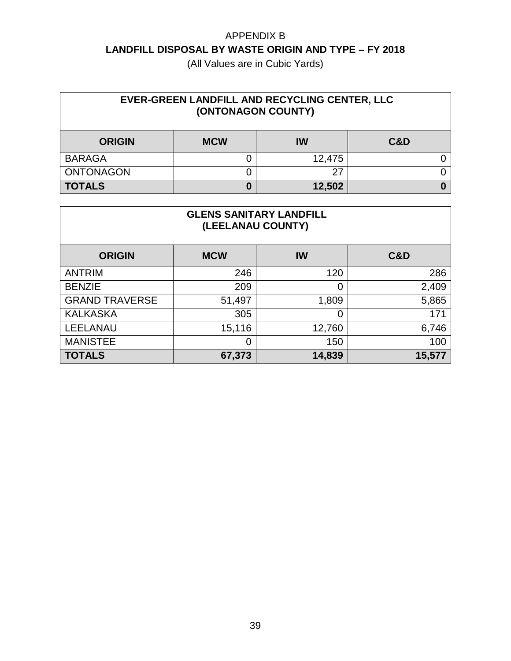| EVER-GREEN LANDFILL AND RECYCLING CENTER, LLC<br>(ONTONAGON COUNTY) |            |        |                |
|---------------------------------------------------------------------|------------|--------|----------------|
| <b>ORIGIN</b>                                                       | <b>MCW</b> | IW     | <b>C&amp;D</b> |
| <b>BARAGA</b>                                                       |            | 12,475 |                |
| <b>ONTONAGON</b>                                                    |            |        |                |
| <b>TOTALS</b>                                                       | 0          | 12,502 |                |

| <b>GLENS SANITARY LANDFILL</b><br>(LEELANAU COUNTY) |            |        |                |  |
|-----------------------------------------------------|------------|--------|----------------|--|
| <b>ORIGIN</b>                                       | <b>MCW</b> | IW     | <b>C&amp;D</b> |  |
| <b>ANTRIM</b>                                       | 246        | 120    | 286            |  |
| <b>BENZIE</b>                                       | 209        | 0      | 2,409          |  |
| <b>GRAND TRAVERSE</b>                               | 51,497     | 1,809  | 5,865          |  |
| <b>KALKASKA</b>                                     | 305        | 0      | 171            |  |
| <b>LEELANAU</b>                                     | 15,116     | 12,760 | 6,746          |  |
| <b>MANISTEE</b>                                     | 0          | 150    | 100            |  |
| <b>TOTALS</b>                                       | 67,373     | 14,839 | 15,577         |  |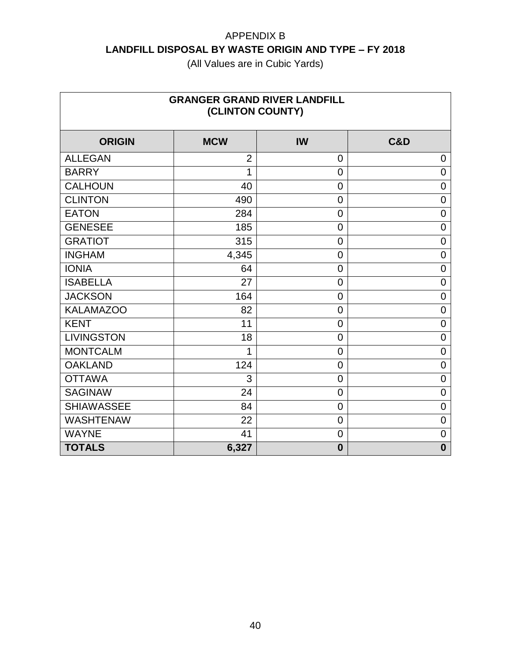| <b>GRANGER GRAND RIVER LANDFILL</b><br>(CLINTON COUNTY) |                |                |                |  |
|---------------------------------------------------------|----------------|----------------|----------------|--|
| <b>ORIGIN</b>                                           | <b>MCW</b>     | IW             | C&D            |  |
| <b>ALLEGAN</b>                                          | $\overline{2}$ | $\overline{0}$ | 0              |  |
| <b>BARRY</b>                                            | 1              | $\overline{0}$ | 0              |  |
| <b>CALHOUN</b>                                          | 40             | $\overline{0}$ | 0              |  |
| <b>CLINTON</b>                                          | 490            | $\overline{0}$ | 0              |  |
| <b>EATON</b>                                            | 284            | $\overline{0}$ | 0              |  |
| <b>GENESEE</b>                                          | 185            | $\overline{0}$ | $\mathbf 0$    |  |
| <b>GRATIOT</b>                                          | 315            | $\mathbf 0$    | 0              |  |
| <b>INGHAM</b>                                           | 4,345          | $\overline{0}$ | 0              |  |
| <b>IONIA</b>                                            | 64             | $\overline{0}$ | $\overline{0}$ |  |
| <b>ISABELLA</b>                                         | 27             | $\overline{0}$ | 0              |  |
| <b>JACKSON</b>                                          | 164            | $\overline{0}$ | 0              |  |
| <b>KALAMAZOO</b>                                        | 82             | $\overline{0}$ | 0              |  |
| <b>KENT</b>                                             | 11             | $\mathbf 0$    | 0              |  |
| <b>LIVINGSTON</b>                                       | 18             | $\overline{0}$ | 0              |  |
| <b>MONTCALM</b>                                         | 1              | $\overline{0}$ | $\overline{0}$ |  |
| <b>OAKLAND</b>                                          | 124            | $\overline{0}$ | 0              |  |
| <b>OTTAWA</b>                                           | 3              | $\overline{0}$ | 0              |  |
| <b>SAGINAW</b>                                          | 24             | $\overline{0}$ | $\mathbf 0$    |  |
| <b>SHIAWASSEE</b>                                       | 84             | $\overline{0}$ | 0              |  |
| <b>WASHTENAW</b>                                        | 22             | $\overline{0}$ | $\mathbf 0$    |  |
| <b>WAYNE</b>                                            | 41             | $\overline{0}$ | 0              |  |
| <b>TOTALS</b>                                           | 6,327          | $\bf{0}$       | $\bf{0}$       |  |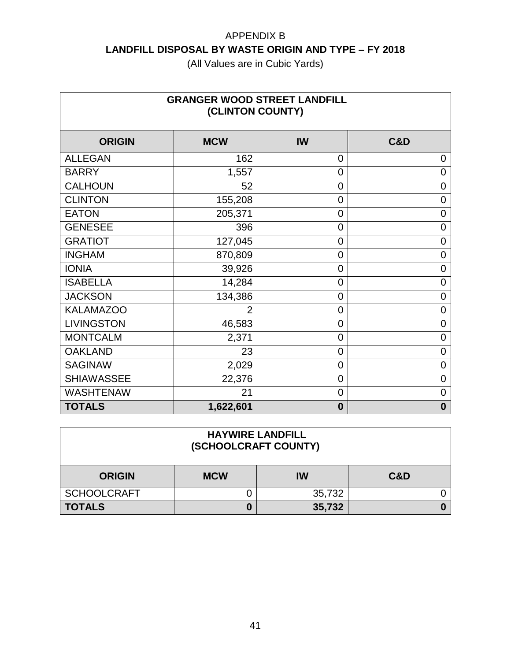| <b>GRANGER WOOD STREET LANDFILL</b><br>(CLINTON COUNTY) |                |                |                |  |
|---------------------------------------------------------|----------------|----------------|----------------|--|
| <b>ORIGIN</b>                                           | <b>MCW</b>     | IW             | C&D            |  |
| <b>ALLEGAN</b>                                          | 162            | 0              | 0              |  |
| <b>BARRY</b>                                            | 1,557          | $\overline{0}$ | 0              |  |
| <b>CALHOUN</b>                                          | 52             | $\overline{0}$ | $\overline{0}$ |  |
| <b>CLINTON</b>                                          | 155,208        | $\mathbf 0$    | 0              |  |
| <b>EATON</b>                                            | 205,371        | $\overline{0}$ | 0              |  |
| <b>GENESEE</b>                                          | 396            | $\mathbf 0$    | 0              |  |
| <b>GRATIOT</b>                                          | 127,045        | $\overline{0}$ | 0              |  |
| <b>INGHAM</b>                                           | 870,809        | $\overline{0}$ | $\overline{0}$ |  |
| <b>IONIA</b>                                            | 39,926         | $\mathbf 0$    | 0              |  |
| <b>ISABELLA</b>                                         | 14,284         | $\overline{0}$ | $\overline{0}$ |  |
| <b>JACKSON</b>                                          | 134,386        | $\overline{0}$ | $\overline{0}$ |  |
| <b>KALAMAZOO</b>                                        | $\overline{2}$ | $\overline{0}$ | 0              |  |
| <b>LIVINGSTON</b>                                       | 46,583         | $\overline{0}$ | 0              |  |
| <b>MONTCALM</b>                                         | 2,371          | $\overline{0}$ | 0              |  |
| <b>OAKLAND</b>                                          | 23             | $\mathbf 0$    | 0              |  |
| <b>SAGINAW</b>                                          | 2,029          | $\overline{0}$ | 0              |  |
| <b>SHIAWASSEE</b>                                       | 22,376         | $\overline{0}$ | 0              |  |
| <b>WASHTENAW</b>                                        | 21             | $\overline{0}$ | 0              |  |
| <b>TOTALS</b>                                           | 1,622,601      | $\bf{0}$       | $\mathbf 0$    |  |

| <b>HAYWIRE LANDFILL</b><br>(SCHOOLCRAFT COUNTY) |            |        |     |  |  |
|-------------------------------------------------|------------|--------|-----|--|--|
| <b>ORIGIN</b>                                   | <b>MCW</b> | IW     | C&D |  |  |
| <b>SCHOOLCRAFT</b>                              |            | 35,732 |     |  |  |
| <b>TOTALS</b>                                   | 35,732     |        |     |  |  |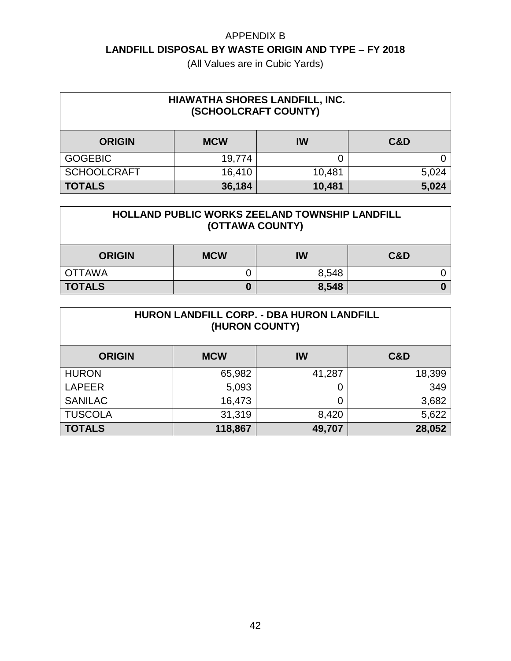| HIAWATHA SHORES LANDFILL, INC.<br>(SCHOOLCRAFT COUNTY) |            |        |       |
|--------------------------------------------------------|------------|--------|-------|
| <b>ORIGIN</b>                                          | <b>MCW</b> | IW     | C&D   |
| <b>GOGEBIC</b>                                         | 19,774     |        |       |
| <b>SCHOOLCRAFT</b>                                     | 16,410     | 10,481 | 5,024 |
| <b>TOTALS</b>                                          | 36,184     | 10,481 | 5,024 |

| <b>HOLLAND PUBLIC WORKS ZEELAND TOWNSHIP LANDFILL</b><br>(OTTAWA COUNTY) |            |       |     |  |
|--------------------------------------------------------------------------|------------|-------|-----|--|
| <b>ORIGIN</b>                                                            | <b>MCW</b> | IW    | C&D |  |
| <b>OTTAWA</b>                                                            |            | 8,548 |     |  |
| <b>TOTALS</b><br>8,548                                                   |            |       |     |  |

| HURON LANDFILL CORP. - DBA HURON LANDFILL<br>(HURON COUNTY) |            |        |                |  |
|-------------------------------------------------------------|------------|--------|----------------|--|
| <b>ORIGIN</b>                                               | <b>MCW</b> | IW     | <b>C&amp;D</b> |  |
| <b>HURON</b>                                                | 65,982     | 41,287 | 18,399         |  |
| <b>LAPEER</b>                                               | 5,093      | 0      | 349            |  |
| <b>SANILAC</b>                                              | 16,473     | 0      | 3,682          |  |
| <b>TUSCOLA</b>                                              | 31,319     | 8,420  | 5,622          |  |
| <b>TOTALS</b>                                               | 118,867    | 49,707 | 28,052         |  |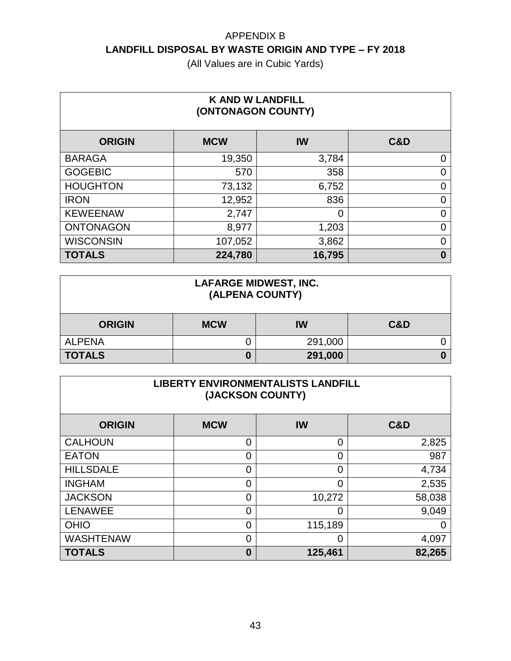| <b>K AND W LANDFILL</b><br>(ONTONAGON COUNTY) |            |        |                |  |
|-----------------------------------------------|------------|--------|----------------|--|
| <b>ORIGIN</b>                                 | <b>MCW</b> | IW     | <b>C&amp;D</b> |  |
| <b>BARAGA</b>                                 | 19,350     | 3,784  | 0              |  |
| <b>GOGEBIC</b>                                | 570        | 358    | 0              |  |
| <b>HOUGHTON</b>                               | 73,132     | 6,752  | 0              |  |
| <b>IRON</b>                                   | 12,952     | 836    | 0              |  |
| <b>KEWEENAW</b>                               | 2,747      | 0      | 0              |  |
| <b>ONTONAGON</b>                              | 8,977      | 1,203  | 0              |  |
| <b>WISCONSIN</b>                              | 107,052    | 3,862  | 0              |  |
| <b>TOTALS</b>                                 | 224,780    | 16,795 | $\bf{0}$       |  |

| <b>LAFARGE MIDWEST, INC.</b><br>(ALPENA COUNTY) |            |         |                |
|-------------------------------------------------|------------|---------|----------------|
| <b>ORIGIN</b>                                   | <b>MCW</b> | IW      | <b>C&amp;D</b> |
| <b>ALPENA</b>                                   |            | 291,000 |                |
| <b>TOTALS</b>                                   |            | 291,000 |                |

| <b>LIBERTY ENVIRONMENTALISTS LANDFILL</b><br>(JACKSON COUNTY) |                |                |                |  |
|---------------------------------------------------------------|----------------|----------------|----------------|--|
| <b>ORIGIN</b>                                                 | <b>MCW</b>     | IW             | <b>C&amp;D</b> |  |
| <b>CALHOUN</b>                                                | 0              | $\overline{0}$ | 2,825          |  |
| <b>EATON</b>                                                  | $\overline{0}$ | $\overline{0}$ | 987            |  |
| <b>HILLSDALE</b>                                              | $\overline{0}$ | $\overline{0}$ | 4,734          |  |
| <b>INGHAM</b>                                                 | $\mathbf 0$    | $\Omega$       | 2,535          |  |
| <b>JACKSON</b>                                                | $\overline{0}$ | 10,272         | 58,038         |  |
| <b>LENAWEE</b>                                                | $\mathbf 0$    | 0              | 9,049          |  |
| <b>OHIO</b>                                                   | $\mathbf 0$    | 115,189        |                |  |
| <b>WASHTENAW</b>                                              | 0              | 0              | 4,097          |  |
| <b>TOTALS</b>                                                 | $\bf{0}$       | 125,461        | 82,265         |  |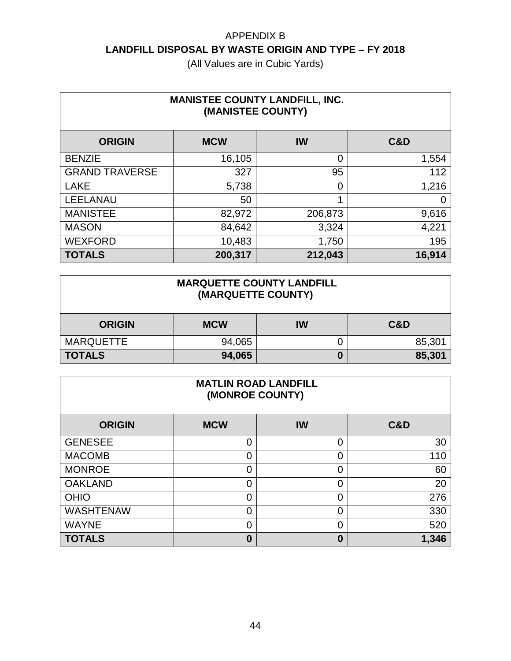| <b>MANISTEE COUNTY LANDFILL, INC.</b><br>(MANISTEE COUNTY) |            |         |                |  |
|------------------------------------------------------------|------------|---------|----------------|--|
| <b>ORIGIN</b>                                              | <b>MCW</b> | IW      | <b>C&amp;D</b> |  |
| <b>BENZIE</b>                                              | 16,105     | 0       | 1,554          |  |
| <b>GRAND TRAVERSE</b>                                      | 327        | 95      | 112            |  |
| <b>LAKE</b>                                                | 5,738      | 0       | 1,216          |  |
| LEELANAU                                                   | 50         |         | 0              |  |
| <b>MANISTEE</b>                                            | 82,972     | 206,873 | 9,616          |  |
| <b>MASON</b>                                               | 84,642     | 3,324   | 4,221          |  |
| <b>WEXFORD</b>                                             | 10,483     | 1,750   | 195            |  |
| <b>TOTALS</b>                                              | 200,317    | 212,043 | 16,914         |  |

| <b>MARQUETTE COUNTY LANDFILL</b><br>(MARQUETTE COUNTY) |        |  |        |  |
|--------------------------------------------------------|--------|--|--------|--|
| C&D<br>IW<br><b>MCW</b><br><b>ORIGIN</b>               |        |  |        |  |
| <b>MARQUETTE</b>                                       | 94,065 |  | 85,301 |  |
| 94,065<br><b>TOTALS</b><br>85,301<br>0                 |        |  |        |  |

| <b>MATLIN ROAD LANDFILL</b><br>(MONROE COUNTY) |            |          |                |  |
|------------------------------------------------|------------|----------|----------------|--|
| <b>ORIGIN</b>                                  | <b>MCW</b> | IW       | <b>C&amp;D</b> |  |
| <b>GENESEE</b>                                 | 0          | 0        | 30             |  |
| <b>MACOMB</b>                                  | 0          | 0        | 110            |  |
| <b>MONROE</b>                                  | 0          | 0        | 60             |  |
| <b>OAKLAND</b>                                 | 0          | $\Omega$ | 20             |  |
| <b>OHIO</b>                                    | 0          | $\Omega$ | 276            |  |
| <b>WASHTENAW</b>                               | 0          | $\Omega$ | 330            |  |
| <b>WAYNE</b>                                   | 0          | $\Omega$ | 520            |  |
| <b>TOTALS</b>                                  | 0          | 0        | 1,346          |  |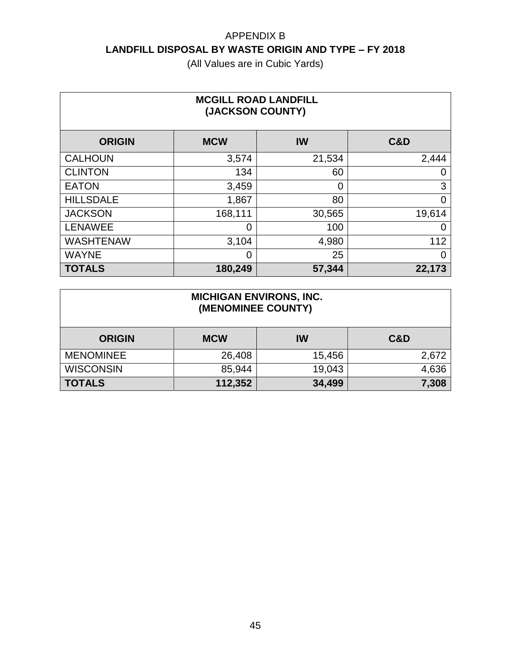| <b>MCGILL ROAD LANDFILL</b><br>(JACKSON COUNTY) |                |        |                |  |
|-------------------------------------------------|----------------|--------|----------------|--|
| <b>ORIGIN</b>                                   | <b>MCW</b>     | IW     | <b>C&amp;D</b> |  |
| <b>CALHOUN</b>                                  | 3,574          | 21,534 | 2,444          |  |
| <b>CLINTON</b>                                  | 134            | 60     | 0              |  |
| <b>EATON</b>                                    | 3,459          | 0      | 3              |  |
| <b>HILLSDALE</b>                                | 1,867          | 80     | 0              |  |
| <b>JACKSON</b>                                  | 168,111        | 30,565 | 19,614         |  |
| <b>LENAWEE</b>                                  | 0              | 100    | 0              |  |
| <b>WASHTENAW</b>                                | 3,104          | 4,980  | 112            |  |
| <b>WAYNE</b>                                    | $\overline{0}$ | 25     | 0              |  |
| <b>TOTALS</b>                                   | 180,249        | 57,344 | 22,173         |  |

| <b>MICHIGAN ENVIRONS, INC.</b><br>(MENOMINEE COUNTY) |            |        |       |
|------------------------------------------------------|------------|--------|-------|
| <b>ORIGIN</b>                                        | <b>MCW</b> | IW     | C&D   |
| <b>MENOMINEE</b>                                     | 26,408     | 15,456 | 2,672 |
| <b>WISCONSIN</b>                                     | 85,944     | 19,043 | 4,636 |
| <b>TOTALS</b>                                        | 112,352    | 34,499 | 7,308 |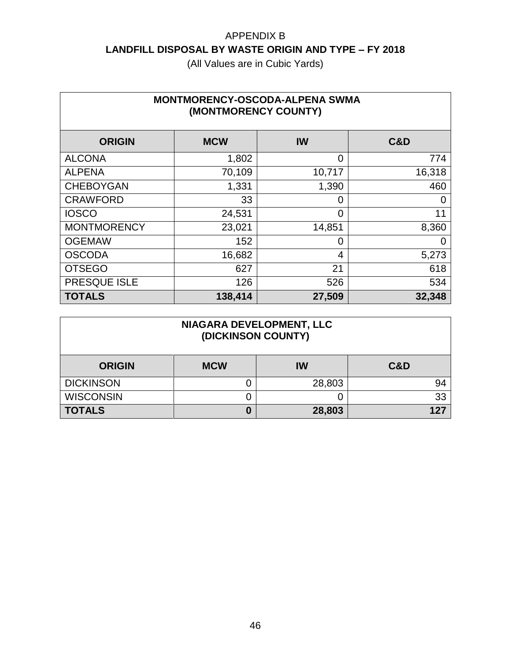| <b>MONTMORENCY-OSCODA-ALPENA SWMA</b><br>(MONTMORENCY COUNTY) |            |                |                |  |
|---------------------------------------------------------------|------------|----------------|----------------|--|
| <b>ORIGIN</b>                                                 | <b>MCW</b> | <b>IW</b>      | <b>C&amp;D</b> |  |
| <b>ALCONA</b>                                                 | 1,802      | $\overline{0}$ | 774            |  |
| <b>ALPENA</b>                                                 | 70,109     | 10,717         | 16,318         |  |
| <b>CHEBOYGAN</b>                                              | 1,331      | 1,390          | 460            |  |
| <b>CRAWFORD</b>                                               | 33         | 0              | 0              |  |
| <b>IOSCO</b>                                                  | 24,531     | 0              | 11             |  |
| <b>MONTMORENCY</b>                                            | 23,021     | 14,851         | 8,360          |  |
| <b>OGEMAW</b>                                                 | 152        | 0              | 0              |  |
| <b>OSCODA</b>                                                 | 16,682     | 4              | 5,273          |  |
| <b>OTSEGO</b>                                                 | 627        | 21             | 618            |  |
| PRESQUE ISLE                                                  | 126        | 526            | 534            |  |
| <b>TOTALS</b>                                                 | 138,414    | 27,509         | 32,348         |  |

| NIAGARA DEVELOPMENT, LLC<br>(DICKINSON COUNTY) |            |        |                |
|------------------------------------------------|------------|--------|----------------|
| <b>ORIGIN</b>                                  | <b>MCW</b> | IW     | <b>C&amp;D</b> |
| <b>DICKINSON</b>                               | J          | 28,803 | 94             |
| <b>WISCONSIN</b>                               | 0          |        | 33             |
| <b>TOTALS</b>                                  | 0          | 28,803 | 127            |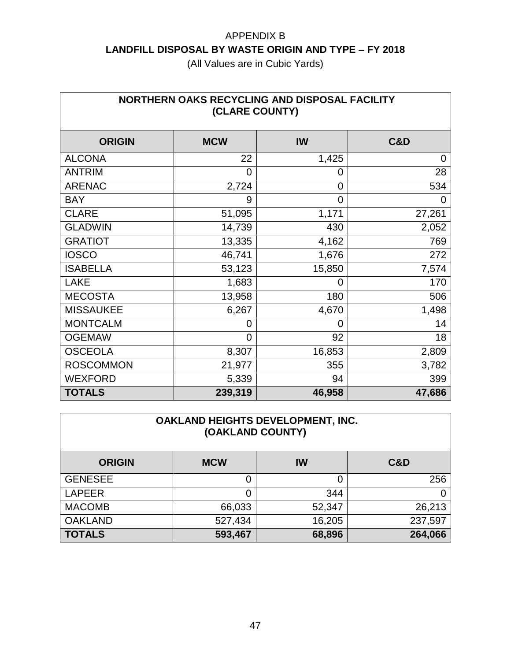| NORTHERN OAKS RECYCLING AND DISPOSAL FACILITY<br>(CLARE COUNTY) |            |                |        |  |
|-----------------------------------------------------------------|------------|----------------|--------|--|
| <b>ORIGIN</b>                                                   | <b>MCW</b> | <b>IW</b>      | C&D    |  |
| <b>ALCONA</b>                                                   | 22         | 1,425          | 0      |  |
| <b>ANTRIM</b>                                                   | 0          | 0              | 28     |  |
| <b>ARENAC</b>                                                   | 2,724      | $\overline{0}$ | 534    |  |
| <b>BAY</b>                                                      | 9          | $\overline{0}$ | 0      |  |
| <b>CLARE</b>                                                    | 51,095     | 1,171          | 27,261 |  |
| <b>GLADWIN</b>                                                  | 14,739     | 430            | 2,052  |  |
| <b>GRATIOT</b>                                                  | 13,335     | 4,162          | 769    |  |
| <b>IOSCO</b>                                                    | 46,741     | 1,676          | 272    |  |
| <b>ISABELLA</b>                                                 | 53,123     | 15,850         | 7,574  |  |
| <b>LAKE</b>                                                     | 1,683      | 0              | 170    |  |
| <b>MECOSTA</b>                                                  | 13,958     | 180            | 506    |  |
| <b>MISSAUKEE</b>                                                | 6,267      | 4,670          | 1,498  |  |
| <b>MONTCALM</b>                                                 | 0          | 0              | 14     |  |
| <b>OGEMAW</b>                                                   | 0          | 92             | 18     |  |
| <b>OSCEOLA</b>                                                  | 8,307      | 16,853         | 2,809  |  |
| <b>ROSCOMMON</b>                                                | 21,977     | 355            | 3,782  |  |
| <b>WEXFORD</b>                                                  | 5,339      | 94             | 399    |  |
| <b>TOTALS</b>                                                   | 239,319    | 46,958         | 47,686 |  |

| OAKLAND HEIGHTS DEVELOPMENT, INC.<br>(OAKLAND COUNTY) |         |        |         |  |
|-------------------------------------------------------|---------|--------|---------|--|
| C&D<br>IW<br><b>MCW</b><br><b>ORIGIN</b>              |         |        |         |  |
| <b>GENESEE</b>                                        | 0       | 0      | 256     |  |
| <b>LAPEER</b>                                         | 0       | 344    |         |  |
| <b>MACOMB</b>                                         | 66,033  | 52,347 | 26,213  |  |
| <b>OAKLAND</b>                                        | 527,434 | 16,205 | 237,597 |  |
| <b>TOTALS</b>                                         | 593,467 | 68,896 | 264,066 |  |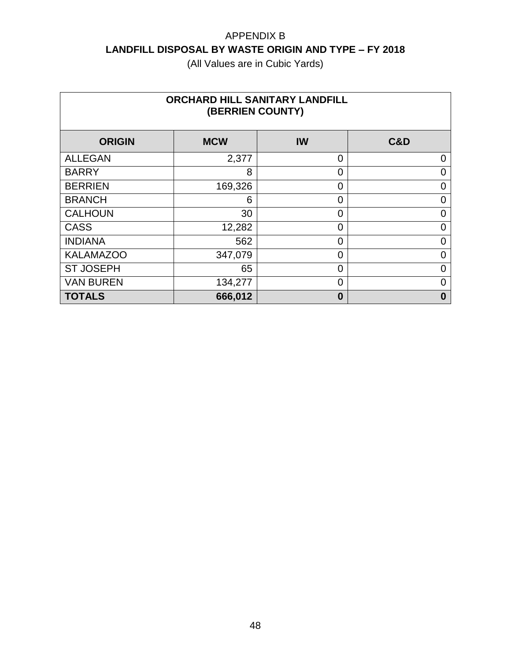| <b>ORCHARD HILL SANITARY LANDFILL</b><br>(BERRIEN COUNTY) |            |                |                |  |
|-----------------------------------------------------------|------------|----------------|----------------|--|
| <b>ORIGIN</b>                                             | <b>MCW</b> | <b>IW</b>      | <b>C&amp;D</b> |  |
| <b>ALLEGAN</b>                                            | 2,377      | $\overline{0}$ | 0              |  |
| <b>BARRY</b>                                              | 8          | 0              | 0              |  |
| <b>BERRIEN</b>                                            | 169,326    | $\overline{0}$ | 0              |  |
| <b>BRANCH</b>                                             | 6          | $\overline{0}$ | 0              |  |
| <b>CALHOUN</b>                                            | 30         | $\overline{0}$ | 0              |  |
| <b>CASS</b>                                               | 12,282     | 0              | 0              |  |
| <b>INDIANA</b>                                            | 562        | $\overline{0}$ | 0              |  |
| <b>KALAMAZOO</b>                                          | 347,079    | 0              | 0              |  |
| <b>ST JOSEPH</b>                                          | 65         | $\overline{0}$ | ი              |  |
| <b>VAN BUREN</b>                                          | 134,277    | 0              | 0              |  |
| <b>TOTALS</b>                                             | 666,012    | $\bf{0}$       | 0              |  |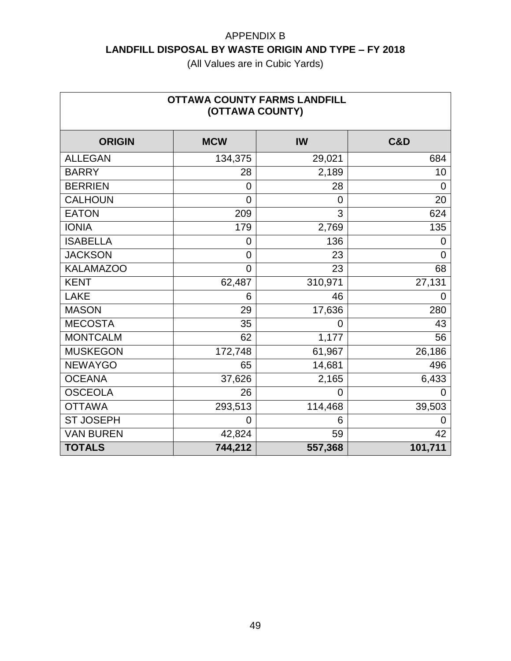| <b>OTTAWA COUNTY FARMS LANDFILL</b><br>(OTTAWA COUNTY) |                |                |                |  |
|--------------------------------------------------------|----------------|----------------|----------------|--|
| <b>ORIGIN</b>                                          | <b>MCW</b>     | <b>IW</b>      | <b>C&amp;D</b> |  |
| <b>ALLEGAN</b>                                         | 134,375        | 29,021         | 684            |  |
| <b>BARRY</b>                                           | 28             | 2,189          | 10             |  |
| <b>BERRIEN</b>                                         | 0              | 28             | 0              |  |
| <b>CALHOUN</b>                                         | $\overline{0}$ | $\overline{0}$ | 20             |  |
| <b>EATON</b>                                           | 209            | 3              | 624            |  |
| <b>IONIA</b>                                           | 179            | 2,769          | 135            |  |
| <b>ISABELLA</b>                                        | 0              | 136            | 0              |  |
| <b>JACKSON</b>                                         | $\mathbf 0$    | 23             | 0              |  |
| <b>KALAMAZOO</b>                                       | 0              | 23             | 68             |  |
| <b>KENT</b>                                            | 62,487         | 310,971        | 27,131         |  |
| <b>LAKE</b>                                            | 6              | 46             | 0              |  |
| <b>MASON</b>                                           | 29             | 17,636         | 280            |  |
| <b>MECOSTA</b>                                         | 35             | 0              | 43             |  |
| <b>MONTCALM</b>                                        | 62             | 1,177          | 56             |  |
| <b>MUSKEGON</b>                                        | 172,748        | 61,967         | 26,186         |  |
| <b>NEWAYGO</b>                                         | 65             | 14,681         | 496            |  |
| <b>OCEANA</b>                                          | 37,626         | 2,165          | 6,433          |  |
| <b>OSCEOLA</b>                                         | 26             | $\overline{0}$ | 0              |  |
| <b>OTTAWA</b>                                          | 293,513        | 114,468        | 39,503         |  |
| <b>ST JOSEPH</b>                                       | 0              | 6              | O              |  |
| <b>VAN BUREN</b>                                       | 42,824         | 59             | 42             |  |
| <b>TOTALS</b>                                          | 744,212        | 557,368        | 101,711        |  |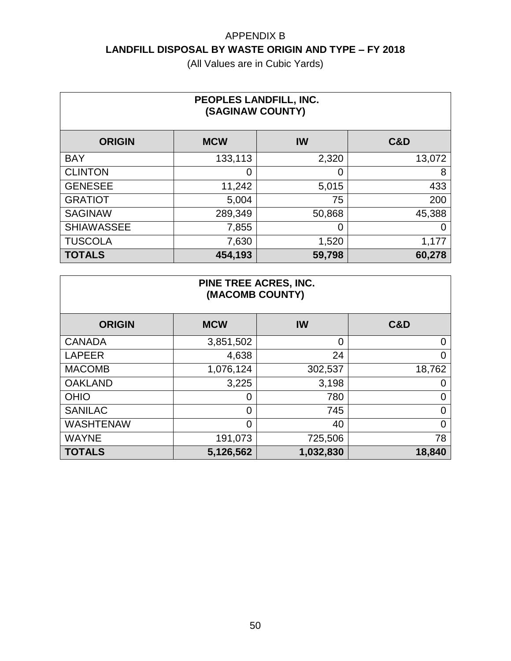(All Values are in Cubic Yards)

| PEOPLES LANDFILL, INC.<br>(SAGINAW COUNTY) |            |        |        |  |
|--------------------------------------------|------------|--------|--------|--|
| <b>ORIGIN</b>                              | <b>MCW</b> | IW     | C&D    |  |
| <b>BAY</b>                                 | 133,113    | 2,320  | 13,072 |  |
| <b>CLINTON</b>                             | 0          | 0      | 8      |  |
| <b>GENESEE</b>                             | 11,242     | 5,015  | 433    |  |
| <b>GRATIOT</b>                             | 5,004      | 75     | 200    |  |
| <b>SAGINAW</b>                             | 289,349    | 50,868 | 45,388 |  |
| <b>SHIAWASSEE</b>                          | 7,855      | 0      |        |  |
| <b>TUSCOLA</b>                             | 7,630      | 1,520  | 1,177  |  |
| <b>TOTALS</b>                              | 454,193    | 59,798 | 60,278 |  |

#### **PINE TREE ACRES, INC. (MACOMB COUNTY)**

| <b>ORIGIN</b>    | <b>MCW</b>     | <b>IW</b> | C&D    |
|------------------|----------------|-----------|--------|
| <b>CANADA</b>    | 3,851,502      | 0         | 0      |
| <b>LAPEER</b>    | 4,638          | 24        | 0      |
| <b>MACOMB</b>    | 1,076,124      | 302,537   | 18,762 |
| <b>OAKLAND</b>   | 3,225          | 3,198     | 0      |
| <b>OHIO</b>      | 0              | 780       | 0      |
| <b>SANILAC</b>   | 0              | 745       | 0      |
| <b>WASHTENAW</b> | $\overline{0}$ | 40        | 0      |
| <b>WAYNE</b>     | 191,073        | 725,506   | 78     |
| <b>TOTALS</b>    | 5,126,562      | 1,032,830 | 18,840 |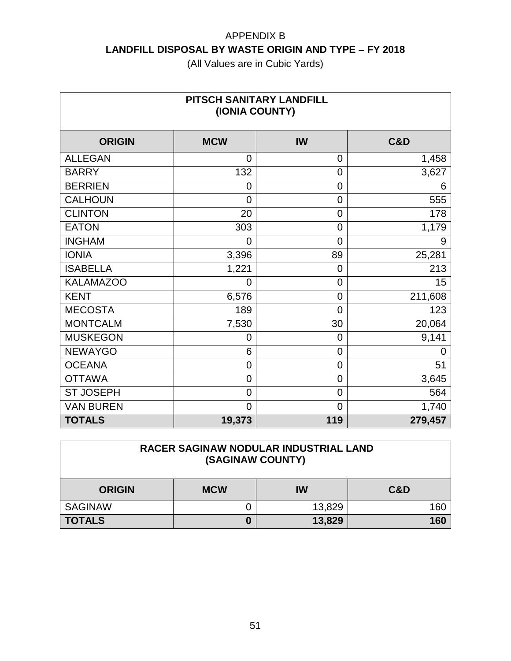(All Values are in Cubic Yards)

| PITSCH SANITARY LANDFILL<br>(IONIA COUNTY) |                |                |         |  |
|--------------------------------------------|----------------|----------------|---------|--|
| <b>ORIGIN</b>                              | <b>MCW</b>     | IW             | C&D     |  |
| <b>ALLEGAN</b>                             | $\Omega$       | $\overline{0}$ | 1,458   |  |
| <b>BARRY</b>                               | 132            | $\overline{0}$ | 3,627   |  |
| <b>BERRIEN</b>                             | 0              | $\overline{0}$ | 6       |  |
| <b>CALHOUN</b>                             | $\mathbf 0$    | $\overline{0}$ | 555     |  |
| <b>CLINTON</b>                             | 20             | $\overline{0}$ | 178     |  |
| <b>EATON</b>                               | 303            | $\mathbf 0$    | 1,179   |  |
| <b>INGHAM</b>                              | 0              | $\overline{0}$ | 9       |  |
| <b>IONIA</b>                               | 3,396          | 89             | 25,281  |  |
| <b>ISABELLA</b>                            | 1,221          | $\mathbf 0$    | 213     |  |
| <b>KALAMAZOO</b>                           | 0              | $\overline{0}$ | 15      |  |
| <b>KENT</b>                                | 6,576          | $\mathbf 0$    | 211,608 |  |
| <b>MECOSTA</b>                             | 189            | $\overline{0}$ | 123     |  |
| <b>MONTCALM</b>                            | 7,530          | 30             | 20,064  |  |
| <b>MUSKEGON</b>                            | 0              | $\overline{0}$ | 9,141   |  |
| <b>NEWAYGO</b>                             | 6              | $\overline{0}$ | 0       |  |
| <b>OCEANA</b>                              | $\mathbf 0$    | $\overline{0}$ | 51      |  |
| <b>OTTAWA</b>                              | $\mathbf 0$    | $\mathbf 0$    | 3,645   |  |
| <b>ST JOSEPH</b>                           | $\mathbf 0$    | $\overline{0}$ | 564     |  |
| <b>VAN BUREN</b>                           | $\overline{0}$ | $\overline{0}$ | 1,740   |  |
| <b>TOTALS</b>                              | 19,373         | 119            | 279,457 |  |

#### **RACER SAGINAW NODULAR INDUSTRIAL LAND (SAGINAW COUNTY)**

| <b>ORIGIN</b>  | <b>MCW</b> | IW     | C&D |
|----------------|------------|--------|-----|
| <b>SAGINAW</b> |            | 13,829 | 160 |
| <b>TOTALS</b>  |            | 13,829 | 160 |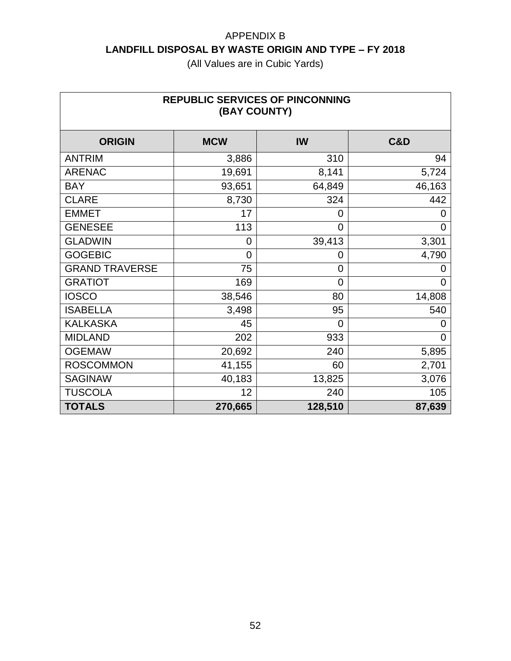| <b>REPUBLIC SERVICES OF PINCONNING</b><br>(BAY COUNTY) |                |                |        |  |
|--------------------------------------------------------|----------------|----------------|--------|--|
| <b>ORIGIN</b>                                          | <b>MCW</b>     | IW             | C&D    |  |
| <b>ANTRIM</b>                                          | 3,886          | 310            | 94     |  |
| <b>ARENAC</b>                                          | 19,691         | 8,141          | 5,724  |  |
| <b>BAY</b>                                             | 93,651         | 64,849         | 46,163 |  |
| <b>CLARE</b>                                           | 8,730          | 324            | 442    |  |
| <b>EMMET</b>                                           | 17             | 0              | 0      |  |
| <b>GENESEE</b>                                         | 113            | 0              | 0      |  |
| <b>GLADWIN</b>                                         | 0              | 39,413         | 3,301  |  |
| <b>GOGEBIC</b>                                         | $\overline{0}$ | 0              | 4,790  |  |
| <b>GRAND TRAVERSE</b>                                  | 75             | 0              | O)     |  |
| <b>GRATIOT</b>                                         | 169            | $\overline{0}$ | 0      |  |
| <b>IOSCO</b>                                           | 38,546         | 80             | 14,808 |  |
| <b>ISABELLA</b>                                        | 3,498          | 95             | 540    |  |
| <b>KALKASKA</b>                                        | 45             | 0              | 0      |  |
| <b>MIDLAND</b>                                         | 202            | 933            | 0      |  |
| <b>OGEMAW</b>                                          | 20,692         | 240            | 5,895  |  |
| <b>ROSCOMMON</b>                                       | 41,155         | 60             | 2,701  |  |
| <b>SAGINAW</b>                                         | 40,183         | 13,825         | 3,076  |  |
| <b>TUSCOLA</b>                                         | 12             | 240            | 105    |  |
| <b>TOTALS</b>                                          | 270,665        | 128,510        | 87,639 |  |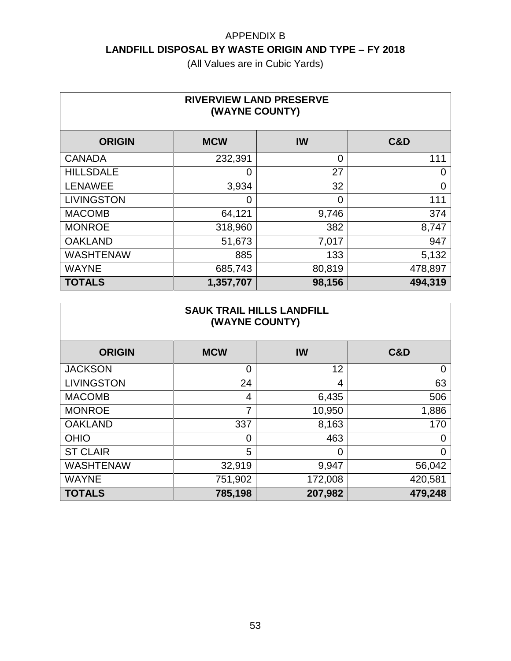| <b>RIVERVIEW LAND PRESERVE</b><br>(WAYNE COUNTY) |                |                |                |  |
|--------------------------------------------------|----------------|----------------|----------------|--|
| <b>ORIGIN</b>                                    | <b>MCW</b>     | IW             | <b>C&amp;D</b> |  |
| <b>CANADA</b>                                    | 232,391        | $\overline{0}$ | 111            |  |
| <b>HILLSDALE</b>                                 | $\overline{0}$ | 27             | 0              |  |
| <b>LENAWEE</b>                                   | 3,934          | 32             | 0              |  |
| <b>LIVINGSTON</b>                                | 0              | $\Omega$       | 111            |  |
| <b>MACOMB</b>                                    | 64,121         | 9,746          | 374            |  |
| <b>MONROE</b>                                    | 318,960        | 382            | 8,747          |  |
| <b>OAKLAND</b>                                   | 51,673         | 7,017          | 947            |  |
| <b>WASHTENAW</b>                                 | 885            | 133            | 5,132          |  |
| <b>WAYNE</b>                                     | 685,743        | 80,819         | 478,897        |  |
| <b>TOTALS</b>                                    | 1,357,707      | 98,156         | 494,319        |  |

| <b>SAUK TRAIL HILLS LANDFILL</b><br>(WAYNE COUNTY) |            |           |                |  |
|----------------------------------------------------|------------|-----------|----------------|--|
| <b>ORIGIN</b>                                      | <b>MCW</b> | <b>IW</b> | <b>C&amp;D</b> |  |
| <b>JACKSON</b>                                     | 0          | 12        | $\overline{0}$ |  |
| <b>LIVINGSTON</b>                                  | 24         | 4         | 63             |  |
| <b>MACOMB</b>                                      | 4          | 6,435     | 506            |  |
| <b>MONROE</b>                                      | 7          | 10,950    | 1,886          |  |
| <b>OAKLAND</b>                                     | 337        | 8,163     | 170            |  |
| <b>OHIO</b>                                        | 0          | 463       | O              |  |
| <b>ST CLAIR</b>                                    | 5          | 0         | 0              |  |
| <b>WASHTENAW</b>                                   | 32,919     | 9,947     | 56,042         |  |
| <b>WAYNE</b>                                       | 751,902    | 172,008   | 420,581        |  |
| <b>TOTALS</b>                                      | 785,198    | 207,982   | 479,248        |  |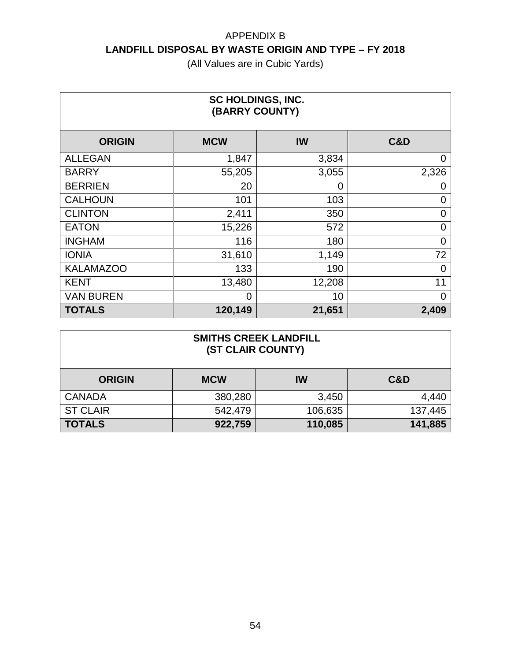| <b>SC HOLDINGS, INC.</b><br>(BARRY COUNTY) |            |        |                |  |
|--------------------------------------------|------------|--------|----------------|--|
| <b>ORIGIN</b>                              | <b>MCW</b> | IW     | <b>C&amp;D</b> |  |
| <b>ALLEGAN</b>                             | 1,847      | 3,834  | $\overline{0}$ |  |
| <b>BARRY</b>                               | 55,205     | 3,055  | 2,326          |  |
| <b>BERRIEN</b>                             | 20         | 0      | 0              |  |
| <b>CALHOUN</b>                             | 101        | 103    | 0              |  |
| <b>CLINTON</b>                             | 2,411      | 350    | $\overline{0}$ |  |
| <b>EATON</b>                               | 15,226     | 572    | 0              |  |
| <b>INGHAM</b>                              | 116        | 180    | $\overline{0}$ |  |
| <b>IONIA</b>                               | 31,610     | 1,149  | 72             |  |
| <b>KALAMAZOO</b>                           | 133        | 190    | $\Omega$       |  |
| <b>KENT</b>                                | 13,480     | 12,208 | 11             |  |
| <b>VAN BUREN</b>                           | 0          | 10     | 0              |  |
| <b>TOTALS</b>                              | 120,149    | 21,651 | 2,409          |  |

| <b>SMITHS CREEK LANDFILL</b><br>(ST CLAIR COUNTY) |                               |           |         |  |  |
|---------------------------------------------------|-------------------------------|-----------|---------|--|--|
| <b>ORIGIN</b>                                     | <b>MCW</b>                    | <b>IW</b> | C&D     |  |  |
| <b>CANADA</b>                                     | 380,280                       | 3,450     | 4,440   |  |  |
| <b>ST CLAIR</b>                                   | 542,479                       | 106,635   | 137,445 |  |  |
| <b>TOTALS</b>                                     | 141,885<br>110,085<br>922,759 |           |         |  |  |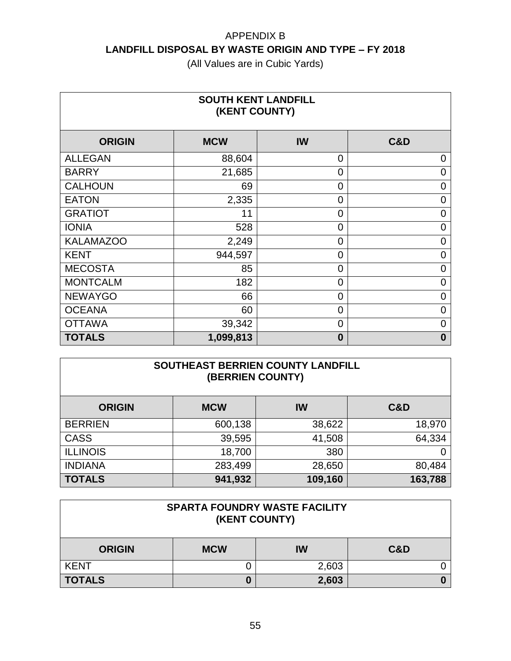(All Values are in Cubic Yards)

| <b>SOUTH KENT LANDFILL</b><br>(KENT COUNTY) |            |                |                  |  |
|---------------------------------------------|------------|----------------|------------------|--|
| <b>ORIGIN</b>                               | <b>MCW</b> | IW             | <b>C&amp;D</b>   |  |
| <b>ALLEGAN</b>                              | 88,604     | $\overline{0}$ | 0                |  |
| <b>BARRY</b>                                | 21,685     | $\overline{0}$ | 0                |  |
| <b>CALHOUN</b>                              | 69         | $\overline{0}$ | 0                |  |
| <b>EATON</b>                                | 2,335      | $\overline{0}$ | 0                |  |
| <b>GRATIOT</b>                              | 11         | $\overline{0}$ | 0                |  |
| <b>IONIA</b>                                | 528        | $\overline{0}$ | 0                |  |
| <b>KALAMAZOO</b>                            | 2,249      | $\overline{0}$ | 0                |  |
| <b>KENT</b>                                 | 944,597    | $\overline{0}$ | 0                |  |
| <b>MECOSTA</b>                              | 85         | $\overline{0}$ | 0                |  |
| <b>MONTCALM</b>                             | 182        | $\overline{0}$ | 0                |  |
| <b>NEWAYGO</b>                              | 66         | $\overline{0}$ | 0                |  |
| <b>OCEANA</b>                               | 60         | $\overline{0}$ | 0                |  |
| <b>OTTAWA</b>                               | 39,342     | $\Omega$       | 0                |  |
| <b>TOTALS</b>                               | 1,099,813  | $\bf{0}$       | $\boldsymbol{0}$ |  |

#### **SOUTHEAST BERRIEN COUNTY LANDFILL (BERRIEN COUNTY)**

| <b>ORIGIN</b>   | <b>MCW</b> | IW      | <b>C&amp;D</b> |
|-----------------|------------|---------|----------------|
| <b>BERRIEN</b>  | 600,138    | 38,622  | 18,970         |
| <b>CASS</b>     | 39,595     | 41,508  | 64,334         |
| <b>ILLINOIS</b> | 18,700     | 380     |                |
| <b>INDIANA</b>  | 283,499    | 28,650  | 80,484         |
| <b>TOTALS</b>   | 941,932    | 109,160 | 163,788        |

| <b>SPARTA FOUNDRY WASTE FACILITY</b><br>(KENT COUNTY) |  |       |  |  |
|-------------------------------------------------------|--|-------|--|--|
| C&D<br><b>MCW</b><br>IW<br><b>ORIGIN</b>              |  |       |  |  |
| <b>KENT</b>                                           |  | 2,603 |  |  |
| <b>TOTALS</b>                                         |  | 2,603 |  |  |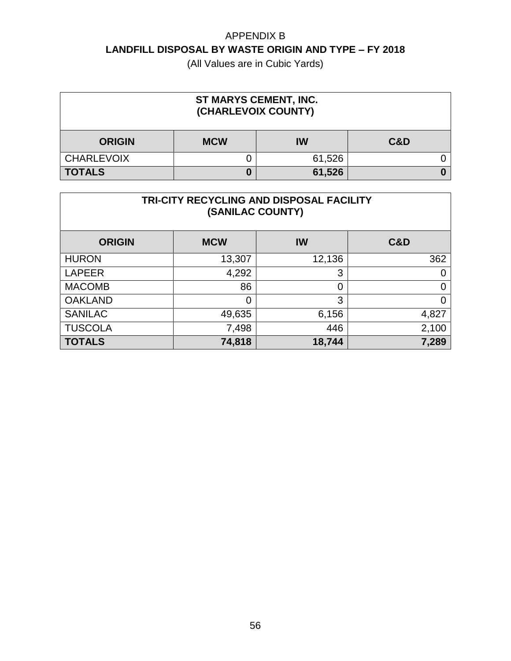| ST MARYS CEMENT, INC.<br>(CHARLEVOIX COUNTY) |            |        |                |
|----------------------------------------------|------------|--------|----------------|
| <b>ORIGIN</b>                                | <b>MCW</b> | IW     | <b>C&amp;D</b> |
| <b>CHARLEVOIX</b>                            |            | 61,526 |                |
| <b>TOTALS</b>                                |            | 61,526 |                |

| TRI-CITY RECYCLING AND DISPOSAL FACILITY<br>(SANILAC COUNTY) |                |          |                |  |
|--------------------------------------------------------------|----------------|----------|----------------|--|
| <b>ORIGIN</b>                                                | <b>MCW</b>     | IW       | <b>C&amp;D</b> |  |
| <b>HURON</b>                                                 | 13,307         | 12,136   | 362            |  |
| <b>LAPEER</b>                                                | 4,292          | 3        | 0              |  |
| <b>MACOMB</b>                                                | 86             | $\Omega$ | 0              |  |
| <b>OAKLAND</b>                                               | $\overline{0}$ | 3        | 0              |  |
| <b>SANILAC</b>                                               | 49,635         | 6,156    | 4,827          |  |
| <b>TUSCOLA</b>                                               | 7,498          | 446      | 2,100          |  |
| <b>TOTALS</b>                                                | 74,818         | 18,744   | 7,289          |  |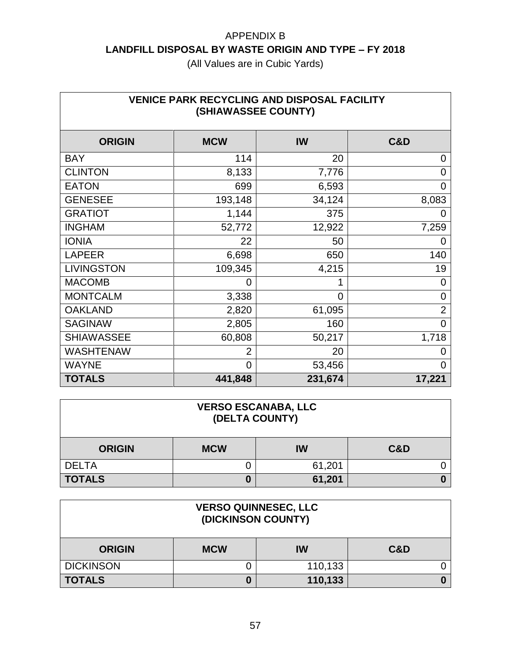| <b>VENICE PARK RECYCLING AND DISPOSAL FACILITY</b><br>(SHIAWASSEE COUNTY) |            |                |                |  |
|---------------------------------------------------------------------------|------------|----------------|----------------|--|
| <b>ORIGIN</b>                                                             | <b>MCW</b> | IW             | C&D            |  |
| <b>BAY</b>                                                                | 114        | 20             | 0              |  |
| <b>CLINTON</b>                                                            | 8,133      | 7,776          | 0              |  |
| <b>EATON</b>                                                              | 699        | 6,593          | 0              |  |
| <b>GENESEE</b>                                                            | 193,148    | 34,124         | 8,083          |  |
| <b>GRATIOT</b>                                                            | 1,144      | 375            |                |  |
| <b>INGHAM</b>                                                             | 52,772     | 12,922         | 7,259          |  |
| <b>IONIA</b>                                                              | 22         | 50             | O              |  |
| <b>LAPEER</b>                                                             | 6,698      | 650            | 140            |  |
| <b>LIVINGSTON</b>                                                         | 109,345    | 4,215          | 19             |  |
| <b>MACOMB</b>                                                             | 0          |                | 0              |  |
| <b>MONTCALM</b>                                                           | 3,338      | $\overline{0}$ | 0              |  |
| <b>OAKLAND</b>                                                            | 2,820      | 61,095         | $\overline{2}$ |  |
| <b>SAGINAW</b>                                                            | 2,805      | 160            | 0              |  |
| <b>SHIAWASSEE</b>                                                         | 60,808     | 50,217         | 1,718          |  |
| <b>WASHTENAW</b>                                                          | 2          | 20             | 0              |  |
| <b>WAYNE</b>                                                              | 0          | 53,456         | 0              |  |
| <b>TOTALS</b>                                                             | 441,848    | 231,674        | 17,221         |  |

| <b>VERSO ESCANABA, LLC</b><br>(DELTA COUNTY)        |   |        |  |
|-----------------------------------------------------|---|--------|--|
| <b>C&amp;D</b><br><b>MCW</b><br>IW<br><b>ORIGIN</b> |   |        |  |
| <b>DELTA</b>                                        |   | 61,201 |  |
| <b>TOTALS</b>                                       | 0 | 61,201 |  |

| <b>VERSO QUINNESEC, LLC</b><br>(DICKINSON COUNTY)   |   |         |  |
|-----------------------------------------------------|---|---------|--|
| <b>C&amp;D</b><br><b>MCW</b><br>IW<br><b>ORIGIN</b> |   |         |  |
| <b>DICKINSON</b>                                    |   | 110,133 |  |
| <b>TOTALS</b>                                       | U | 110,133 |  |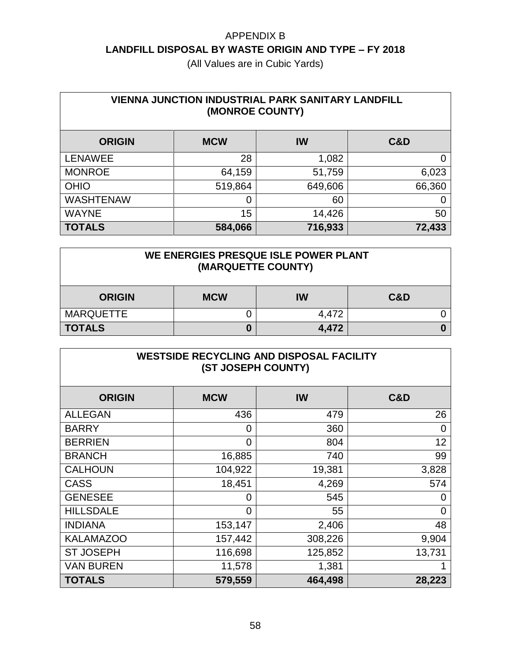(All Values are in Cubic Yards)

| <b>VIENNA JUNCTION INDUSTRIAL PARK SANITARY LANDFILL</b><br>(MONROE COUNTY) |            |         |                |
|-----------------------------------------------------------------------------|------------|---------|----------------|
| <b>ORIGIN</b>                                                               | <b>MCW</b> | IW      | <b>C&amp;D</b> |
| <b>LENAWEE</b>                                                              | 28         | 1,082   | 0              |
| <b>MONROE</b>                                                               | 64,159     | 51,759  | 6,023          |
| <b>OHIO</b>                                                                 | 519,864    | 649,606 | 66,360         |
| <b>WASHTENAW</b>                                                            | 0          | 60      |                |
| <b>WAYNE</b>                                                                | 15         | 14,426  | 50             |
| <b>TOTALS</b>                                                               | 584,066    | 716,933 | 72,433         |

#### **WE ENERGIES PRESQUE ISLE POWER PLANT (MARQUETTE COUNTY)**

| <b>ORIGIN</b>    | <b>MCW</b> | IW    | <b>C&amp;D</b> |
|------------------|------------|-------|----------------|
| <b>MARQUETTE</b> |            | 4,472 |                |
| <b>TOTALS</b>    |            | 4,472 |                |

| <b>WESTSIDE RECYCLING AND DISPOSAL FACILITY</b><br>(ST JOSEPH COUNTY) |            |         |                |
|-----------------------------------------------------------------------|------------|---------|----------------|
| <b>ORIGIN</b>                                                         | <b>MCW</b> | IW      | <b>C&amp;D</b> |
| <b>ALLEGAN</b>                                                        | 436        | 479     | 26             |
| <b>BARRY</b>                                                          | 0          | 360     | 0              |
| <b>BERRIEN</b>                                                        | 0          | 804     | 12             |
| <b>BRANCH</b>                                                         | 16,885     | 740     | 99             |
| <b>CALHOUN</b>                                                        | 104,922    | 19,381  | 3,828          |
| <b>CASS</b>                                                           | 18,451     | 4,269   | 574            |
| <b>GENESEE</b>                                                        | 0          | 545     | 0              |
| <b>HILLSDALE</b>                                                      | 0          | 55      | $\overline{0}$ |
| <b>INDIANA</b>                                                        | 153,147    | 2,406   | 48             |
| <b>KALAMAZOO</b>                                                      | 157,442    | 308,226 | 9,904          |
| <b>ST JOSEPH</b>                                                      | 116,698    | 125,852 | 13,731         |
| <b>VAN BUREN</b>                                                      | 11,578     | 1,381   |                |
| <b>TOTALS</b>                                                         | 579,559    | 464,498 | 28,223         |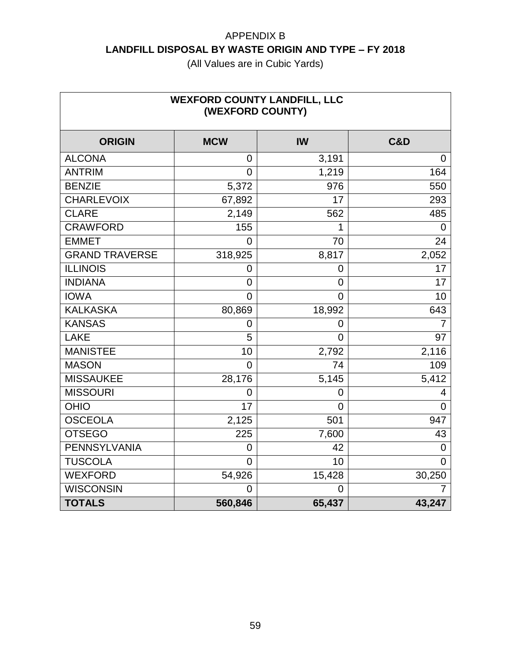| <b>WEXFORD COUNTY LANDFILL, LLC</b><br>(WEXFORD COUNTY) |            |                |                |
|---------------------------------------------------------|------------|----------------|----------------|
| <b>ORIGIN</b>                                           | <b>MCW</b> | IW             | <b>C&amp;D</b> |
| <b>ALCONA</b>                                           | 0          | 3,191          | 0              |
| <b>ANTRIM</b>                                           | 0          | 1,219          | 164            |
| <b>BENZIE</b>                                           | 5,372      | 976            | 550            |
| <b>CHARLEVOIX</b>                                       | 67,892     | 17             | 293            |
| <b>CLARE</b>                                            | 2,149      | 562            | 485            |
| <b>CRAWFORD</b>                                         | 155        | 1              | 0              |
| <b>EMMET</b>                                            | $\Omega$   | 70             | 24             |
| <b>GRAND TRAVERSE</b>                                   | 318,925    | 8,817          | 2,052          |
| <b>ILLINOIS</b>                                         | 0          | 0              | 17             |
| <b>INDIANA</b>                                          | 0          | 0              | 17             |
| <b>IOWA</b>                                             | 0          | $\overline{0}$ | 10             |
| <b>KALKASKA</b>                                         | 80,869     | 18,992         | 643            |
| <b>KANSAS</b>                                           | 0          | 0              | 7              |
| <b>LAKE</b>                                             | 5          | $\overline{0}$ | 97             |
| <b>MANISTEE</b>                                         | 10         | 2,792          | 2,116          |
| <b>MASON</b>                                            | 0          | 74             | 109            |
| <b>MISSAUKEE</b>                                        | 28,176     | 5,145          | 5,412          |
| <b>MISSOURI</b>                                         | 0          | 0              | 4              |
| <b>OHIO</b>                                             | 17         | $\overline{0}$ | $\Omega$       |
| <b>OSCEOLA</b>                                          | 2,125      | 501            | 947            |
| <b>OTSEGO</b>                                           | 225        | 7,600          | 43             |
| <b>PENNSYLVANIA</b>                                     | 0          | 42             | $\mathbf 0$    |
| <b>TUSCOLA</b>                                          | 0          | 10             | $\Omega$       |
| <b>WEXFORD</b>                                          | 54,926     | 15,428         | 30,250         |
| <b>WISCONSIN</b>                                        | 0          | $\Omega$       | 7              |
| <b>TOTALS</b>                                           | 560,846    | 65,437         | 43,247         |